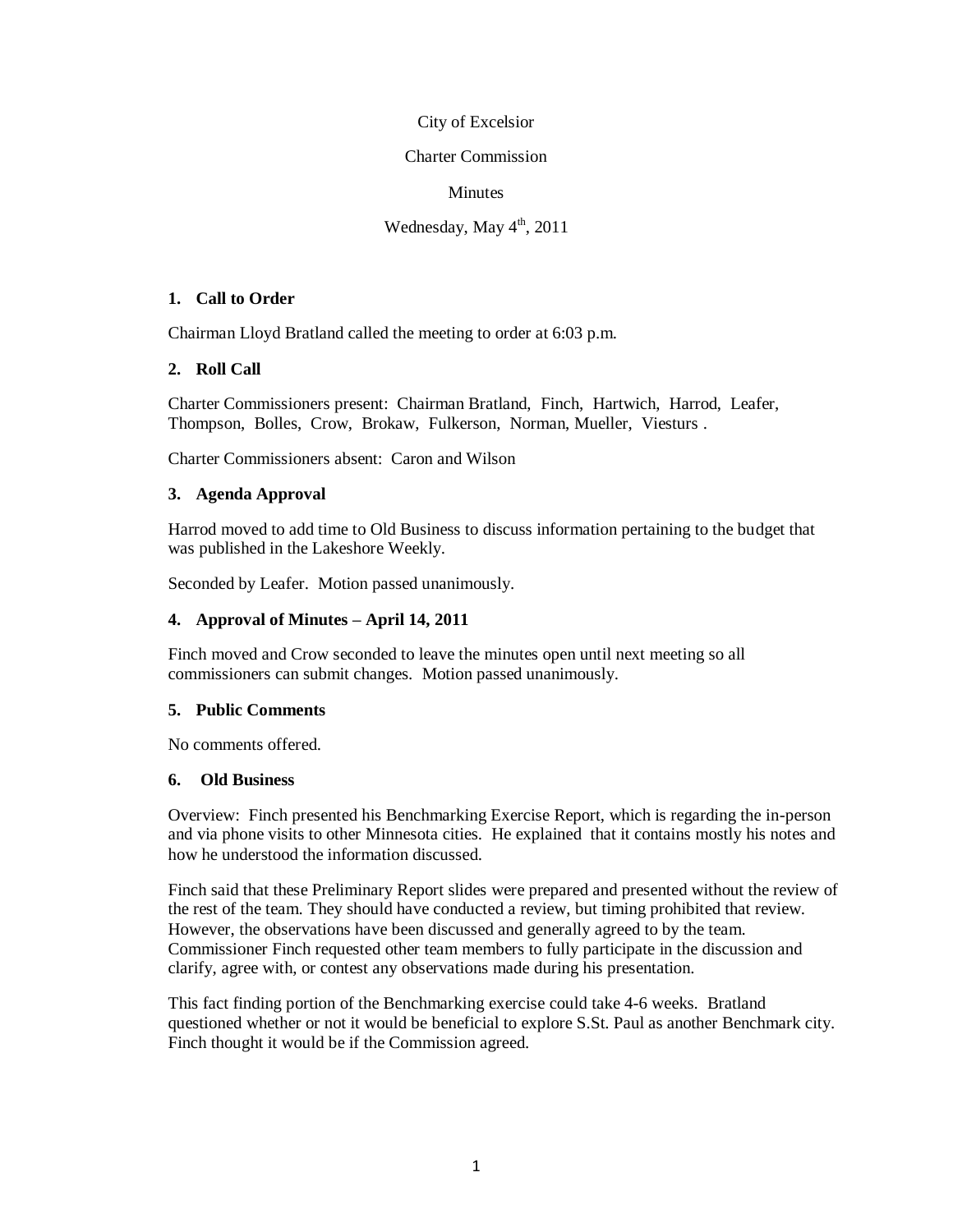#### City of Excelsior

#### Charter Commission

#### Minutes

#### Wednesday, May  $4<sup>th</sup>$ , 2011

#### **1. Call to Order**

Chairman Lloyd Bratland called the meeting to order at 6:03 p.m.

#### **2. Roll Call**

Charter Commissioners present: Chairman Bratland, Finch, Hartwich, Harrod, Leafer, Thompson, Bolles, Crow, Brokaw, Fulkerson, Norman, Mueller, Viesturs .

Charter Commissioners absent: Caron and Wilson

#### **3. Agenda Approval**

Harrod moved to add time to Old Business to discuss information pertaining to the budget that was published in the Lakeshore Weekly.

Seconded by Leafer. Motion passed unanimously.

#### **4. Approval of Minutes – April 14, 2011**

Finch moved and Crow seconded to leave the minutes open until next meeting so all commissioners can submit changes. Motion passed unanimously.

#### **5. Public Comments**

No comments offered.

#### **6. Old Business**

Overview: Finch presented his Benchmarking Exercise Report, which is regarding the in-person and via phone visits to other Minnesota cities. He explained that it contains mostly his notes and how he understood the information discussed.

Finch said that these Preliminary Report slides were prepared and presented without the review of the rest of the team. They should have conducted a review, but timing prohibited that review. However, the observations have been discussed and generally agreed to by the team. Commissioner Finch requested other team members to fully participate in the discussion and clarify, agree with, or contest any observations made during his presentation.

This fact finding portion of the Benchmarking exercise could take 4-6 weeks. Bratland questioned whether or not it would be beneficial to explore S.St. Paul as another Benchmark city. Finch thought it would be if the Commission agreed.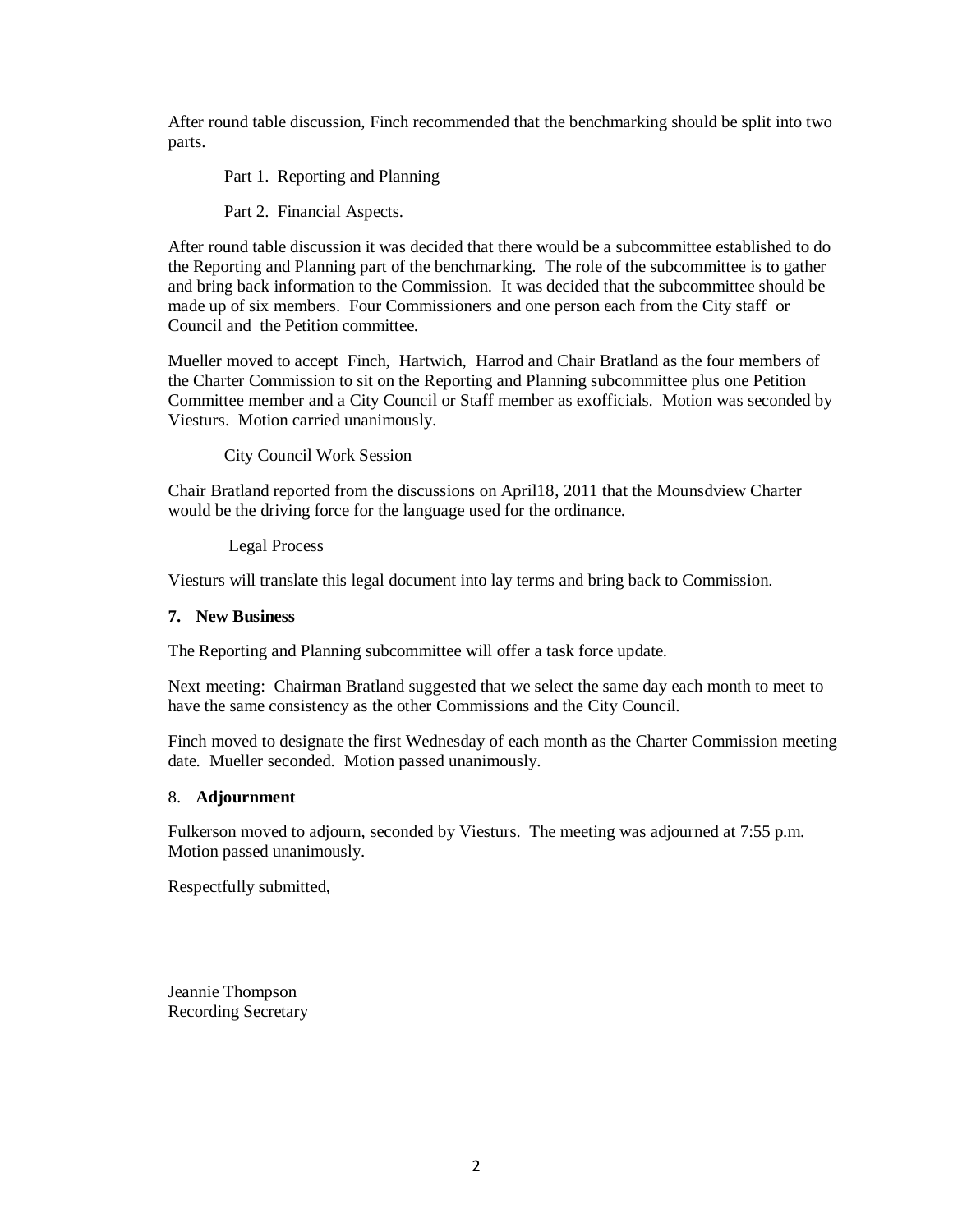After round table discussion, Finch recommended that the benchmarking should be split into two parts.

Part 1. Reporting and Planning

Part 2. Financial Aspects.

After round table discussion it was decided that there would be a subcommittee established to do the Reporting and Planning part of the benchmarking. The role of the subcommittee is to gather and bring back information to the Commission. It was decided that the subcommittee should be made up of six members. Four Commissioners and one person each from the City staff or Council and the Petition committee.

Mueller moved to accept Finch, Hartwich, Harrod and Chair Bratland as the four members of the Charter Commission to sit on the Reporting and Planning subcommittee plus one Petition Committee member and a City Council or Staff member as exofficials. Motion was seconded by Viesturs. Motion carried unanimously.

City Council Work Session

Chair Bratland reported from the discussions on April18, 2011 that the Mounsdview Charter would be the driving force for the language used for the ordinance.

Legal Process

Viesturs will translate this legal document into lay terms and bring back to Commission.

#### **7. New Business**

The Reporting and Planning subcommittee will offer a task force update.

Next meeting: Chairman Bratland suggested that we select the same day each month to meet to have the same consistency as the other Commissions and the City Council.

Finch moved to designate the first Wednesday of each month as the Charter Commission meeting date. Mueller seconded. Motion passed unanimously.

#### 8. **Adjournment**

Fulkerson moved to adjourn, seconded by Viesturs. The meeting was adjourned at 7:55 p.m. Motion passed unanimously.

Respectfully submitted,

Jeannie Thompson Recording Secretary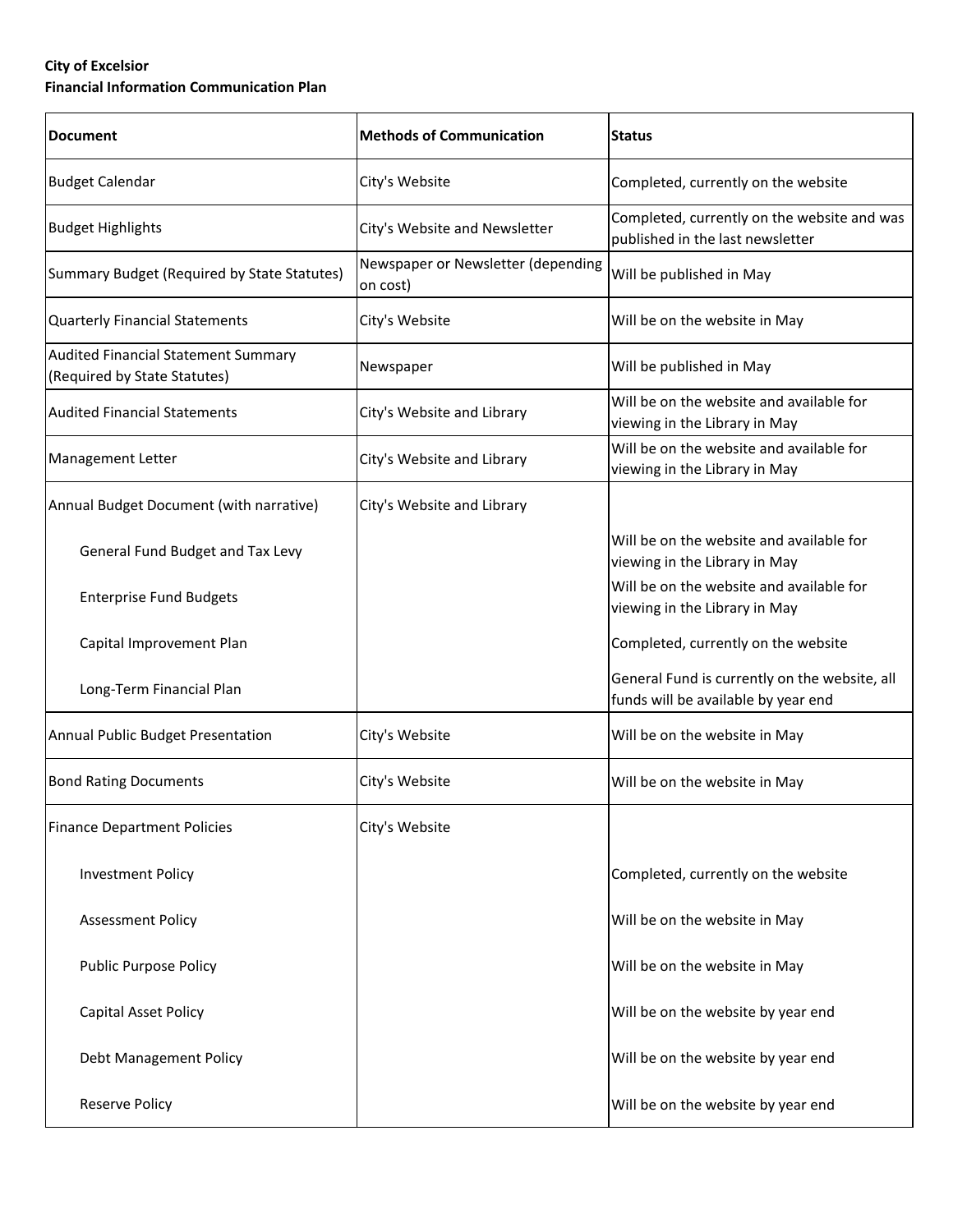#### **City of Excelsior Financial Information Communication Plan**

| <b>Document</b>                                                     | <b>Methods of Communication</b>                | <b>Status</b>                                                                        |  |  |
|---------------------------------------------------------------------|------------------------------------------------|--------------------------------------------------------------------------------------|--|--|
| <b>Budget Calendar</b>                                              | City's Website                                 | Completed, currently on the website                                                  |  |  |
| <b>Budget Highlights</b>                                            | City's Website and Newsletter                  | Completed, currently on the website and was<br>published in the last newsletter      |  |  |
| Summary Budget (Required by State Statutes)                         | Newspaper or Newsletter (depending<br>on cost) | Will be published in May                                                             |  |  |
| <b>Quarterly Financial Statements</b>                               | City's Website                                 | Will be on the website in May                                                        |  |  |
| Audited Financial Statement Summary<br>(Required by State Statutes) | Newspaper                                      | Will be published in May                                                             |  |  |
| <b>Audited Financial Statements</b>                                 | City's Website and Library                     | Will be on the website and available for<br>viewing in the Library in May            |  |  |
| Management Letter                                                   | City's Website and Library                     | Will be on the website and available for<br>viewing in the Library in May            |  |  |
| Annual Budget Document (with narrative)                             | City's Website and Library                     |                                                                                      |  |  |
| General Fund Budget and Tax Levy                                    |                                                | Will be on the website and available for<br>viewing in the Library in May            |  |  |
| <b>Enterprise Fund Budgets</b>                                      |                                                | Will be on the website and available for<br>viewing in the Library in May            |  |  |
| Capital Improvement Plan                                            |                                                | Completed, currently on the website                                                  |  |  |
| Long-Term Financial Plan                                            |                                                | General Fund is currently on the website, all<br>funds will be available by year end |  |  |
| Annual Public Budget Presentation                                   | City's Website                                 | Will be on the website in May                                                        |  |  |
| <b>Bond Rating Documents</b>                                        | City's Website                                 | Will be on the website in May                                                        |  |  |
| <b>Finance Department Policies</b>                                  | City's Website                                 |                                                                                      |  |  |
| <b>Investment Policy</b>                                            |                                                | Completed, currently on the website                                                  |  |  |
| <b>Assessment Policy</b>                                            |                                                | Will be on the website in May                                                        |  |  |
| <b>Public Purpose Policy</b>                                        |                                                | Will be on the website in May                                                        |  |  |
| Capital Asset Policy                                                |                                                | Will be on the website by year end                                                   |  |  |
| Debt Management Policy                                              |                                                | Will be on the website by year end                                                   |  |  |
| Reserve Policy                                                      |                                                | Will be on the website by year end                                                   |  |  |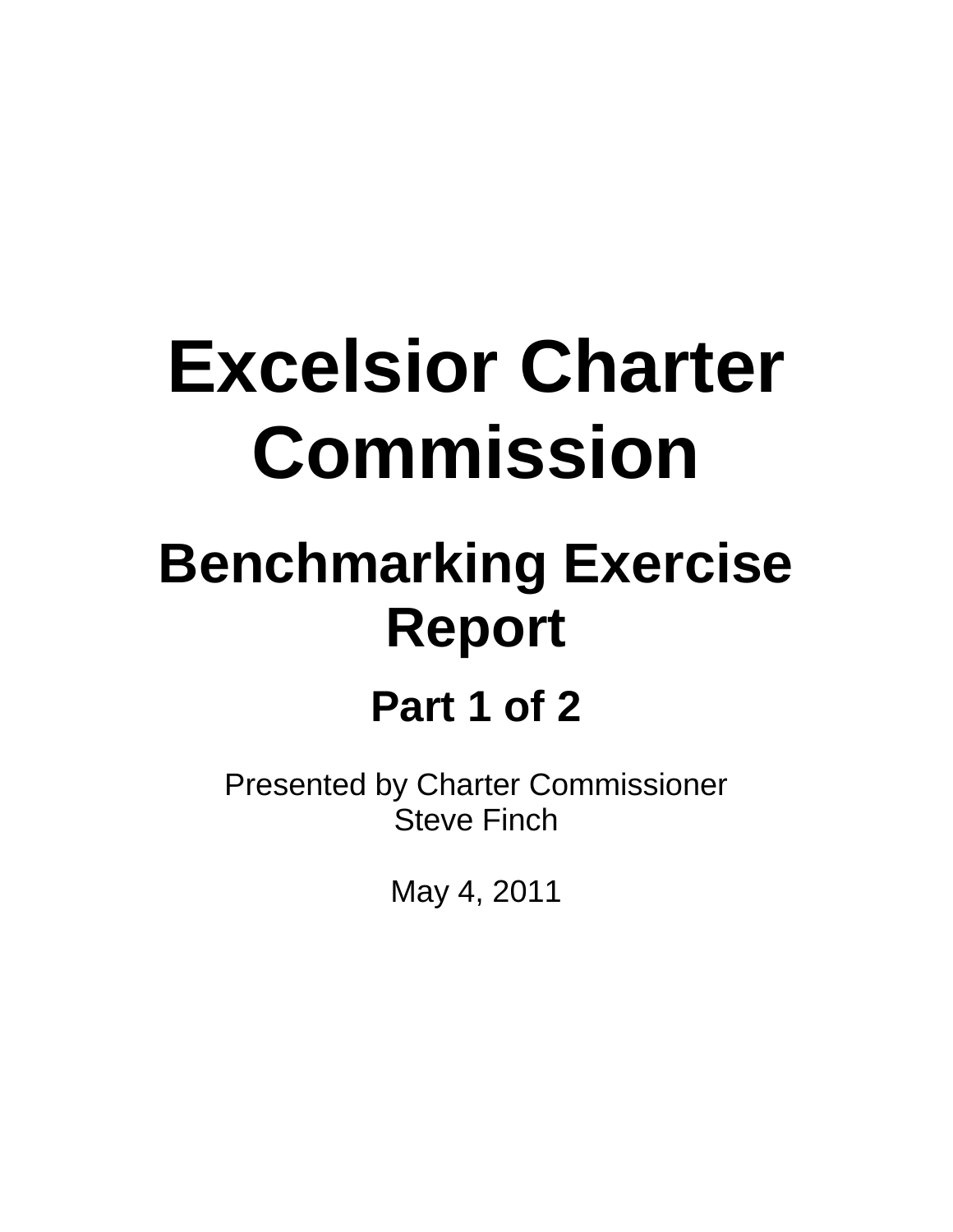## **Excelsior Charter Commission**

### **Benchmarking Exercise Report**

### **Part 1 of 2**

Presented by Charter Commissioner Steve Finch

May 4, 2011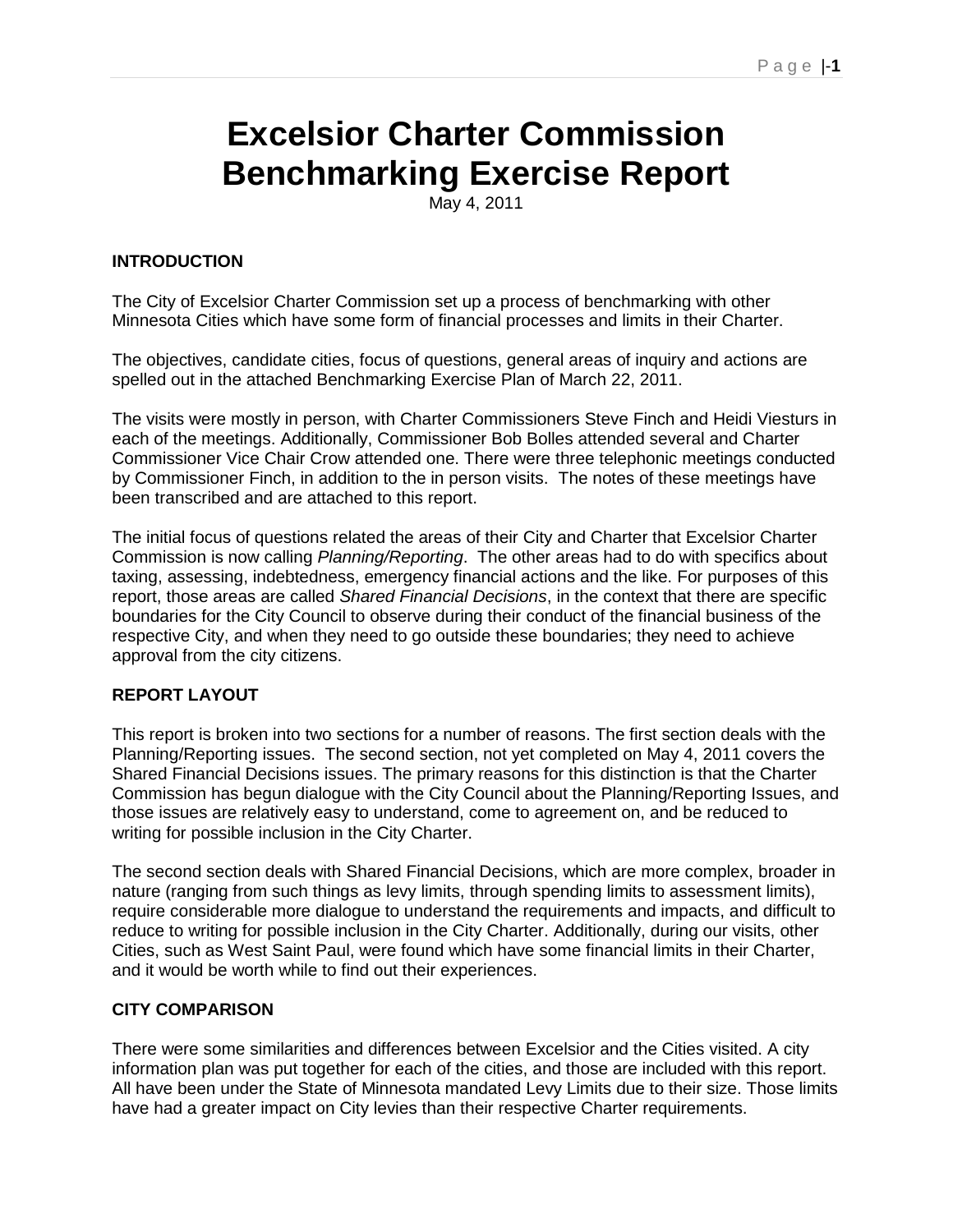### **Excelsior Charter Commission Benchmarking Exercise Report**

May 4, 2011

#### **INTRODUCTION**

The City of Excelsior Charter Commission set up a process of benchmarking with other Minnesota Cities which have some form of financial processes and limits in their Charter.

The objectives, candidate cities, focus of questions, general areas of inquiry and actions are spelled out in the attached Benchmarking Exercise Plan of March 22, 2011.

The visits were mostly in person, with Charter Commissioners Steve Finch and Heidi Viesturs in each of the meetings. Additionally, Commissioner Bob Bolles attended several and Charter Commissioner Vice Chair Crow attended one. There were three telephonic meetings conducted by Commissioner Finch, in addition to the in person visits. The notes of these meetings have been transcribed and are attached to this report.

The initial focus of questions related the areas of their City and Charter that Excelsior Charter Commission is now calling *Planning/Reporting*. The other areas had to do with specifics about taxing, assessing, indebtedness, emergency financial actions and the like. For purposes of this report, those areas are called *Shared Financial Decisions*, in the context that there are specific boundaries for the City Council to observe during their conduct of the financial business of the respective City, and when they need to go outside these boundaries; they need to achieve approval from the city citizens.

#### **REPORT LAYOUT**

This report is broken into two sections for a number of reasons. The first section deals with the Planning/Reporting issues. The second section, not yet completed on May 4, 2011 covers the Shared Financial Decisions issues. The primary reasons for this distinction is that the Charter Commission has begun dialogue with the City Council about the Planning/Reporting Issues, and those issues are relatively easy to understand, come to agreement on, and be reduced to writing for possible inclusion in the City Charter.

The second section deals with Shared Financial Decisions, which are more complex, broader in nature (ranging from such things as levy limits, through spending limits to assessment limits), require considerable more dialogue to understand the requirements and impacts, and difficult to reduce to writing for possible inclusion in the City Charter. Additionally, during our visits, other Cities, such as West Saint Paul, were found which have some financial limits in their Charter, and it would be worth while to find out their experiences.

#### **CITY COMPARISON**

There were some similarities and differences between Excelsior and the Cities visited. A city information plan was put together for each of the cities, and those are included with this report. All have been under the State of Minnesota mandated Levy Limits due to their size. Those limits have had a greater impact on City levies than their respective Charter requirements.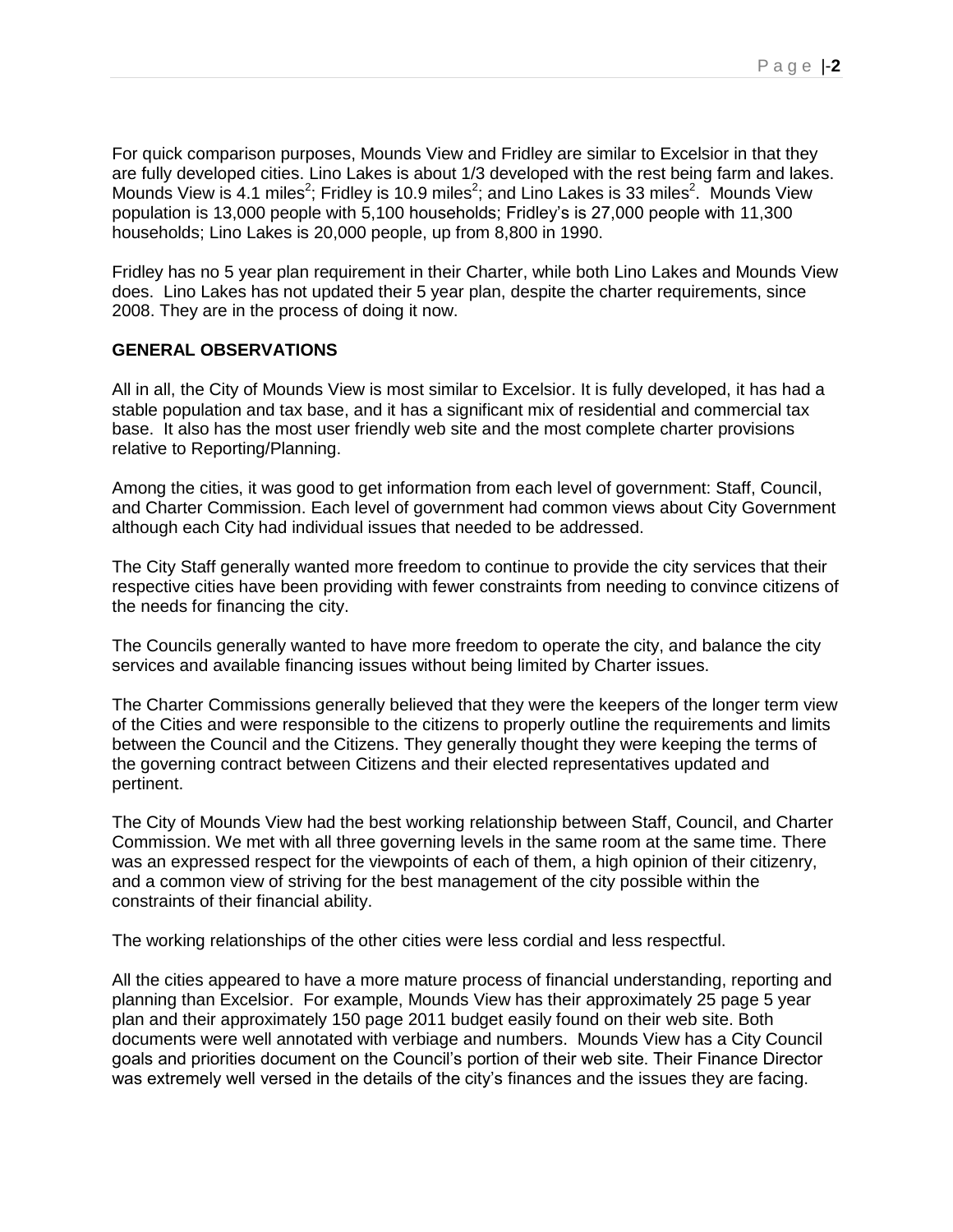For quick comparison purposes, Mounds View and Fridley are similar to Excelsior in that they are fully developed cities. Lino Lakes is about 1/3 developed with the rest being farm and lakes. Mounds View is 4.1 miles<sup>2</sup>; Fridley is 10.9 miles<sup>2</sup>; and Lino Lakes is 33 miles<sup>2</sup>. Mounds View population is 13,000 people with 5,100 households; Fridley"s is 27,000 people with 11,300 households; Lino Lakes is 20,000 people, up from 8,800 in 1990.

Fridley has no 5 year plan requirement in their Charter, while both Lino Lakes and Mounds View does. Lino Lakes has not updated their 5 year plan, despite the charter requirements, since 2008. They are in the process of doing it now.

#### **GENERAL OBSERVATIONS**

All in all, the City of Mounds View is most similar to Excelsior. It is fully developed, it has had a stable population and tax base, and it has a significant mix of residential and commercial tax base. It also has the most user friendly web site and the most complete charter provisions relative to Reporting/Planning.

Among the cities, it was good to get information from each level of government: Staff, Council, and Charter Commission. Each level of government had common views about City Government although each City had individual issues that needed to be addressed.

The City Staff generally wanted more freedom to continue to provide the city services that their respective cities have been providing with fewer constraints from needing to convince citizens of the needs for financing the city.

The Councils generally wanted to have more freedom to operate the city, and balance the city services and available financing issues without being limited by Charter issues.

The Charter Commissions generally believed that they were the keepers of the longer term view of the Cities and were responsible to the citizens to properly outline the requirements and limits between the Council and the Citizens. They generally thought they were keeping the terms of the governing contract between Citizens and their elected representatives updated and pertinent.

The City of Mounds View had the best working relationship between Staff, Council, and Charter Commission. We met with all three governing levels in the same room at the same time. There was an expressed respect for the viewpoints of each of them, a high opinion of their citizenry, and a common view of striving for the best management of the city possible within the constraints of their financial ability.

The working relationships of the other cities were less cordial and less respectful.

All the cities appeared to have a more mature process of financial understanding, reporting and planning than Excelsior. For example, Mounds View has their approximately 25 page 5 year plan and their approximately 150 page 2011 budget easily found on their web site. Both documents were well annotated with verbiage and numbers. Mounds View has a City Council goals and priorities document on the Council"s portion of their web site. Their Finance Director was extremely well versed in the details of the city's finances and the issues they are facing.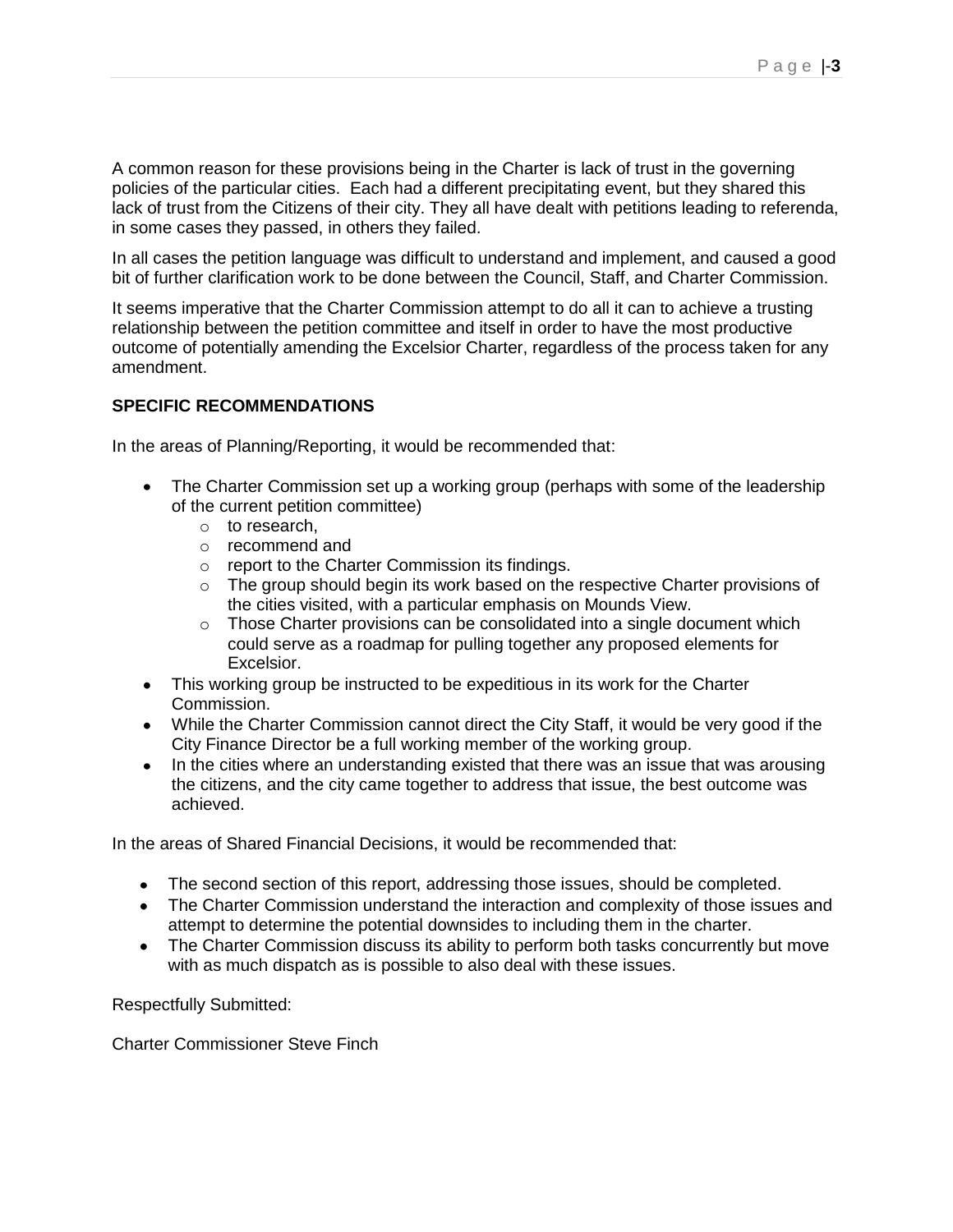A common reason for these provisions being in the Charter is lack of trust in the governing policies of the particular cities. Each had a different precipitating event, but they shared this lack of trust from the Citizens of their city. They all have dealt with petitions leading to referenda, in some cases they passed, in others they failed.

In all cases the petition language was difficult to understand and implement, and caused a good bit of further clarification work to be done between the Council, Staff, and Charter Commission.

It seems imperative that the Charter Commission attempt to do all it can to achieve a trusting relationship between the petition committee and itself in order to have the most productive outcome of potentially amending the Excelsior Charter, regardless of the process taken for any amendment.

#### **SPECIFIC RECOMMENDATIONS**

In the areas of Planning/Reporting, it would be recommended that:

- The Charter Commission set up a working group (perhaps with some of the leadership of the current petition committee)
	- o to research,
	- o recommend and
	- o report to the Charter Commission its findings.
	- $\circ$  The group should begin its work based on the respective Charter provisions of the cities visited, with a particular emphasis on Mounds View.
	- o Those Charter provisions can be consolidated into a single document which could serve as a roadmap for pulling together any proposed elements for Excelsior.
- This working group be instructed to be expeditious in its work for the Charter Commission.
- While the Charter Commission cannot direct the City Staff, it would be very good if the City Finance Director be a full working member of the working group.
- In the cities where an understanding existed that there was an issue that was arousing the citizens, and the city came together to address that issue, the best outcome was achieved.

In the areas of Shared Financial Decisions, it would be recommended that:

- The second section of this report, addressing those issues, should be completed.
- The Charter Commission understand the interaction and complexity of those issues and attempt to determine the potential downsides to including them in the charter.
- The Charter Commission discuss its ability to perform both tasks concurrently but move with as much dispatch as is possible to also deal with these issues.

Respectfully Submitted:

Charter Commissioner Steve Finch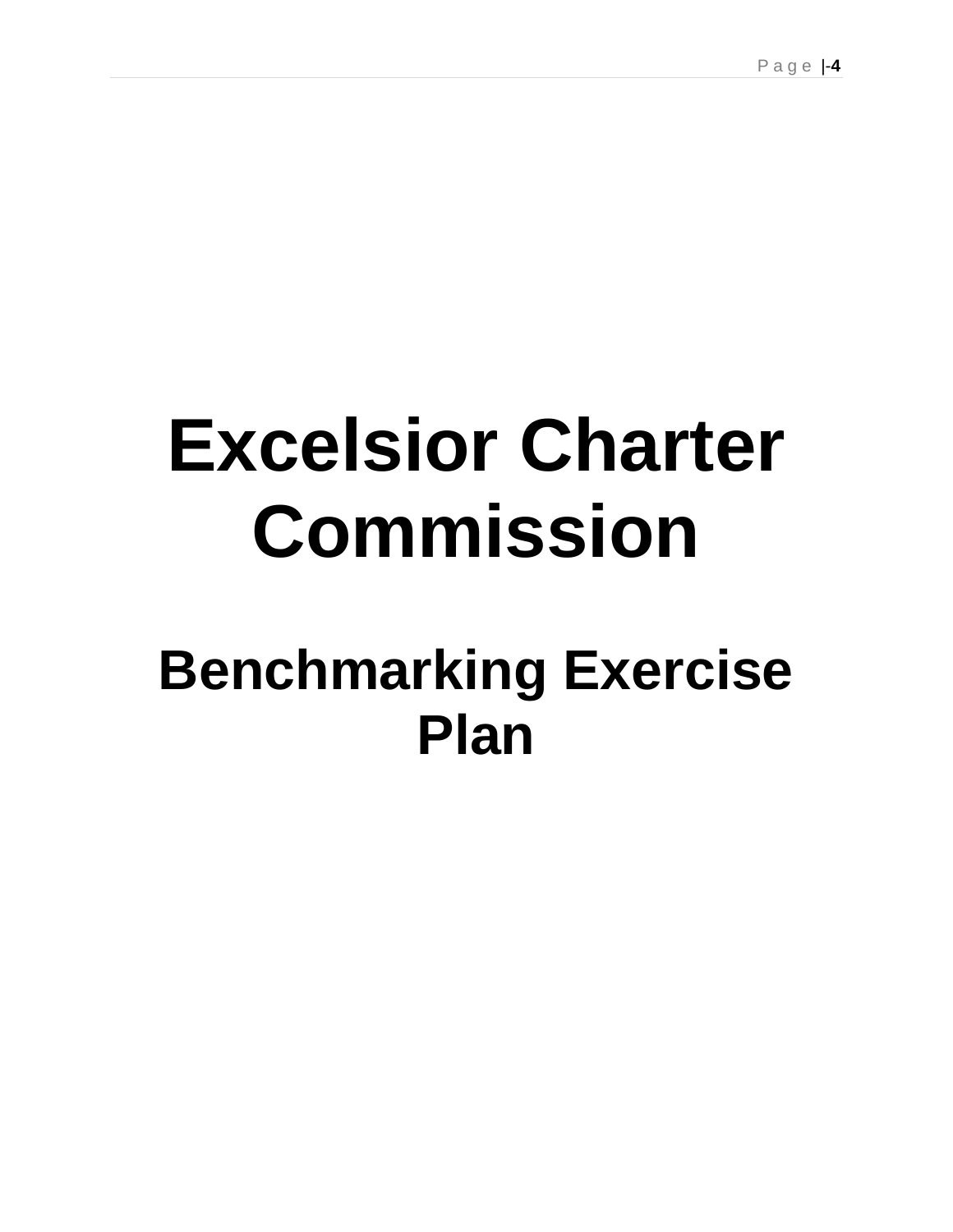## **Excelsior Charter Commission**

### **Benchmarking Exercise Plan**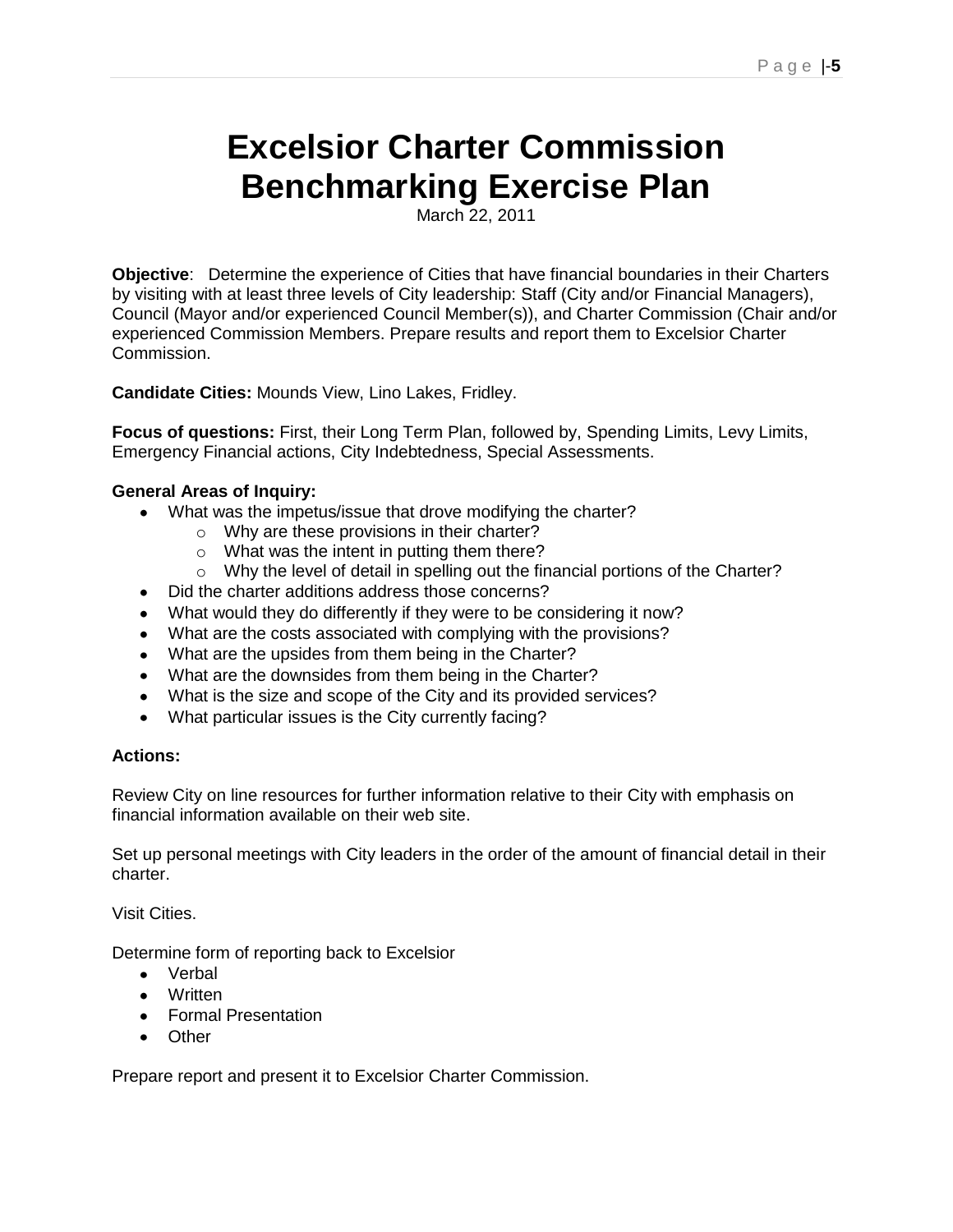### **Excelsior Charter Commission Benchmarking Exercise Plan**

March 22, 2011

**Objective**: Determine the experience of Cities that have financial boundaries in their Charters by visiting with at least three levels of City leadership: Staff (City and/or Financial Managers), Council (Mayor and/or experienced Council Member(s)), and Charter Commission (Chair and/or experienced Commission Members. Prepare results and report them to Excelsior Charter Commission.

**Candidate Cities:** Mounds View, Lino Lakes, Fridley.

**Focus of questions:** First, their Long Term Plan, followed by, Spending Limits, Levy Limits, Emergency Financial actions, City Indebtedness, Special Assessments.

#### **General Areas of Inquiry:**

- What was the impetus/issue that drove modifying the charter?
	- o Why are these provisions in their charter?
	- o What was the intent in putting them there?
	- $\circ$  Why the level of detail in spelling out the financial portions of the Charter?
- Did the charter additions address those concerns?
- What would they do differently if they were to be considering it now?
- What are the costs associated with complying with the provisions?
- What are the upsides from them being in the Charter?
- What are the downsides from them being in the Charter?
- What is the size and scope of the City and its provided services?
- What particular issues is the City currently facing?

#### **Actions:**

Review City on line resources for further information relative to their City with emphasis on financial information available on their web site.

Set up personal meetings with City leaders in the order of the amount of financial detail in their charter.

Visit Cities.

Determine form of reporting back to Excelsior

- Verbal
- Written
- **•** Formal Presentation
- Other

Prepare report and present it to Excelsior Charter Commission.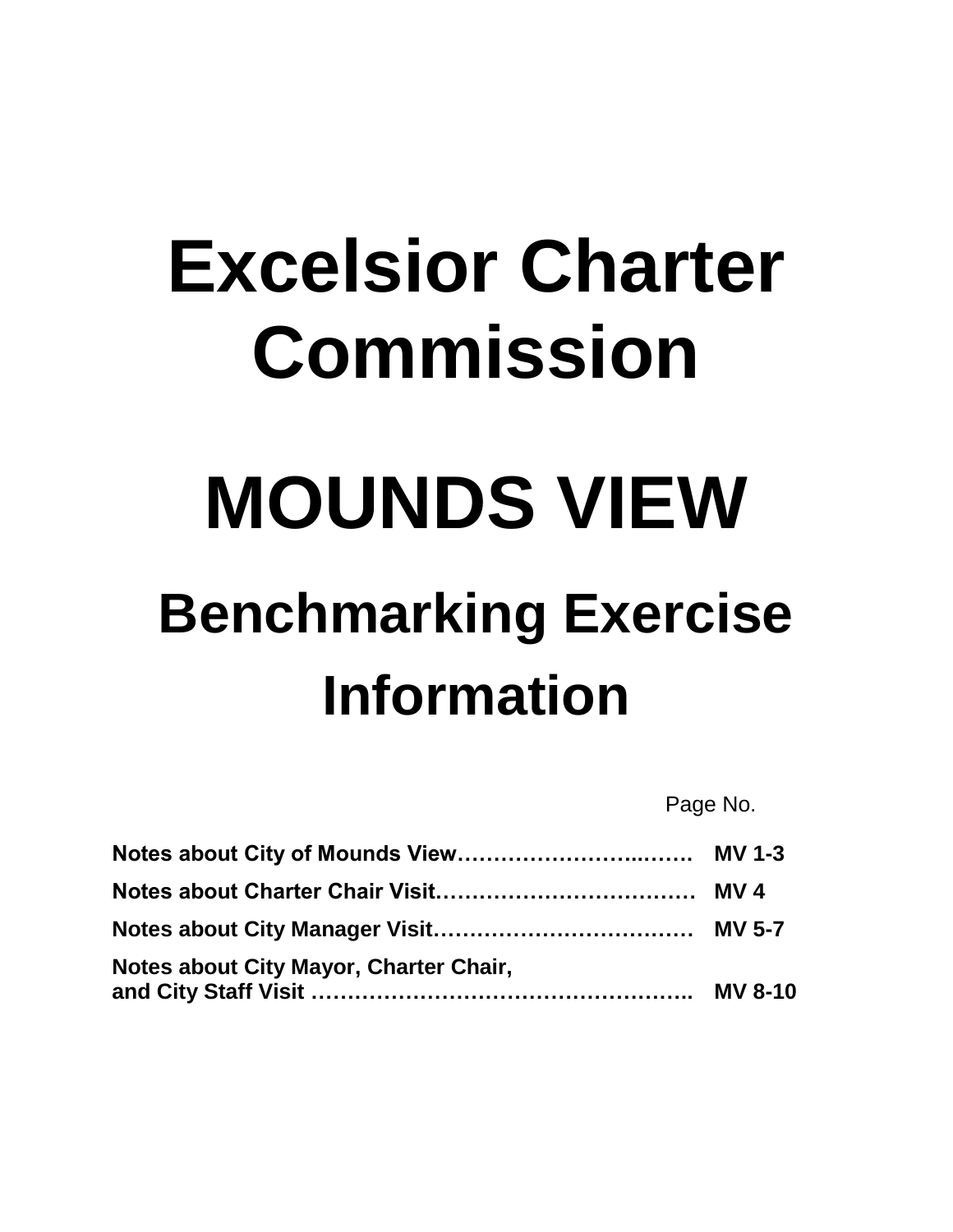# **Excelsior Charter Commission**

# **MOUNDS VIEW**

## **Benchmarking Exercise Information**

Page No.

| Notes about City Mayor, Charter Chair, |  |
|----------------------------------------|--|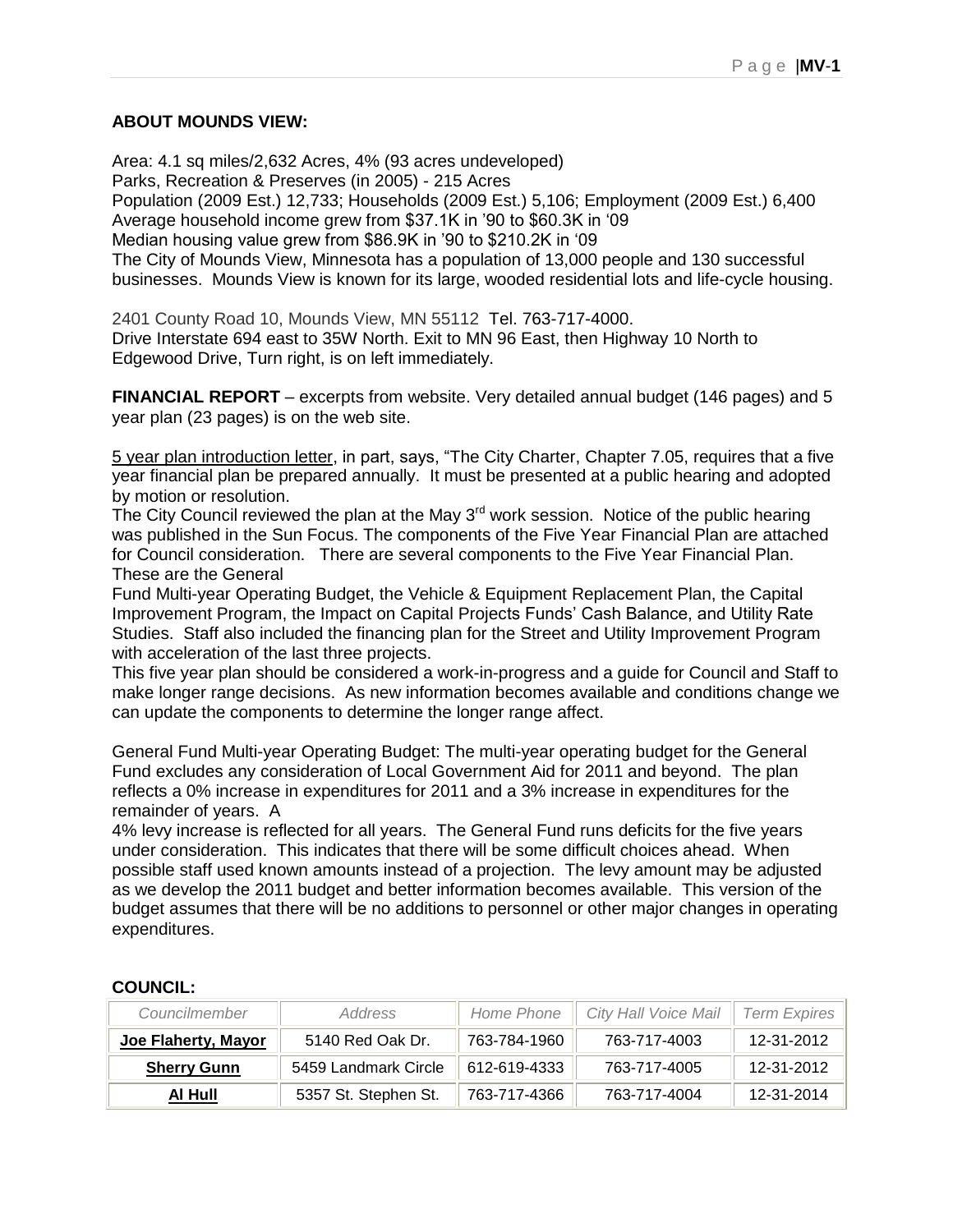#### **ABOUT MOUNDS VIEW:**

Area: 4.1 sq miles/2,632 Acres, 4% (93 acres undeveloped) Parks, Recreation & Preserves (in 2005) - 215 Acres Population (2009 Est.) 12,733; Households (2009 Est.) 5,106; Employment (2009 Est.) 6,400 Average household income grew from \$37.1K in "90 to \$60.3K in "09 Median housing value grew from \$86.9K in "90 to \$210.2K in "09 The City of Mounds View, Minnesota has a population of 13,000 people and 130 successful businesses. Mounds View is known for its large, wooded residential lots and life-cycle housing.

2401 County Road 10, Mounds View, MN 55112 Tel. 763-717-4000. Drive Interstate 694 east to 35W North. Exit to MN 96 East, then Highway 10 North to Edgewood Drive, Turn right, is on left immediately.

**FINANCIAL REPORT** – excerpts from website. Very detailed annual budget (146 pages) and 5 year plan (23 pages) is on the web site.

5 year plan introduction letter, in part, says, "The City Charter, Chapter 7.05, requires that a five year financial plan be prepared annually. It must be presented at a public hearing and adopted by motion or resolution.

The City Council reviewed the plan at the May  $3<sup>rd</sup>$  work session. Notice of the public hearing was published in the Sun Focus. The components of the Five Year Financial Plan are attached for Council consideration. There are several components to the Five Year Financial Plan. These are the General

Fund Multi-year Operating Budget, the Vehicle & Equipment Replacement Plan, the Capital Improvement Program, the Impact on Capital Projects Funds" Cash Balance, and Utility Rate Studies. Staff also included the financing plan for the Street and Utility Improvement Program with acceleration of the last three projects.

This five year plan should be considered a work-in-progress and a guide for Council and Staff to make longer range decisions. As new information becomes available and conditions change we can update the components to determine the longer range affect.

General Fund Multi-year Operating Budget: The multi-year operating budget for the General Fund excludes any consideration of Local Government Aid for 2011 and beyond. The plan reflects a 0% increase in expenditures for 2011 and a 3% increase in expenditures for the remainder of years. A

4% levy increase is reflected for all years. The General Fund runs deficits for the five years under consideration. This indicates that there will be some difficult choices ahead. When possible staff used known amounts instead of a projection. The levy amount may be adjusted as we develop the 2011 budget and better information becomes available. This version of the budget assumes that there will be no additions to personnel or other major changes in operating expenditures.

| Councilmember       | Home Phone<br><i>Address</i> |              | City Hall Voice Mail | <b>Term Expires</b> |
|---------------------|------------------------------|--------------|----------------------|---------------------|
| Joe Flaherty, Mayor | 5140 Red Oak Dr.             | 763-784-1960 | 763-717-4003         | 12-31-2012          |
| <b>Sherry Gunn</b>  | 5459 Landmark Circle         | 612-619-4333 | 763-717-4005         | 12-31-2012          |
| Al Hull             | 5357 St. Stephen St.         | 763-717-4366 | 763-717-4004         | 12-31-2014          |

#### **COUNCIL:**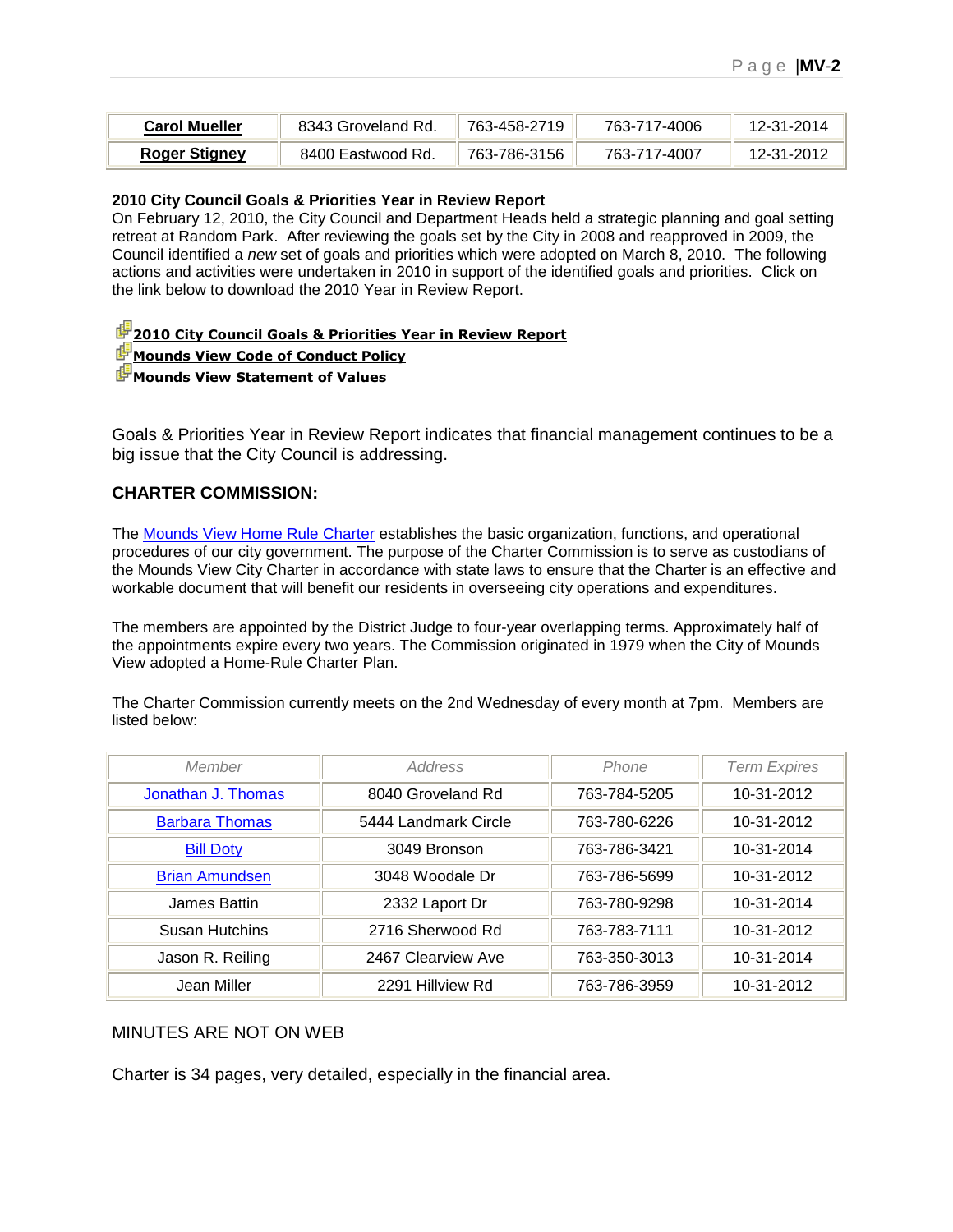| <b>Carol Mueller</b> | 8343 Groveland Rd. | 763-458-2719 | 763-717-4006 | 12-31-2014 |
|----------------------|--------------------|--------------|--------------|------------|
| <b>Roger Stigney</b> | 8400 Eastwood Rd.  | 763-786-3156 | 763-717-4007 | 12-31-2012 |

#### **2010 City Council Goals & Priorities Year in Review Report**

On February 12, 2010, the City Council and Department Heads held a strategic planning and goal setting retreat at Random Park. After reviewing the goals set by the City in 2008 and reapproved in 2009, the Council identified a *new* set of goals and priorities which were adopted on March 8, 2010. The following actions and activities were undertaken in 2010 in support of the identified goals and priorities. Click on the link below to download the 2010 Year in Review Report.

#### **<sup>2</sup>[2010 City Council Goals & Priorities Year in Review Report](http://www.ci.mounds-view.mn.us/vertical/Sites/%7B9DACB450-86B3-4304-946D-6016EF70E9E3%7D/uploads/%7BD0D80EC9-4FCC-4EC5-A213-EF2C9AC22BAC%7D.PDF)**

#### **[Mounds View Code of Conduct Policy](http://www.ci.mounds-view.mn.us/vertical/Sites/%7B9DACB450-86B3-4304-946D-6016EF70E9E3%7D/uploads/%7BCD76B1EF-DD38-4389-96C7-49BAB75DBCAB%7D.PDF)**

#### **[Mounds View Statement of Values](http://www.ci.mounds-view.mn.us/vertical/Sites/%7B9DACB450-86B3-4304-946D-6016EF70E9E3%7D/uploads/%7BD6CBEA7B-A693-4F3D-A60A-ED915641A1D3%7D.PDF)**

Goals & Priorities Year in Review Report indicates that financial management continues to be a big issue that the City Council is addressing.

#### **CHARTER COMMISSION:**

The [Mounds View Home Rule Charter](http://www.ci.mounds-view.mn.us/vertical/Sites/%7B9DACB450-86B3-4304-946D-6016EF70E9E3%7D/uploads/%7BC8C59626-E30E-467A-8974-BC7D09E2FE7F%7D.PDF) establishes the basic organization, functions, and operational procedures of our city government. The purpose of the Charter Commission is to serve as custodians of the Mounds View City Charter in accordance with state laws to ensure that the Charter is an effective and workable document that will benefit our residents in overseeing city operations and expenditures.

The members are appointed by the District Judge to four-year overlapping terms. Approximately half of the appointments expire every two years. The Commission originated in 1979 when the City of Mounds View adopted a Home-Rule Charter Plan.

The Charter Commission currently meets on the 2nd Wednesday of every month at 7pm. Members are listed below:

| Member                | Address              | Phone        | <b>Term Expires</b> |  |
|-----------------------|----------------------|--------------|---------------------|--|
| Jonathan J. Thomas    | 8040 Groveland Rd    | 763-784-5205 | 10-31-2012          |  |
| <b>Barbara Thomas</b> | 5444 Landmark Circle | 763-780-6226 | 10-31-2012          |  |
| <b>Bill Doty</b>      | 3049 Bronson         | 763-786-3421 | 10-31-2014          |  |
| <b>Brian Amundsen</b> | 3048 Woodale Dr      | 763-786-5699 | 10-31-2012          |  |
| James Battin          | 2332 Laport Dr       | 763-780-9298 | 10-31-2014          |  |
| Susan Hutchins        | 2716 Sherwood Rd     | 763-783-7111 | 10-31-2012          |  |
| Jason R. Reiling      | 2467 Clearview Ave   | 763-350-3013 | 10-31-2014          |  |
| Jean Miller           | 2291 Hillview Rd     | 763-786-3959 | 10-31-2012          |  |

#### MINUTES ARE NOT ON WEB

Charter is 34 pages, very detailed, especially in the financial area.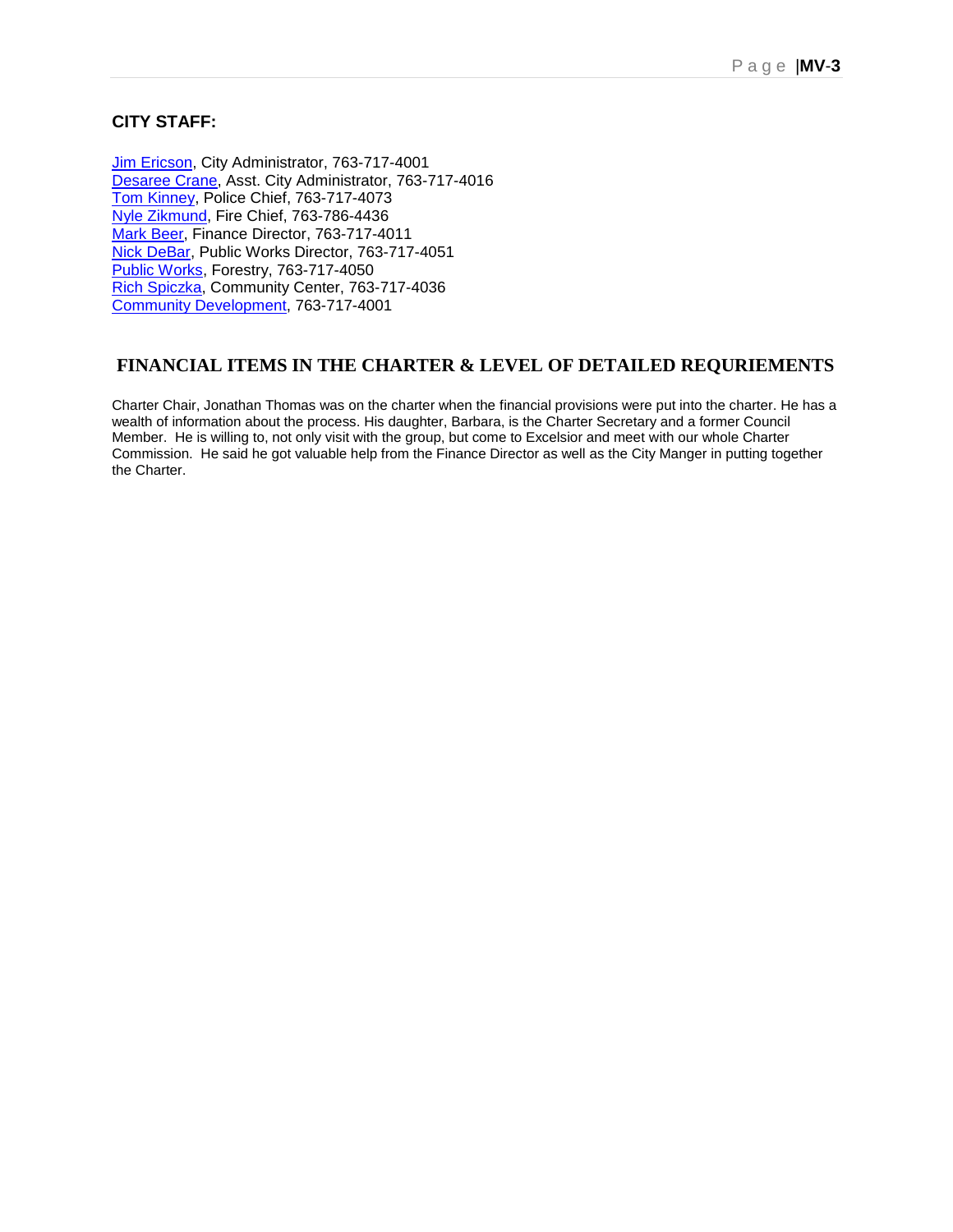#### **CITY STAFF:**

[Jim Ericson,](mailto:jim.ericson@ci.mounds-view.mn.us) City Administrator, 763-717-4001 [Desaree Crane,](mailto:desaree.crane@ci.mounds-view.mn.us) Asst. City Administrator, 763-717-4016 [Tom Kinney,](mailto:tom.kinney@ci.mounds-view.mn.us) Police Chief, 763-717-4073 [Nyle Zikmund,](mailto:nzikmund@sbmfire.com) Fire Chief, 763-786-4436 [Mark Beer,](mailto:mark.beer@ci.mounds-view.mn.us) Finance Director, 763-717-4011 [Nick DeBar,](mailto:nick.debar@ci.mounds-view.mn.us) Public Works Director, 763-717-4051 [Public Works,](mailto:tracy.juell@ci.mounds-view.mn.us) Forestry, 763-717-4050 [Rich Spiczka,](mailto:rich.spiczka@ci.mounds-view.mn.us) Community Center, 763-717-4036 [Community Development,](mailto:jime@ci.mounds-view.mn.us) 763-717-4001

#### **FINANCIAL ITEMS IN THE CHARTER & LEVEL OF DETAILED REQURIEMENTS**

Charter Chair, Jonathan Thomas was on the charter when the financial provisions were put into the charter. He has a wealth of information about the process. His daughter, Barbara, is the Charter Secretary and a former Council Member. He is willing to, not only visit with the group, but come to Excelsior and meet with our whole Charter Commission. He said he got valuable help from the Finance Director as well as the City Manger in putting together the Charter.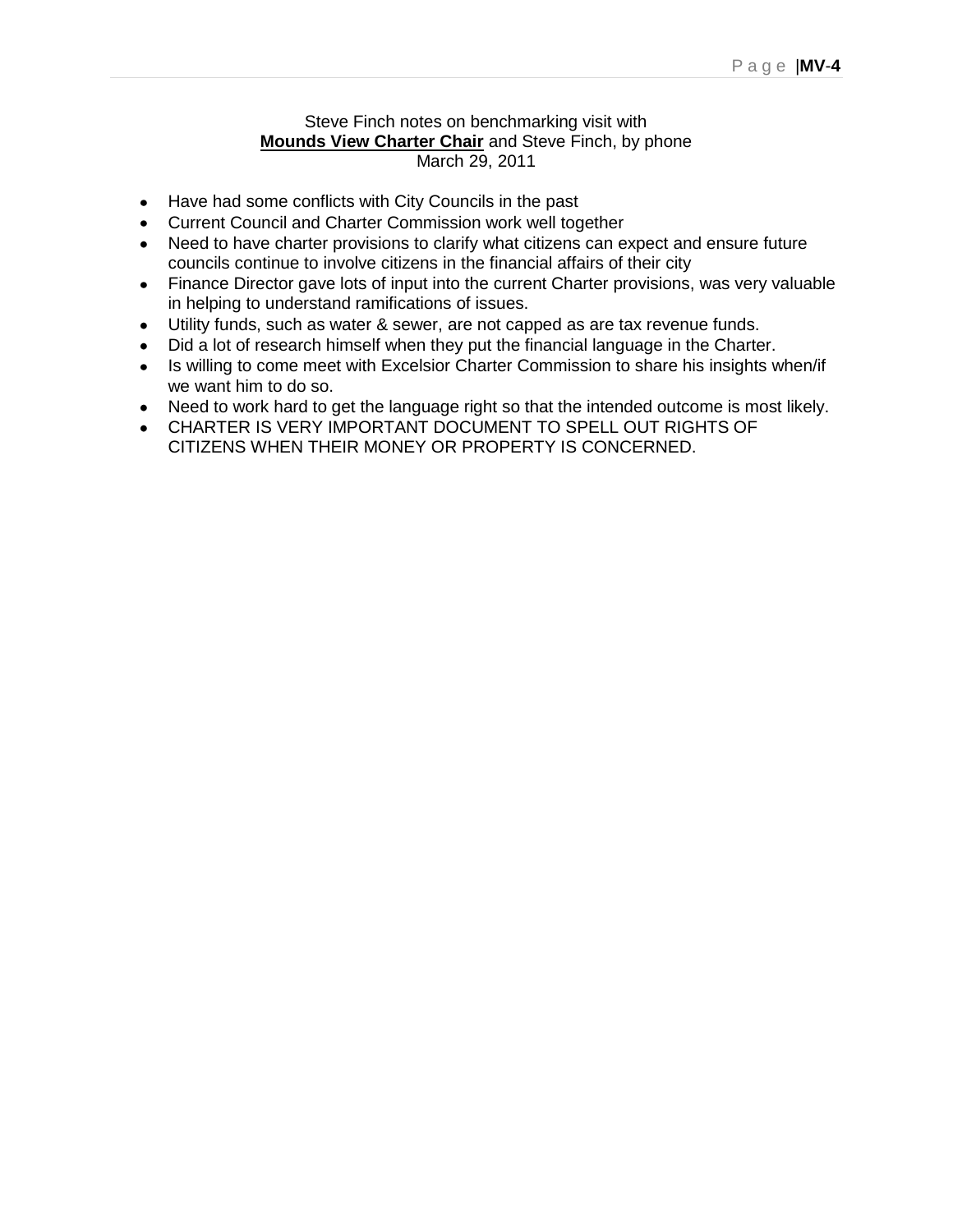#### Steve Finch notes on benchmarking visit with **Mounds View Charter Chair** and Steve Finch, by phone March 29, 2011

- Have had some conflicts with City Councils in the past
- Current Council and Charter Commission work well together
- Need to have charter provisions to clarify what citizens can expect and ensure future councils continue to involve citizens in the financial affairs of their city
- Finance Director gave lots of input into the current Charter provisions, was very valuable in helping to understand ramifications of issues.
- Utility funds, such as water & sewer, are not capped as are tax revenue funds.  $\bullet$
- Did a lot of research himself when they put the financial language in the Charter.
- $\bullet$ Is willing to come meet with Excelsior Charter Commission to share his insights when/if we want him to do so.
- Need to work hard to get the language right so that the intended outcome is most likely.
- CHARTER IS VERY IMPORTANT DOCUMENT TO SPELL OUT RIGHTS OF CITIZENS WHEN THEIR MONEY OR PROPERTY IS CONCERNED.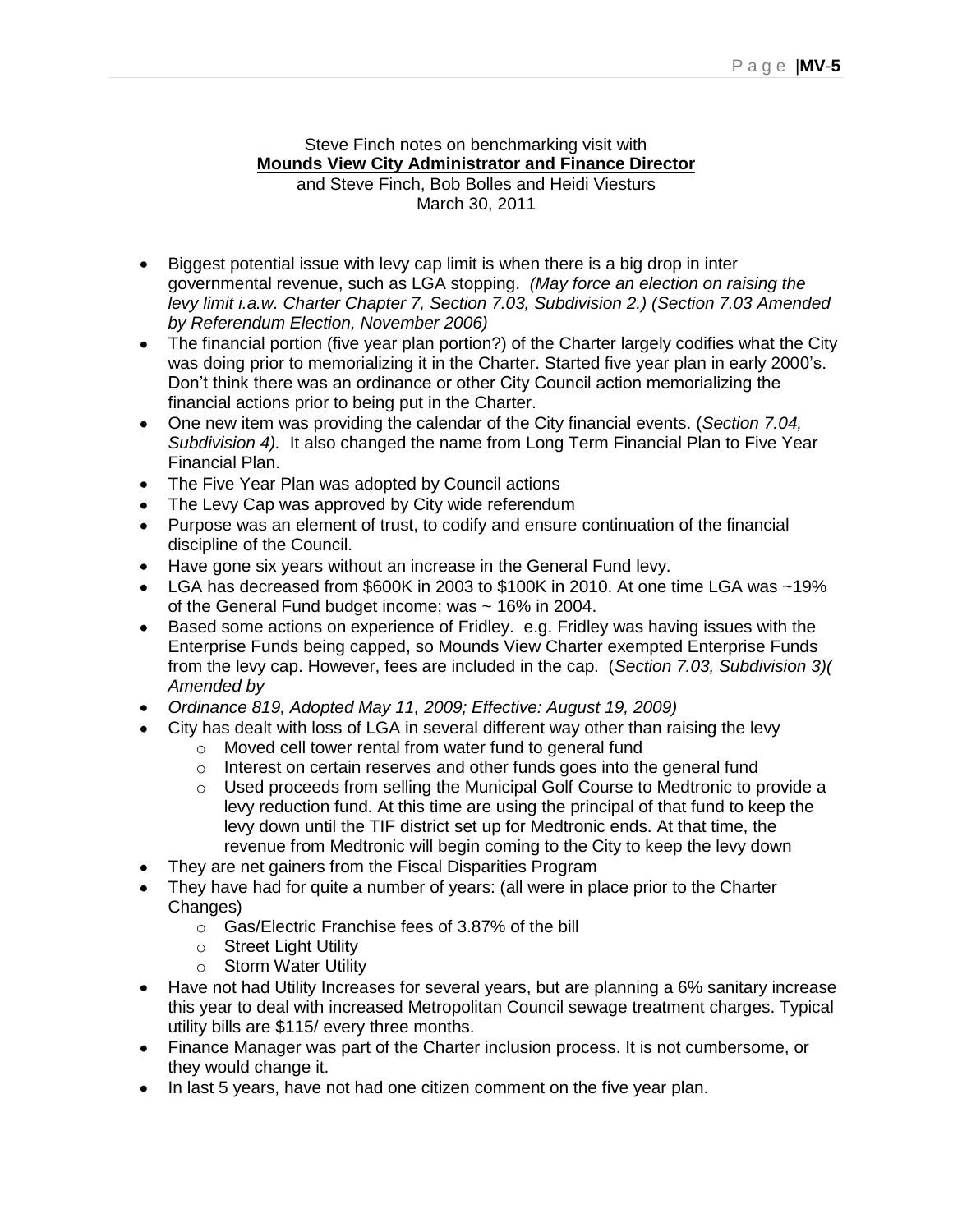Steve Finch notes on benchmarking visit with **Mounds View City Administrator and Finance Director**

and Steve Finch, Bob Bolles and Heidi Viesturs March 30, 2011

- Biggest potential issue with levy cap limit is when there is a big drop in inter governmental revenue, such as LGA stopping. *(May force an election on raising the levy limit i.a.w. Charter Chapter 7, Section 7.03, Subdivision 2.) (Section 7.03 Amended by Referendum Election, November 2006)*
- The financial portion (five year plan portion?) of the Charter largely codifies what the City was doing prior to memorializing it in the Charter. Started five year plan in early 2000"s. Don"t think there was an ordinance or other City Council action memorializing the financial actions prior to being put in the Charter.
- One new item was providing the calendar of the City financial events. (*Section 7.04, Subdivision 4).* It also changed the name from Long Term Financial Plan to Five Year Financial Plan.
- The Five Year Plan was adopted by Council actions
- The Levy Cap was approved by City wide referendum
- Purpose was an element of trust, to codify and ensure continuation of the financial discipline of the Council.
- Have gone six years without an increase in the General Fund levy.
- LGA has decreased from \$600K in 2003 to \$100K in 2010. At one time LGA was ~19% of the General Fund budget income; was ~ 16% in 2004.
- Based some actions on experience of Fridley. e.g. Fridley was having issues with the Enterprise Funds being capped, so Mounds View Charter exempted Enterprise Funds from the levy cap. However, fees are included in the cap. (*Section 7.03, Subdivision 3)( Amended by*
- *Ordinance 819, Adopted May 11, 2009; Effective: August 19, 2009)*
- City has dealt with loss of LGA in several different way other than raising the levy
	- o Moved cell tower rental from water fund to general fund
	- o Interest on certain reserves and other funds goes into the general fund
	- o Used proceeds from selling the Municipal Golf Course to Medtronic to provide a levy reduction fund. At this time are using the principal of that fund to keep the levy down until the TIF district set up for Medtronic ends. At that time, the revenue from Medtronic will begin coming to the City to keep the levy down
- They are net gainers from the Fiscal Disparities Program
- They have had for quite a number of years: (all were in place prior to the Charter Changes)
	- o Gas/Electric Franchise fees of 3.87% of the bill
	- o Street Light Utility
	- o Storm Water Utility
- Have not had Utility Increases for several years, but are planning a 6% sanitary increase this year to deal with increased Metropolitan Council sewage treatment charges. Typical utility bills are \$115/ every three months.
- Finance Manager was part of the Charter inclusion process. It is not cumbersome, or they would change it.
- In last 5 years, have not had one citizen comment on the five year plan.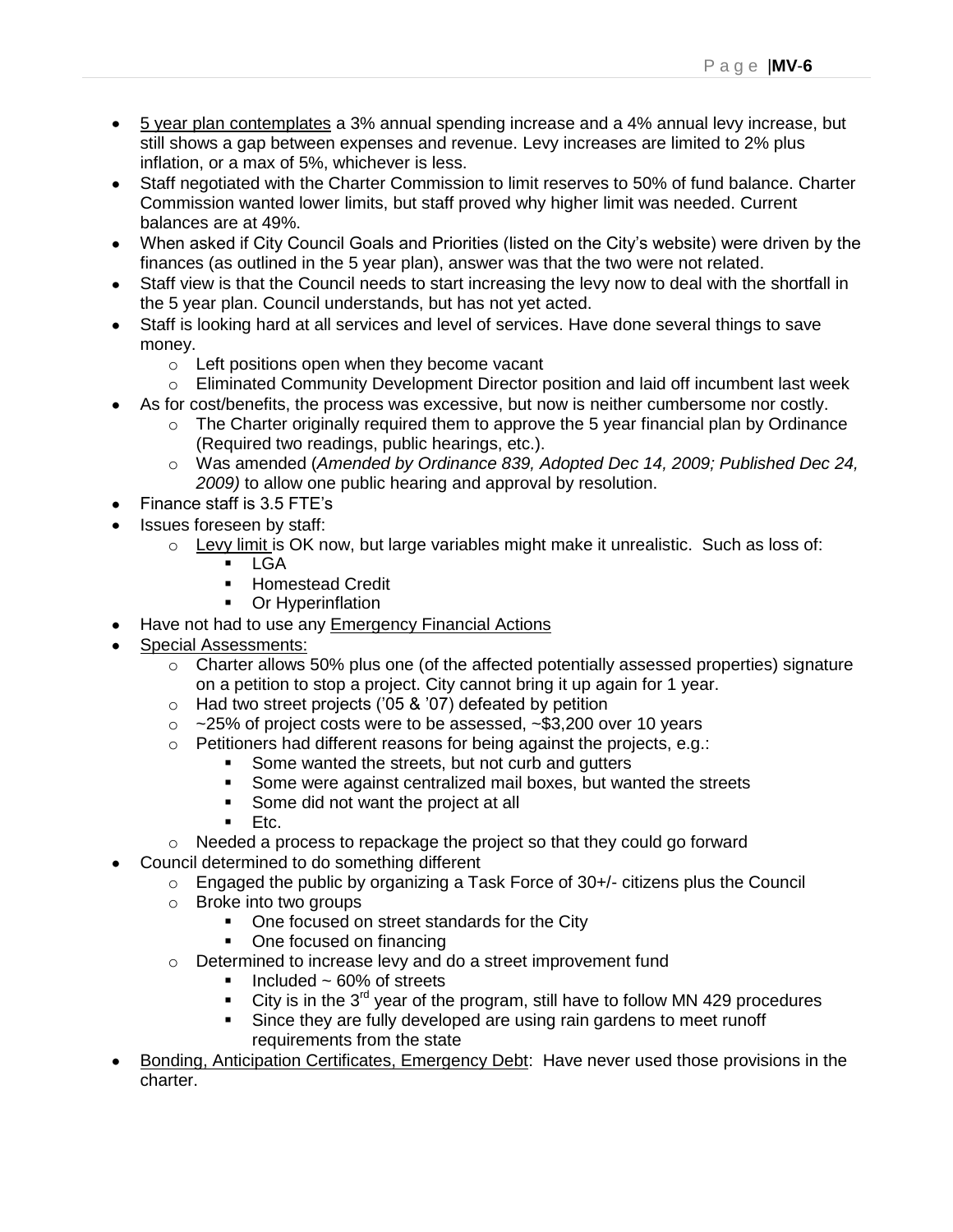- 5 year plan contemplates a 3% annual spending increase and a 4% annual levy increase, but still shows a gap between expenses and revenue. Levy increases are limited to 2% plus inflation, or a max of 5%, whichever is less.
- Staff negotiated with the Charter Commission to limit reserves to 50% of fund balance. Charter Commission wanted lower limits, but staff proved why higher limit was needed. Current balances are at 49%.
- When asked if City Council Goals and Priorities (listed on the City"s website) were driven by the finances (as outlined in the 5 year plan), answer was that the two were not related.
- Staff view is that the Council needs to start increasing the levy now to deal with the shortfall in the 5 year plan. Council understands, but has not yet acted.
- Staff is looking hard at all services and level of services. Have done several things to save money.
	- o Left positions open when they become vacant
	- $\circ$  Eliminated Community Development Director position and laid off incumbent last week
- As for cost/benefits, the process was excessive, but now is neither cumbersome nor costly.
	- $\circ$  The Charter originally required them to approve the 5 year financial plan by Ordinance (Required two readings, public hearings, etc.).
	- o Was amended (*Amended by Ordinance 839, Adopted Dec 14, 2009; Published Dec 24, 2009)* to allow one public hearing and approval by resolution.
- Finance staff is 3.5 FTE"s
- Issues foreseen by staff:
	- $\circ$  Levy limit is OK now, but large variables might make it unrealistic. Such as loss of:
		- **-** LGA
		- **Homestead Credit**
		- Or Hyperinflation
- Have not had to use any **Emergency Financial Actions**
- Special Assessments:
	- o Charter allows 50% plus one (of the affected potentially assessed properties) signature on a petition to stop a project. City cannot bring it up again for 1 year.
	- $\circ$  Had two street projects ('05 & '07) defeated by petition
	- $\circ$  ~25% of project costs were to be assessed, ~\$3,200 over 10 years
	- o Petitioners had different reasons for being against the projects, e.g.:
		- Some wanted the streets, but not curb and gutters
			- Some were against centralized mail boxes, but wanted the streets
			- Some did not want the project at all
		- Etc.
	- $\circ$  Needed a process to repackage the project so that they could go forward
- Council determined to do something different
	- $\circ$  Engaged the public by organizing a Task Force of 30+/- citizens plus the Council
	- o Broke into two groups
		- One focused on street standards for the City
		- One focused on financing
	- o Determined to increase levy and do a street improvement fund
		- $\blacksquare$  Included ~ 60% of streets
		- City is in the  $3<sup>rd</sup>$  year of the program, still have to follow MN 429 procedures
		- Since they are fully developed are using rain gardens to meet runoff requirements from the state
- Bonding, Anticipation Certificates, Emergency Debt: Have never used those provisions in the charter.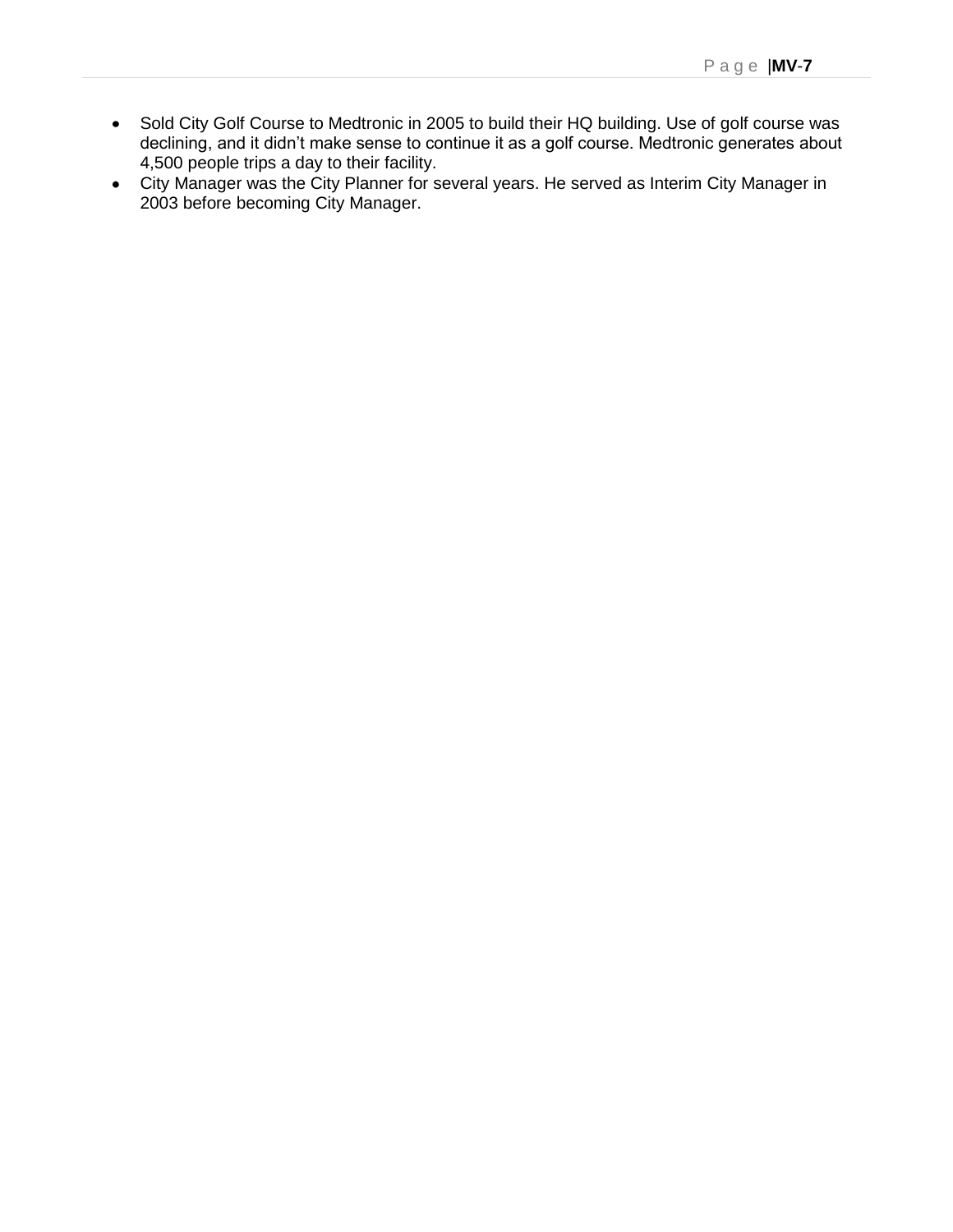- Sold City Golf Course to Medtronic in 2005 to build their HQ building. Use of golf course was declining, and it didn"t make sense to continue it as a golf course. Medtronic generates about 4,500 people trips a day to their facility.
- City Manager was the City Planner for several years. He served as Interim City Manager in 2003 before becoming City Manager.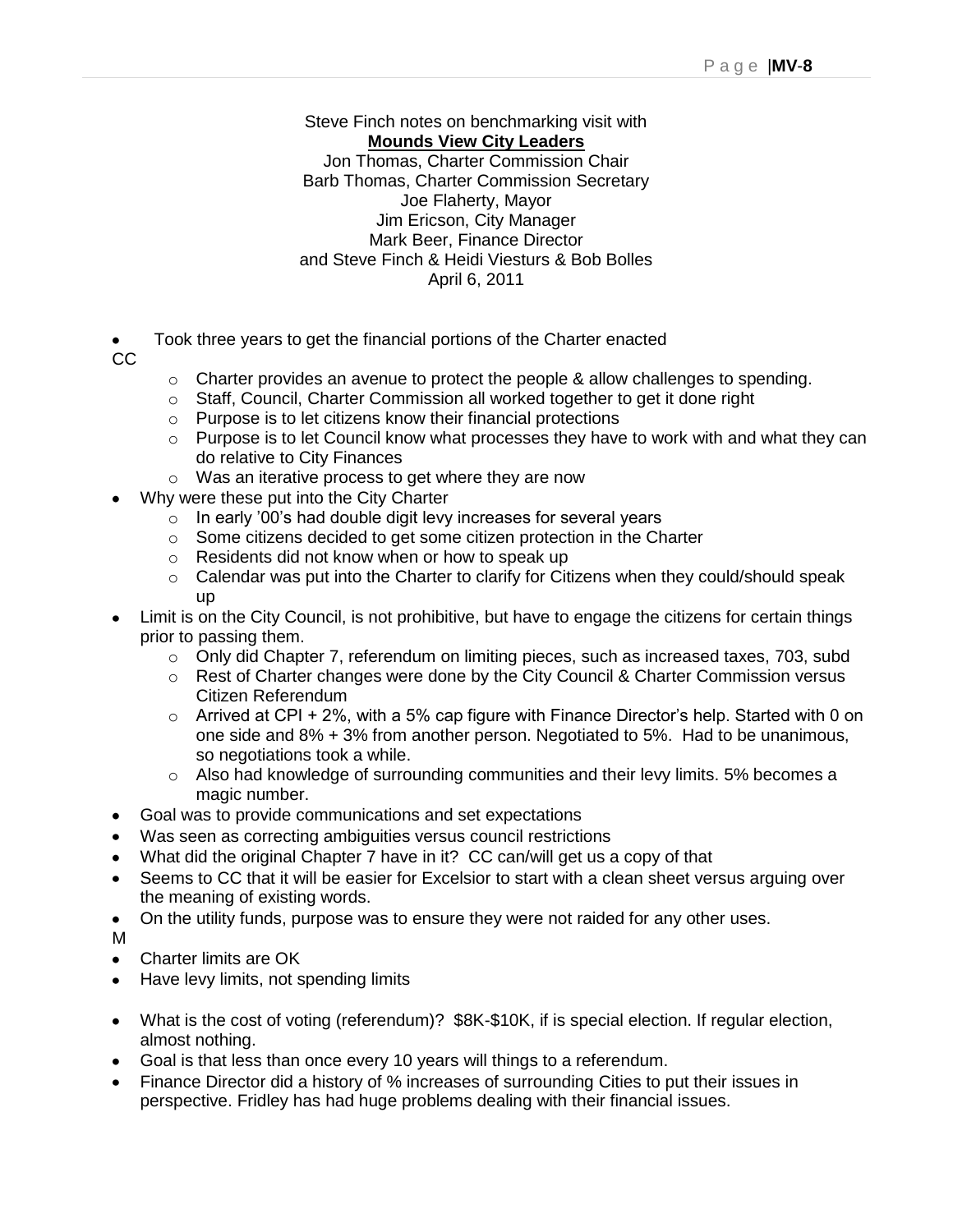#### Steve Finch notes on benchmarking visit with **Mounds View City Leaders** Jon Thomas, Charter Commission Chair Barb Thomas, Charter Commission Secretary Joe Flaherty, Mayor Jim Ericson, City Manager Mark Beer, Finance Director and Steve Finch & Heidi Viesturs & Bob Bolles April 6, 2011

Took three years to get the financial portions of the Charter enacted

CC

- o Charter provides an avenue to protect the people & allow challenges to spending.
- $\circ$  Staff, Council, Charter Commission all worked together to get it done right
- o Purpose is to let citizens know their financial protections
- o Purpose is to let Council know what processes they have to work with and what they can do relative to City Finances
- o Was an iterative process to get where they are now
- Why were these put into the City Charter
	- $\circ$  In early '00's had double digit levy increases for several years
	- o Some citizens decided to get some citizen protection in the Charter
	- o Residents did not know when or how to speak up
	- $\circ$  Calendar was put into the Charter to clarify for Citizens when they could/should speak up
- Limit is on the City Council, is not prohibitive, but have to engage the citizens for certain things prior to passing them.
	- o Only did Chapter 7, referendum on limiting pieces, such as increased taxes, 703, subd
	- o Rest of Charter changes were done by the City Council & Charter Commission versus Citizen Referendum
	- $\circ$  Arrived at CPI + 2%, with a 5% cap figure with Finance Director's help. Started with 0 on one side and 8% + 3% from another person. Negotiated to 5%. Had to be unanimous, so negotiations took a while.
	- $\circ$  Also had knowledge of surrounding communities and their levy limits. 5% becomes a magic number.
- Goal was to provide communications and set expectations
- Was seen as correcting ambiguities versus council restrictions
- What did the original Chapter 7 have in it? CC can/will get us a copy of that
- Seems to CC that it will be easier for Excelsior to start with a clean sheet versus arguing over the meaning of existing words.
- On the utility funds, purpose was to ensure they were not raided for any other uses.

M

- Charter limits are OK  $\bullet$
- Have levy limits, not spending limits
- What is the cost of voting (referendum)? \$8K-\$10K, if is special election. If regular election, almost nothing.
- Goal is that less than once every 10 years will things to a referendum.
- Finance Director did a history of % increases of surrounding Cities to put their issues in perspective. Fridley has had huge problems dealing with their financial issues.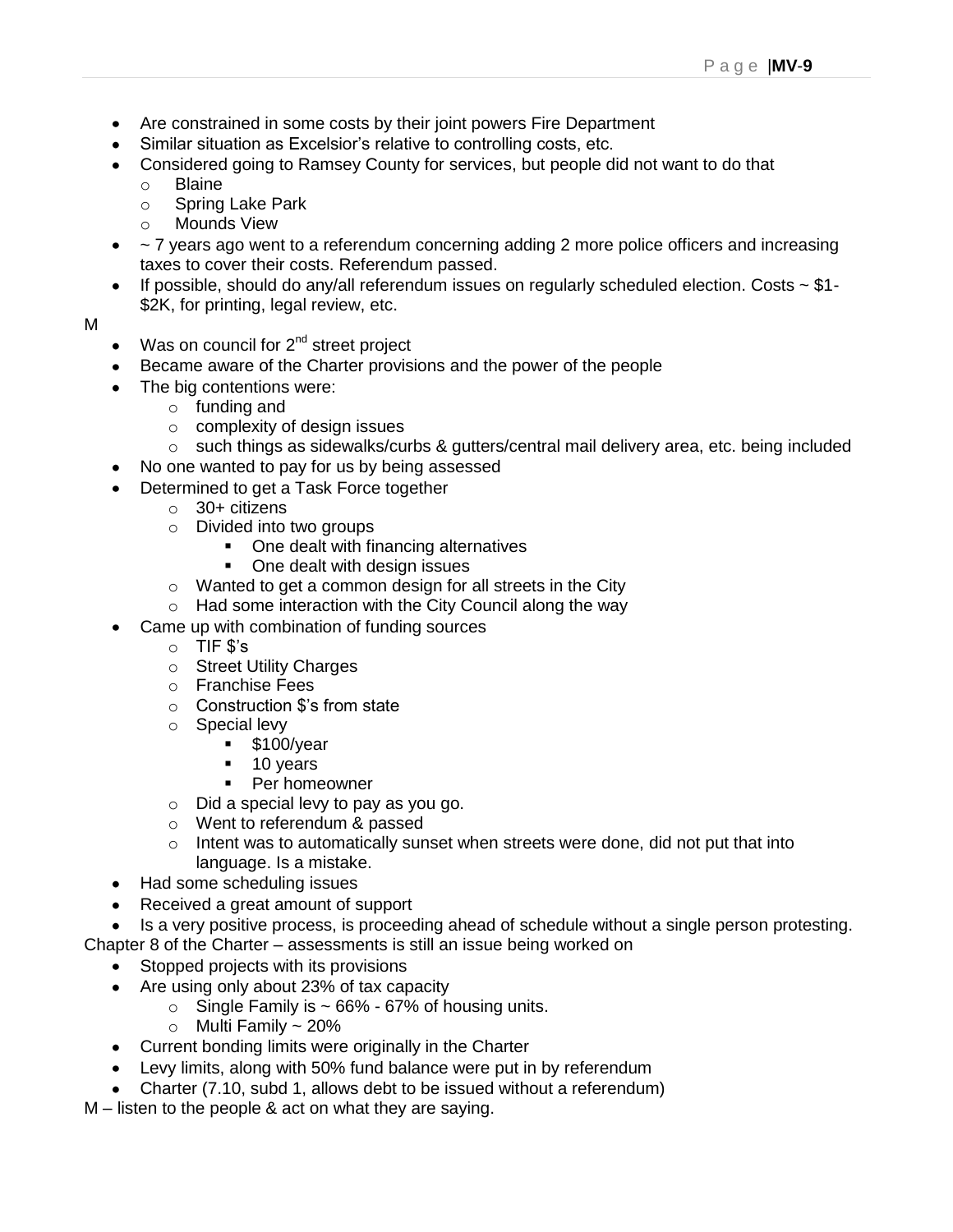- Are constrained in some costs by their joint powers Fire Department
- Similar situation as Excelsior"s relative to controlling costs, etc.
- Considered going to Ramsey County for services, but people did not want to do that
	- o Blaine
	- o Spring Lake Park
	- o Mounds View
- ~ 7 years ago went to a referendum concerning adding 2 more police officers and increasing taxes to cover their costs. Referendum passed.
- If possible, should do any/all referendum issues on regularly scheduled election. Costs  $\sim$  \$1-\$2K, for printing, legal review, etc.

#### M

- $\bullet$  Was on council for  $2^{nd}$  street project
- Became aware of the Charter provisions and the power of the people
- The big contentions were:
	- o funding and
	- o complexity of design issues
	- o such things as sidewalks/curbs & gutters/central mail delivery area, etc. being included
- No one wanted to pay for us by being assessed
- Determined to get a Task Force together
	- $\circ$  30+ citizens
		- o Divided into two groups
			- One dealt with financing alternatives
			- One dealt with design issues
		- o Wanted to get a common design for all streets in the City
		- o Had some interaction with the City Council along the way
- Came up with combination of funding sources
	- o TIF \$"s
	- o Street Utility Charges
	- o Franchise Fees
	- o Construction \$"s from state
	- o Special levy
		- \$100/year
		- 10 years
		- **Per homeowner**
	- o Did a special levy to pay as you go.
	- o Went to referendum & passed
	- $\circ$  Intent was to automatically sunset when streets were done, did not put that into language. Is a mistake.
- Had some scheduling issues
- Received a great amount of support
- Is a very positive process, is proceeding ahead of schedule without a single person protesting.
- Chapter 8 of the Charter assessments is still an issue being worked on
	- Stopped projects with its provisions
	- Are using only about 23% of tax capacity
		- $\circ$  Single Family is  $\sim$  66% 67% of housing units.
		- $\circ$  Multi Family ~ 20%
	- Current bonding limits were originally in the Charter
	- Levy limits, along with 50% fund balance were put in by referendum
	- Charter (7.10, subd 1, allows debt to be issued without a referendum)

M – listen to the people & act on what they are saying.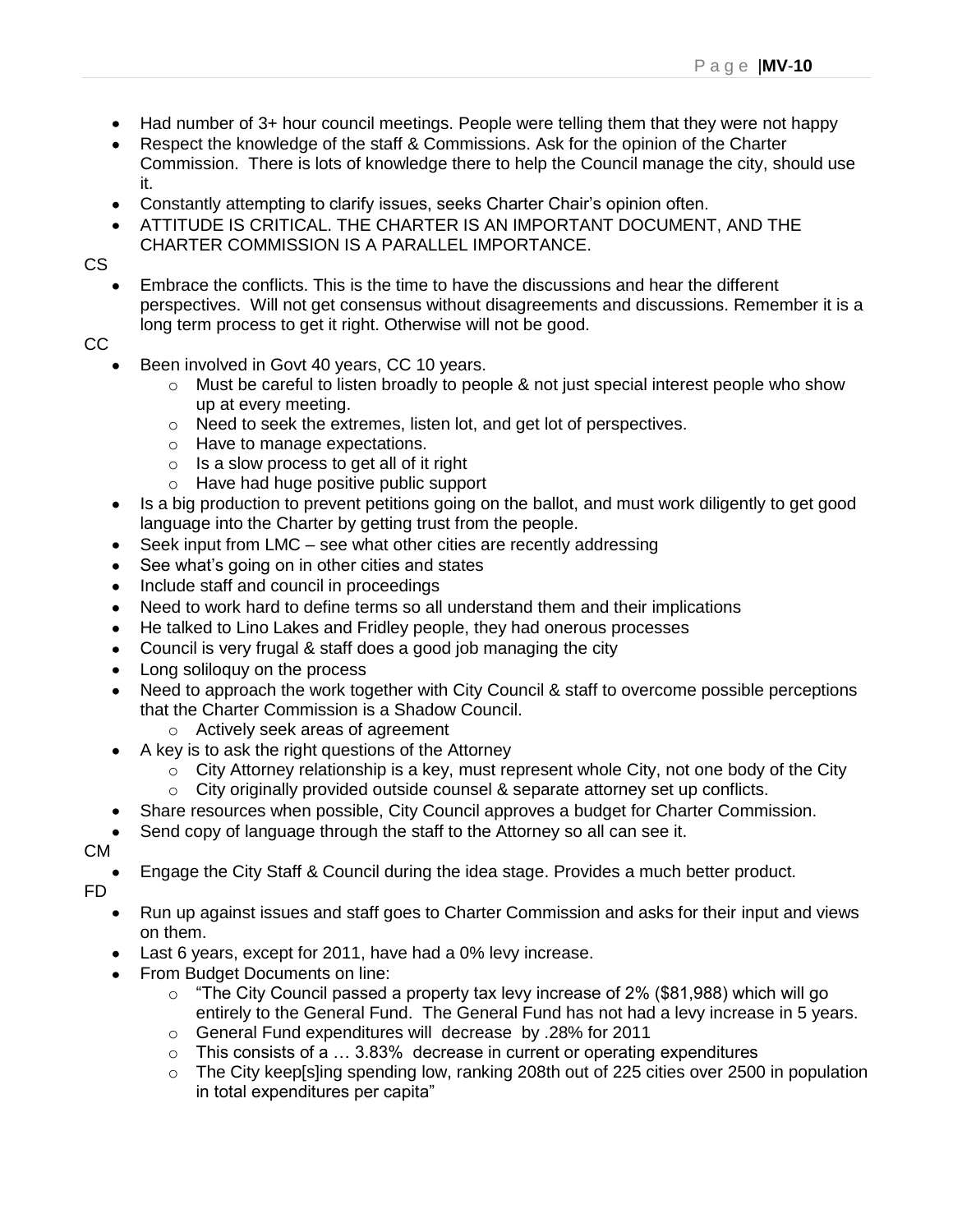- Had number of 3+ hour council meetings. People were telling them that they were not happy
- Respect the knowledge of the staff & Commissions. Ask for the opinion of the Charter Commission. There is lots of knowledge there to help the Council manage the city, should use it.
- Constantly attempting to clarify issues, seeks Charter Chair"s opinion often.
- ATTITUDE IS CRITICAL. THE CHARTER IS AN IMPORTANT DOCUMENT, AND THE CHARTER COMMISSION IS A PARALLEL IMPORTANCE.

CS

Embrace the conflicts. This is the time to have the discussions and hear the different perspectives. Will not get consensus without disagreements and discussions. Remember it is a long term process to get it right. Otherwise will not be good.

CC

- Been involved in Govt 40 years, CC 10 years.
	- o Must be careful to listen broadly to people & not just special interest people who show up at every meeting.
	- o Need to seek the extremes, listen lot, and get lot of perspectives.
	- o Have to manage expectations.
	- $\circ$  Is a slow process to get all of it right
	- o Have had huge positive public support
- Is a big production to prevent petitions going on the ballot, and must work diligently to get good language into the Charter by getting trust from the people.
- Seek input from LMC see what other cities are recently addressing
- See what's going on in other cities and states
- Include staff and council in proceedings  $\bullet$
- Need to work hard to define terms so all understand them and their implications
- He talked to Lino Lakes and Fridley people, they had onerous processes
- Council is very frugal & staff does a good job managing the city
- Long soliloquy on the process
- Need to approach the work together with City Council & staff to overcome possible perceptions that the Charter Commission is a Shadow Council.
	- o Actively seek areas of agreement
- A key is to ask the right questions of the Attorney
	- $\circ$  City Attorney relationship is a key, must represent whole City, not one body of the City
	- $\circ$  City originally provided outside counsel & separate attorney set up conflicts.
- Share resources when possible, City Council approves a budget for Charter Commission.  $\bullet$
- Send copy of language through the staff to the Attorney so all can see it.

CM

Engage the City Staff & Council during the idea stage. Provides a much better product.

FD

- Run up against issues and staff goes to Charter Commission and asks for their input and views  $\bullet$ on them.
- Last 6 years, except for 2011, have had a 0% levy increase.
- From Budget Documents on line:
	- $\circ$  "The City Council passed a property tax levy increase of 2% (\$81,988) which will go entirely to the General Fund. The General Fund has not had a levy increase in 5 years.
	- o General Fund expenditures will decrease by .28% for 2011
	- o This consists of a … 3.83% decrease in current or operating expenditures
	- o The City keep[s]ing spending low, ranking 208th out of 225 cities over 2500 in population in total expenditures per capita"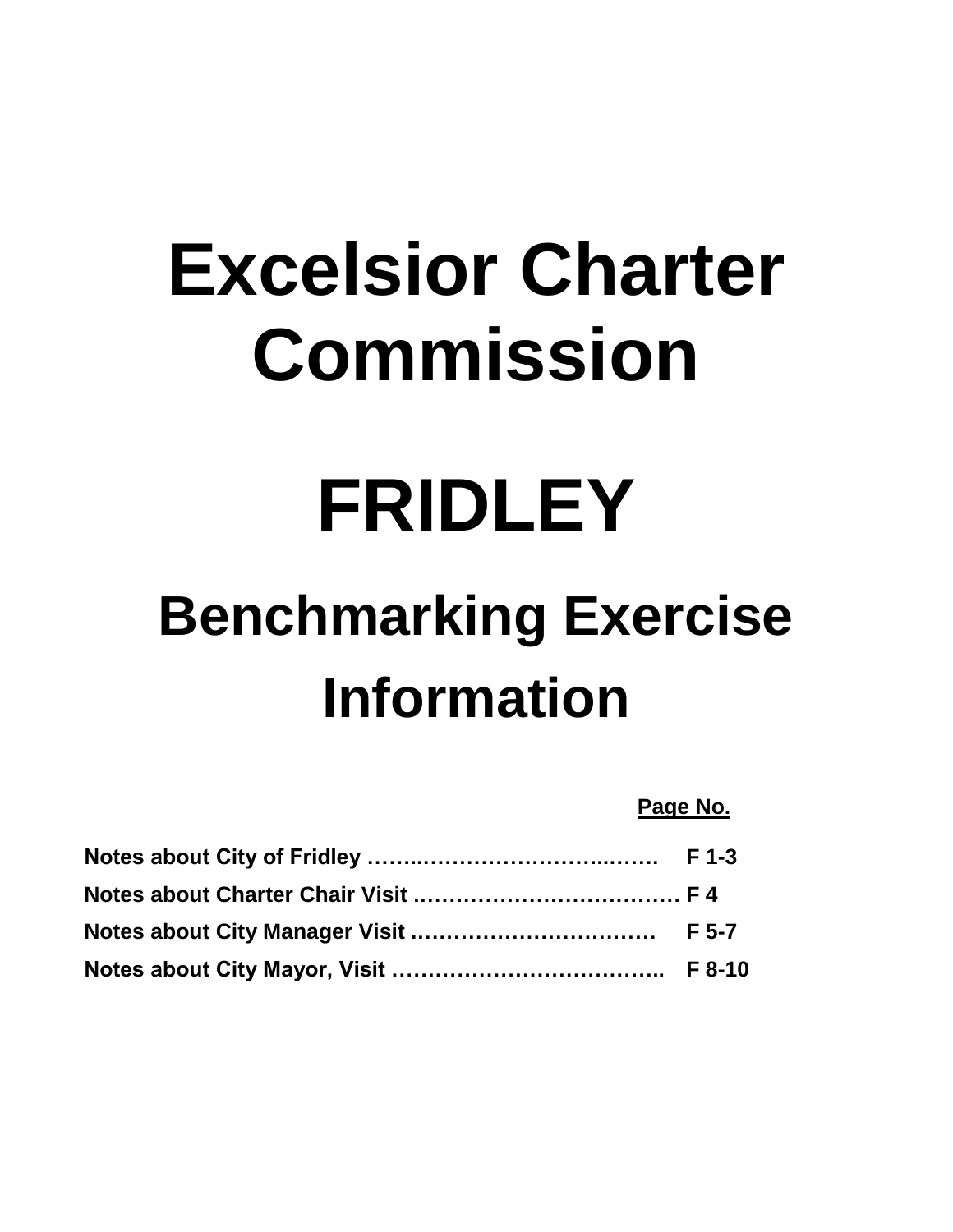## **Excelsior Charter Commission**

## **FRIDLEY**

## **Benchmarking Exercise Information**

**Page No.**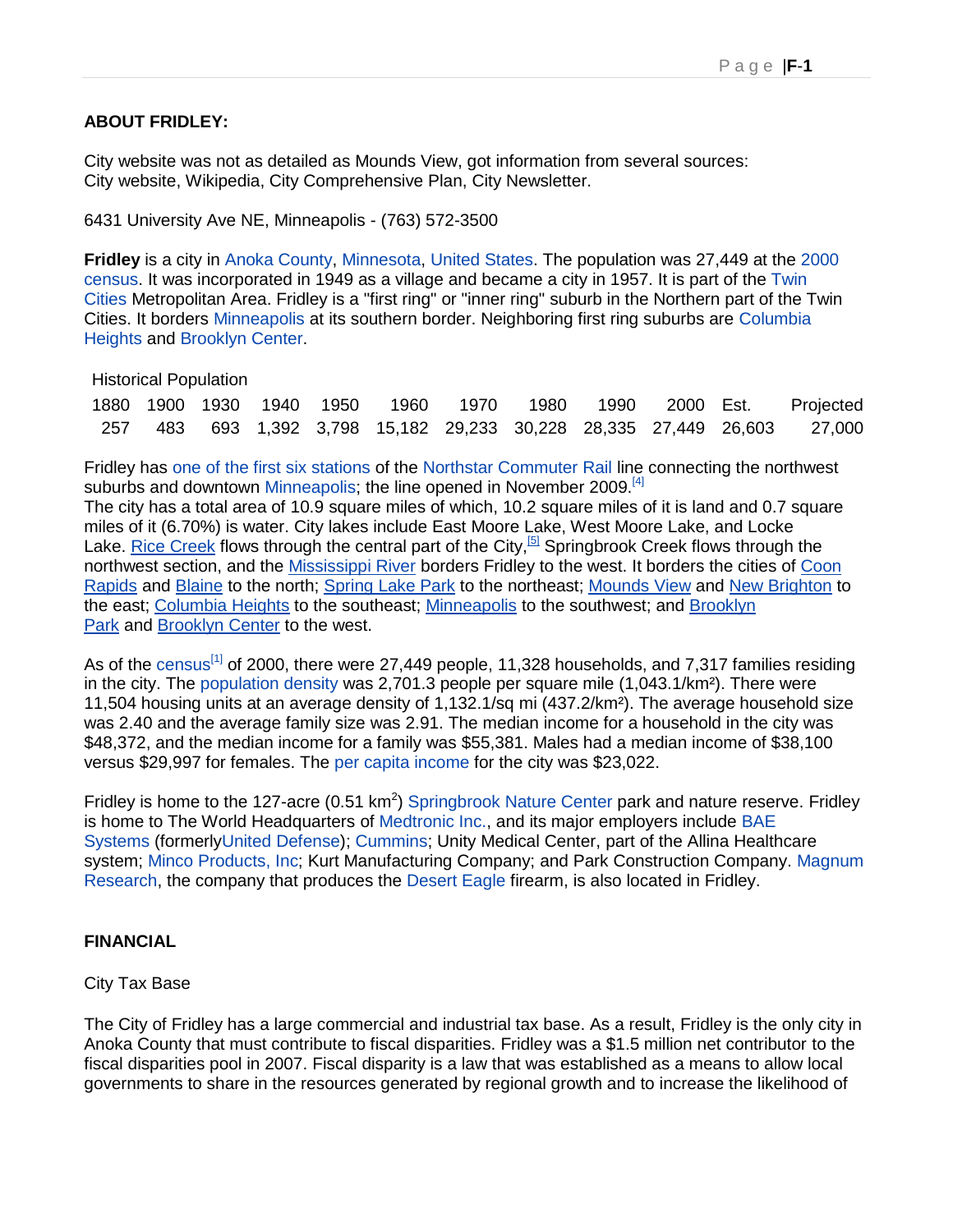#### **ABOUT FRIDLEY:**

City website was not as detailed as Mounds View, got information from several sources: City website, Wikipedia, City Comprehensive Plan, City Newsletter.

6431 University Ave NE, Minneapolis - (763) 572-3500

**Fridley** is a city in [Anoka County,](http://en.wikipedia.org/wiki/Anoka_County,_Minnesota) [Minnesota,](http://en.wikipedia.org/wiki/Minnesota) [United States.](http://en.wikipedia.org/wiki/United_States) The population was 27,449 at the [2000](http://en.wikipedia.org/wiki/United_States_Census_2000)  [census.](http://en.wikipedia.org/wiki/United_States_Census_2000) It was incorporated in 1949 as a village and became a city in 1957. It is part of the [Twin](http://en.wikipedia.org/wiki/Minneapolis-Saint_Paul)  [Cities](http://en.wikipedia.org/wiki/Minneapolis-Saint_Paul) Metropolitan Area. Fridley is a "first ring" or "inner ring" suburb in the Northern part of the Twin Cities. It borders [Minneapolis](http://en.wikipedia.org/wiki/Minneapolis) at its southern border. Neighboring first ring suburbs are [Columbia](http://en.wikipedia.org/wiki/Columbia_Heights,_Minnesota)  [Heights](http://en.wikipedia.org/wiki/Columbia_Heights,_Minnesota) and [Brooklyn Center.](http://en.wikipedia.org/wiki/Brooklyn_Center,_Minnesota)

Historical Population

|  |  |  |  |  | 1880 1900 1930 1940 1950 1960 1970 1980 1990 2000 Est. Projected         |
|--|--|--|--|--|--------------------------------------------------------------------------|
|  |  |  |  |  | 257 483 693 1,392 3,798 15,182 29,233 30,228 28,335 27,449 26,603 27,000 |

Fridley has [one of the first six stations](http://en.wikipedia.org/wiki/Fridley_Station) of the [Northstar Commuter Rail](http://en.wikipedia.org/wiki/Northstar_Commuter_Rail) line connecting the northwest suburbs and downtown [Minneapolis;](http://en.wikipedia.org/wiki/Minneapolis,_Minnesota) the line opened in November 2009.<sup>[\[4\]](http://en.wikipedia.org/wiki/Fridley,_Minnesota#cite_note-ST121107-3)</sup>

The city has a total area of 10.9 square miles of which, 10.2 square miles of it is land and 0.7 square miles of it (6.70%) is water. City lakes include East Moore Lake, West Moore Lake, and Locke Lake. [Rice Creek](http://en.wikipedia.org/wiki/Rice_Creek_(Minnesota)) flows through the central part of the City,<sup>[\[5\]](http://en.wikipedia.org/wiki/Fridley,_Minnesota#cite_note-4)</sup> Springbrook Creek flows through the northwest section, and the [Mississippi River](http://en.wikipedia.org/wiki/Mississippi_River) borders Fridley to the west. It borders the cities of [Coon](http://en.wikipedia.org/wiki/Coon_Rapids,_Minnesota)  [Rapids](http://en.wikipedia.org/wiki/Coon_Rapids,_Minnesota) and [Blaine](http://en.wikipedia.org/wiki/Blaine,_Minnesota) to the north; [Spring Lake Park](http://en.wikipedia.org/wiki/Spring_Lake_Park,_Minnesota) to the northeast; [Mounds View](http://en.wikipedia.org/wiki/Mounds_View,_Minnesota) and [New Brighton](http://en.wikipedia.org/wiki/New_Brighton,_Minnesota) to the east; [Columbia Heights](http://en.wikipedia.org/wiki/Columbia_Heights,_Minnesota) to the southeast; [Minneapolis](http://en.wikipedia.org/wiki/Minneapolis,_Minnesota) to the southwest; and [Brooklyn](http://en.wikipedia.org/wiki/Brooklyn_Park,_Minnesota)  [Park](http://en.wikipedia.org/wiki/Brooklyn_Park,_Minnesota) and [Brooklyn Center](http://en.wikipedia.org/wiki/Brooklyn_Center,_Minnesota) to the west.

As of the [census](http://en.wikipedia.org/wiki/Census)<sup>[\[1\]](http://en.wikipedia.org/wiki/Census)</sup> of 2000, there were 27,449 people, 11,328 households, and 7,317 families residing in the city. The [population density](http://en.wikipedia.org/wiki/Population_density) was 2,701.3 people per square mile (1,043.1/km²). There were 11,504 housing units at an average density of 1,132.1/sq mi (437.2/km²). The average household size was 2.40 and the average family size was 2.91. The median income for a household in the city was \$48,372, and the median income for a family was \$55,381. Males had a median income of \$38,100 versus \$29,997 for females. The [per capita income](http://en.wikipedia.org/wiki/Per_capita_income) for the city was \$23,022.

Fridley is home to the 127-acre (0.51 km<sup>2</sup>) [Springbrook Nature Center](http://en.wikipedia.org/wiki/Springbrook_Nature_Center) park and nature reserve. Fridley is home to The World Headquarters of [Medtronic Inc.,](http://en.wikipedia.org/wiki/Medtronic) and its major employers include [BAE](http://en.wikipedia.org/wiki/BAE_Systems)  [Systems](http://en.wikipedia.org/wiki/BAE_Systems) (formerl[yUnited Defense\)](http://en.wikipedia.org/wiki/United_Defense); [Cummins;](http://en.wikipedia.org/wiki/Cummins) Unity Medical Center, part of the Allina Healthcare system; [Minco Products, Inc;](http://en.wikipedia.org/wiki/Minco_Products,_Inc) Kurt Manufacturing Company; and Park Construction Company. [Magnum](http://en.wikipedia.org/wiki/Magnum_Research)  [Research,](http://en.wikipedia.org/wiki/Magnum_Research) the company that produces the [Desert Eagle](http://en.wikipedia.org/wiki/Desert_Eagle) firearm, is also located in Fridley.

#### **FINANCIAL**

#### City Tax Base

The City of Fridley has a large commercial and industrial tax base. As a result, Fridley is the only city in Anoka County that must contribute to fiscal disparities. Fridley was a \$1.5 million net contributor to the fiscal disparities pool in 2007. Fiscal disparity is a law that was established as a means to allow local governments to share in the resources generated by regional growth and to increase the likelihood of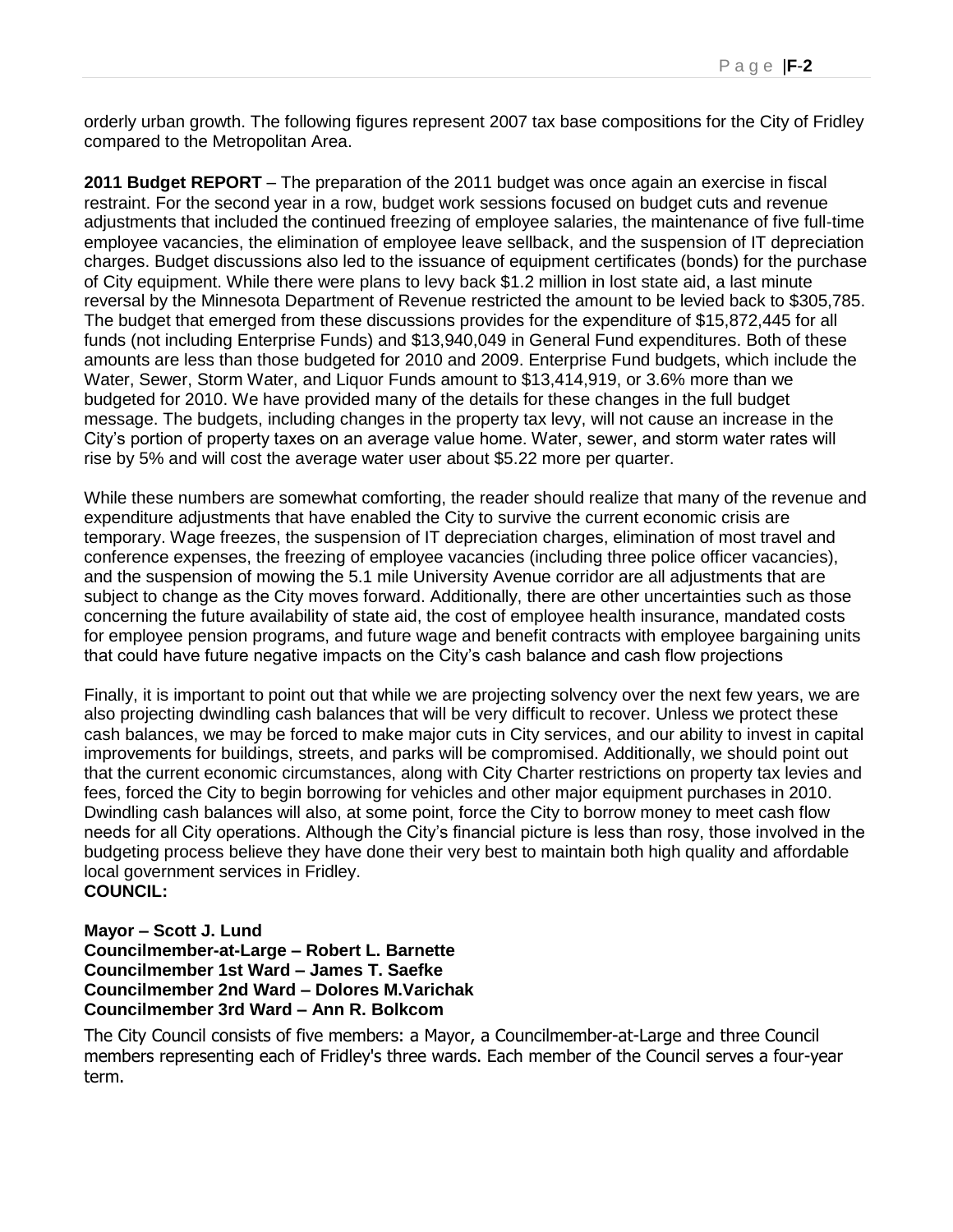orderly urban growth. The following figures represent 2007 tax base compositions for the City of Fridley compared to the Metropolitan Area.

**2011 Budget REPORT** – The preparation of the 2011 budget was once again an exercise in fiscal restraint. For the second year in a row, budget work sessions focused on budget cuts and revenue adjustments that included the continued freezing of employee salaries, the maintenance of five full-time employee vacancies, the elimination of employee leave sellback, and the suspension of IT depreciation charges. Budget discussions also led to the issuance of equipment certificates (bonds) for the purchase of City equipment. While there were plans to levy back \$1.2 million in lost state aid, a last minute reversal by the Minnesota Department of Revenue restricted the amount to be levied back to \$305,785. The budget that emerged from these discussions provides for the expenditure of \$15,872,445 for all funds (not including Enterprise Funds) and \$13,940,049 in General Fund expenditures. Both of these amounts are less than those budgeted for 2010 and 2009. Enterprise Fund budgets, which include the Water, Sewer, Storm Water, and Liquor Funds amount to \$13,414,919, or 3.6% more than we budgeted for 2010. We have provided many of the details for these changes in the full budget message. The budgets, including changes in the property tax levy, will not cause an increase in the City"s portion of property taxes on an average value home. Water, sewer, and storm water rates will rise by 5% and will cost the average water user about \$5.22 more per quarter.

While these numbers are somewhat comforting, the reader should realize that many of the revenue and expenditure adjustments that have enabled the City to survive the current economic crisis are temporary. Wage freezes, the suspension of IT depreciation charges, elimination of most travel and conference expenses, the freezing of employee vacancies (including three police officer vacancies), and the suspension of mowing the 5.1 mile University Avenue corridor are all adjustments that are subject to change as the City moves forward. Additionally, there are other uncertainties such as those concerning the future availability of state aid, the cost of employee health insurance, mandated costs for employee pension programs, and future wage and benefit contracts with employee bargaining units that could have future negative impacts on the City"s cash balance and cash flow projections

Finally, it is important to point out that while we are projecting solvency over the next few years, we are also projecting dwindling cash balances that will be very difficult to recover. Unless we protect these cash balances, we may be forced to make major cuts in City services, and our ability to invest in capital improvements for buildings, streets, and parks will be compromised. Additionally, we should point out that the current economic circumstances, along with City Charter restrictions on property tax levies and fees, forced the City to begin borrowing for vehicles and other major equipment purchases in 2010. Dwindling cash balances will also, at some point, force the City to borrow money to meet cash flow needs for all City operations. Although the City"s financial picture is less than rosy, those involved in the budgeting process believe they have done their very best to maintain both high quality and affordable local government services in Fridley. **COUNCIL:**

**Mayor – Scott J. Lund Councilmember-at-Large – Robert L. Barnette Councilmember 1st Ward – James T. Saefke Councilmember 2nd Ward – Dolores M.Varichak Councilmember 3rd Ward – Ann R. Bolkcom**

The City Council consists of five members: a Mayor, a Councilmember-at-Large and three Council members representing each of Fridley's three wards. Each member of the Council serves a four-year term.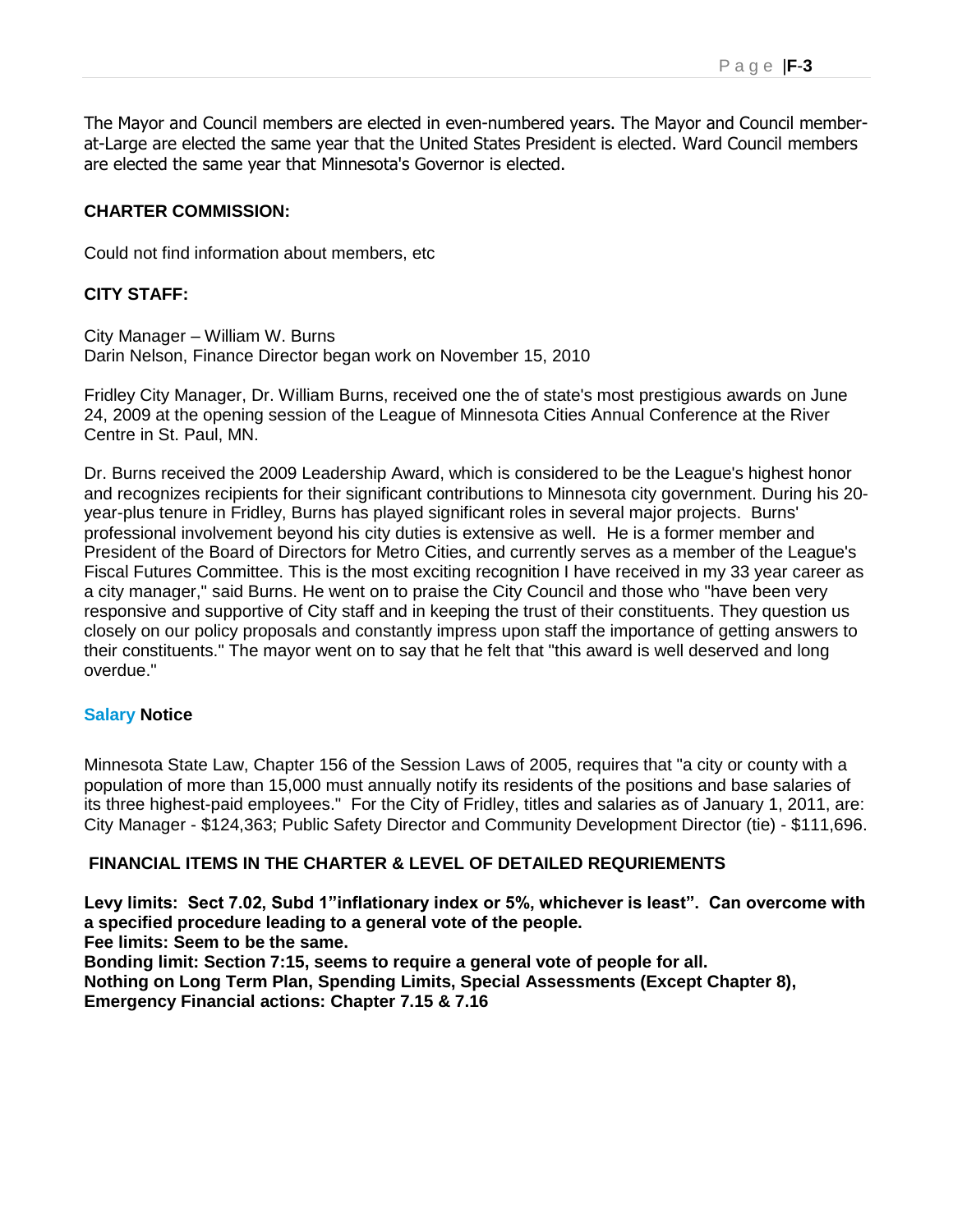The Mayor and Council members are elected in even-numbered years. The Mayor and Council memberat-Large are elected the same year that the United States President is elected. Ward Council members are elected the same year that Minnesota's Governor is elected.

#### **CHARTER COMMISSION:**

Could not find information about members, etc

#### **CITY STAFF:**

City Manager – William W. Burns Darin Nelson, Finance Director began work on November 15, 2010

Fridley City Manager, Dr. William Burns, received one the of state's most prestigious awards on June 24, 2009 at the opening session of the League of Minnesota Cities Annual Conference at the River Centre in St. Paul, MN.

Dr. Burns received the 2009 Leadership Award, which is considered to be the League's highest honor and recognizes recipients for their significant contributions to Minnesota city government. During his 20 year-plus tenure in Fridley, Burns has played significant roles in several major projects. Burns' professional involvement beyond his city duties is extensive as well. He is a former member and President of the Board of Directors for Metro Cities, and currently serves as a member of the League's Fiscal Futures Committee. This is the most exciting recognition I have received in my 33 year career as a city manager," said Burns. He went on to praise the City Council and those who "have been very responsive and supportive of City staff and in keeping the trust of their constituents. They question us closely on our policy proposals and constantly impress upon staff the importance of getting answers to their constituents." The mayor went on to say that he felt that "this award is well deserved and long overdue."

#### **Salary Notice**

Minnesota State Law, Chapter 156 of the Session Laws of 2005, requires that "a city or county with a population of more than 15,000 must annually notify its residents of the positions and base salaries of its three highest-paid employees." For the City of Fridley, titles and salaries as of January 1, 2011, are: City Manager - \$124,363; Public Safety Director and Community Development Director (tie) - \$111,696.

#### **FINANCIAL ITEMS IN THE CHARTER & LEVEL OF DETAILED REQURIEMENTS**

**Levy limits: Sect 7.02, Subd 1"inflationary index or 5%, whichever is least". Can overcome with a specified procedure leading to a general vote of the people. Fee limits: Seem to be the same.** 

**Bonding limit: Section 7:15, seems to require a general vote of people for all. Nothing on Long Term Plan, Spending Limits, Special Assessments (Except Chapter 8), Emergency Financial actions: Chapter 7.15 & 7.16**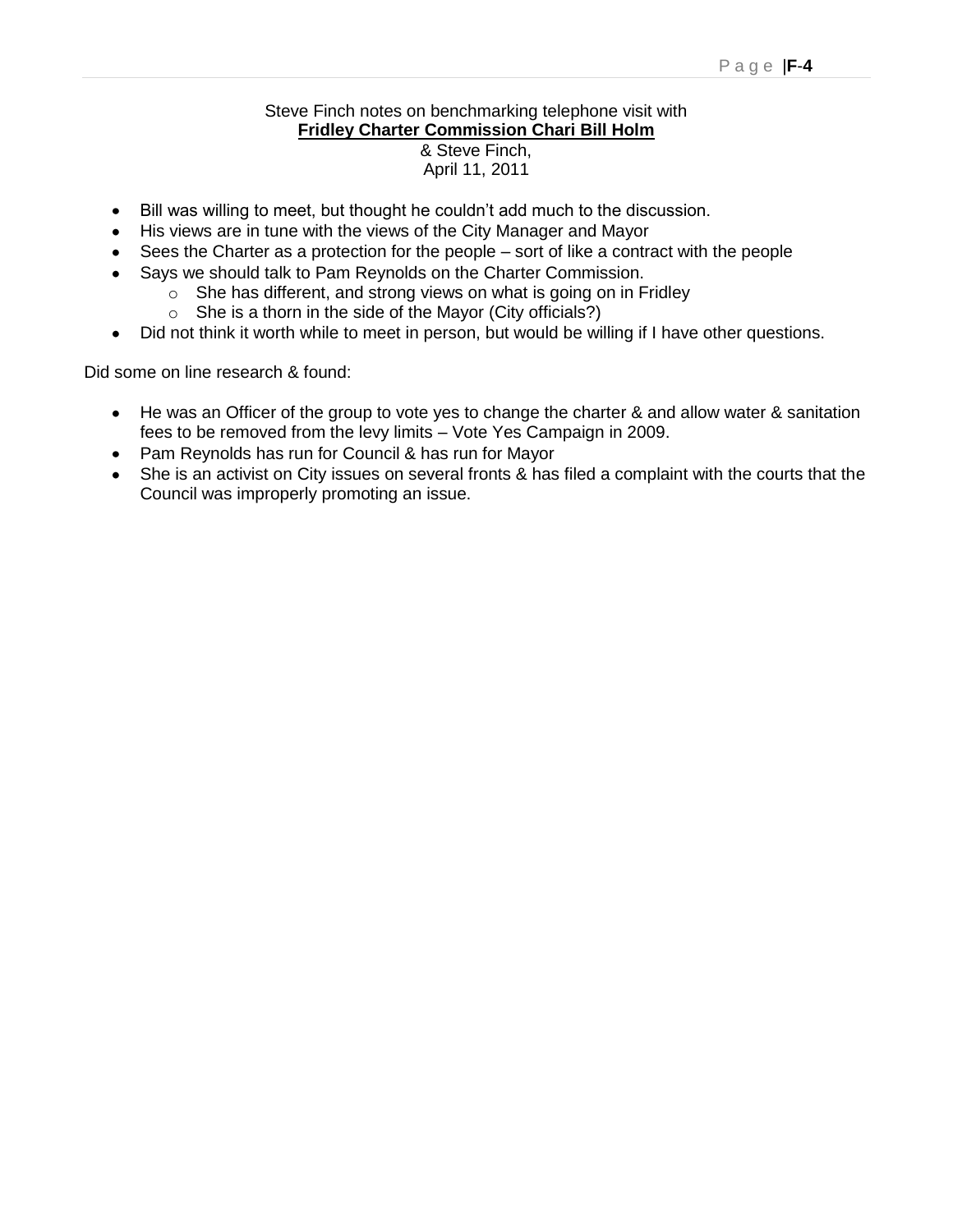#### Steve Finch notes on benchmarking telephone visit with **Fridley Charter Commission Chari Bill Holm** & Steve Finch,

#### April 11, 2011

- Bill was willing to meet, but thought he couldn"t add much to the discussion.  $\bullet$
- His views are in tune with the views of the City Manager and Mayor
- Sees the Charter as a protection for the people sort of like a contract with the people
- Says we should talk to Pam Reynolds on the Charter Commission.
	- $\circ$  She has different, and strong views on what is going on in Fridley
	- $\circ$  She is a thorn in the side of the Mayor (City officials?)
- Did not think it worth while to meet in person, but would be willing if I have other questions.  $\bullet$

Did some on line research & found:

- He was an Officer of the group to vote yes to change the charter & and allow water & sanitation fees to be removed from the levy limits – Vote Yes Campaign in 2009.
- Pam Reynolds has run for Council & has run for Mayor
- She is an activist on City issues on several fronts & has filed a complaint with the courts that the Council was improperly promoting an issue.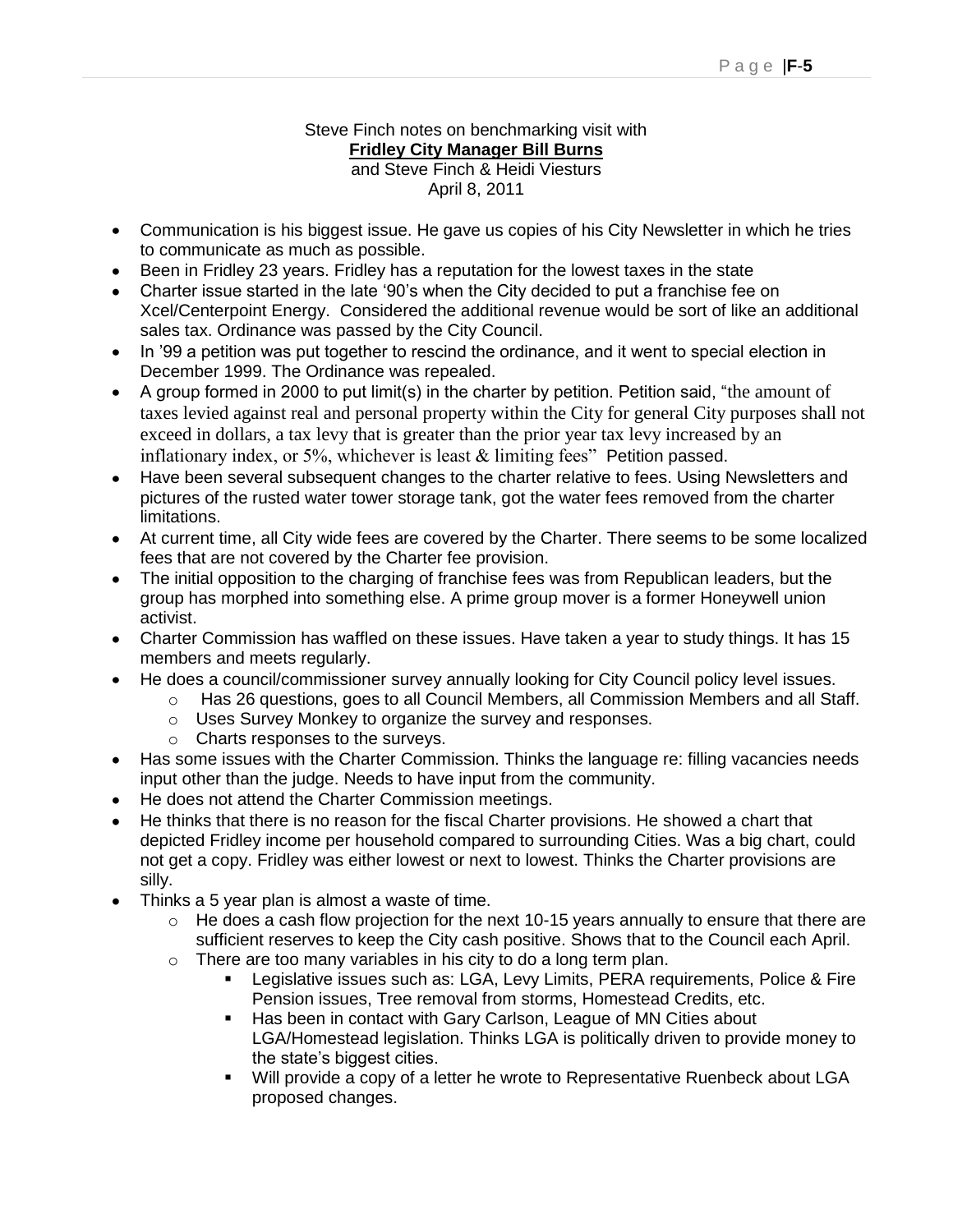#### Steve Finch notes on benchmarking visit with **Fridley City Manager Bill Burns** and Steve Finch & Heidi Viesturs April 8, 2011

- Communication is his biggest issue. He gave us copies of his City Newsletter in which he tries to communicate as much as possible.
- Been in Fridley 23 years. Fridley has a reputation for the lowest taxes in the state
- Charter issue started in the late '90's when the City decided to put a franchise fee on Xcel/Centerpoint Energy. Considered the additional revenue would be sort of like an additional sales tax. Ordinance was passed by the City Council.
- In '99 a petition was put together to rescind the ordinance, and it went to special election in December 1999. The Ordinance was repealed.
- A group formed in 2000 to put limit(s) in the charter by petition. Petition said, "the amount of taxes levied against real and personal property within the City for general City purposes shall not exceed in dollars, a tax levy that is greater than the prior year tax levy increased by an inflationary index, or  $5\%$ , whichever is least  $&$  limiting fees" Petition passed.
- Have been several subsequent changes to the charter relative to fees. Using Newsletters and pictures of the rusted water tower storage tank, got the water fees removed from the charter limitations.
- At current time, all City wide fees are covered by the Charter. There seems to be some localized fees that are not covered by the Charter fee provision.
- The initial opposition to the charging of franchise fees was from Republican leaders, but the group has morphed into something else. A prime group mover is a former Honeywell union activist.
- Charter Commission has waffled on these issues. Have taken a year to study things. It has 15 members and meets regularly.
- He does a council/commissioner survey annually looking for City Council policy level issues.
	- o Has 26 questions, goes to all Council Members, all Commission Members and all Staff.
	- o Uses Survey Monkey to organize the survey and responses.
	- o Charts responses to the surveys.
- Has some issues with the Charter Commission. Thinks the language re: filling vacancies needs input other than the judge. Needs to have input from the community.
- He does not attend the Charter Commission meetings.
- He thinks that there is no reason for the fiscal Charter provisions. He showed a chart that depicted Fridley income per household compared to surrounding Cities. Was a big chart, could not get a copy. Fridley was either lowest or next to lowest. Thinks the Charter provisions are silly.
- Thinks a 5 year plan is almost a waste of time.
	- $\circ$  He does a cash flow projection for the next 10-15 years annually to ensure that there are sufficient reserves to keep the City cash positive. Shows that to the Council each April.
	- o There are too many variables in his city to do a long term plan.
		- Legislative issues such as: LGA, Levy Limits, PERA requirements, Police & Fire Pension issues, Tree removal from storms, Homestead Credits, etc.
		- **Has been in contact with Gary Carlson, League of MN Cities about** LGA/Homestead legislation. Thinks LGA is politically driven to provide money to the state"s biggest cities.
		- Will provide a copy of a letter he wrote to Representative Ruenbeck about LGA proposed changes.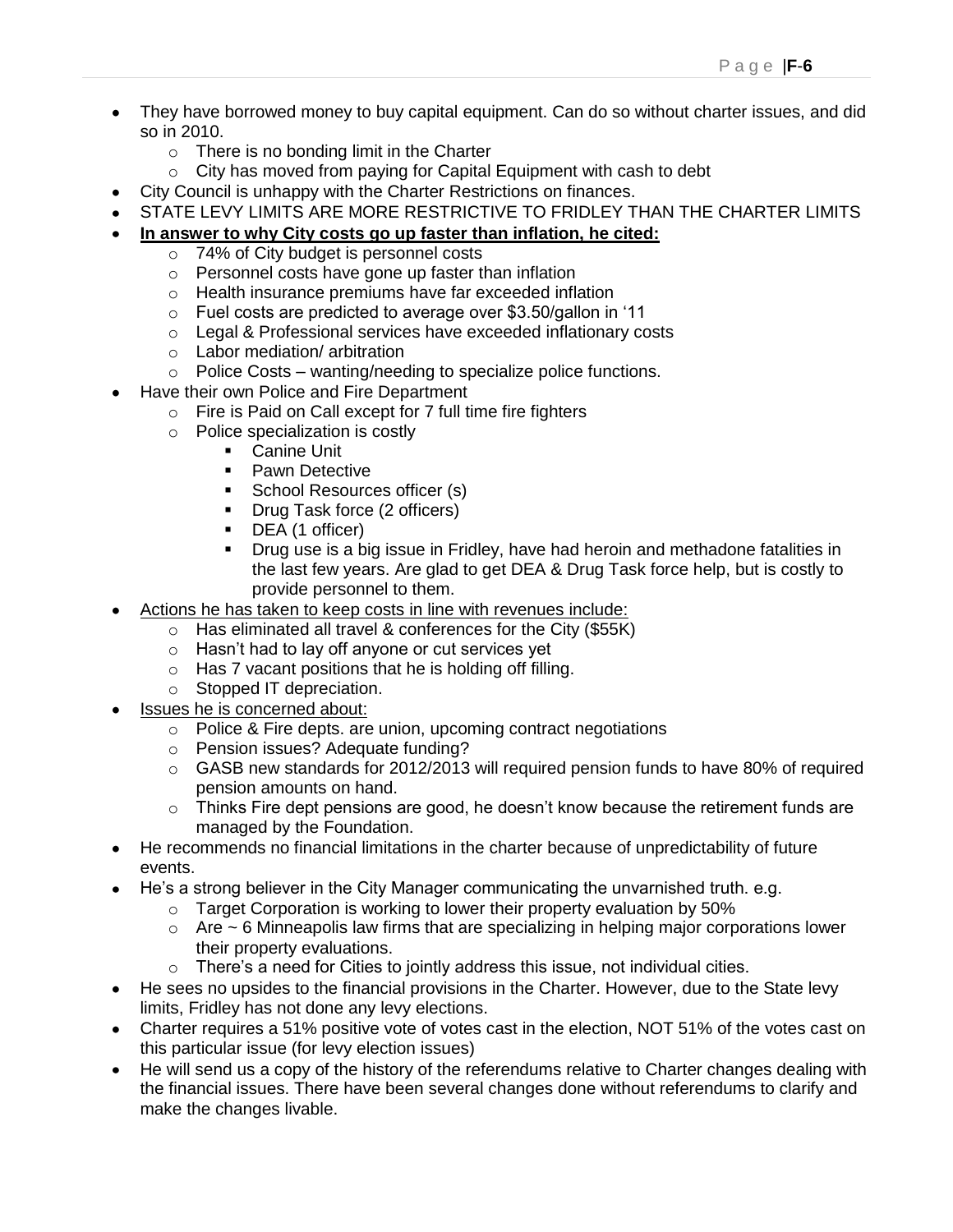- They have borrowed money to buy capital equipment. Can do so without charter issues, and did so in 2010.
	- o There is no bonding limit in the Charter
	- o City has moved from paying for Capital Equipment with cash to debt
- City Council is unhappy with the Charter Restrictions on finances.
- STATE LEVY LIMITS ARE MORE RESTRICTIVE TO FRIDLEY THAN THE CHARTER LIMITS

#### **In answer to why City costs go up faster than inflation, he cited:**

- o 74% of City budget is personnel costs
- o Personnel costs have gone up faster than inflation
- o Health insurance premiums have far exceeded inflation
- o Fuel costs are predicted to average over \$3.50/gallon in "11
- o Legal & Professional services have exceeded inflationary costs
- o Labor mediation/ arbitration
- $\circ$  Police Costs wanting/needing to specialize police functions.
- Have their own Police and Fire Department
	- $\circ$  Fire is Paid on Call except for 7 full time fire fighters
	- o Police specialization is costly
		- Canine Unit
			- **•** Pawn Detective
			- School Resources officer (s)<br>Drug Task force (2 officers)
			- Drug Task force (2 officers)
			- DEA (1 officer)
			- Drug use is a big issue in Fridley, have had heroin and methadone fatalities in the last few years. Are glad to get DEA & Drug Task force help, but is costly to provide personnel to them.
- Actions he has taken to keep costs in line with revenues include:
	- o Has eliminated all travel & conferences for the City (\$55K)
	- o Hasn"t had to lay off anyone or cut services yet
	- o Has 7 vacant positions that he is holding off filling.
	- o Stopped IT depreciation.
- Issues he is concerned about:
	- o Police & Fire depts. are union, upcoming contract negotiations
	- o Pension issues? Adequate funding?
	- $\circ$  GASB new standards for 2012/2013 will required pension funds to have 80% of required pension amounts on hand.
	- $\circ$  Thinks Fire dept pensions are good, he doesn't know because the retirement funds are managed by the Foundation.
- He recommends no financial limitations in the charter because of unpredictability of future events.
- He's a strong believer in the City Manager communicating the unvarnished truth. e.g.
	- $\circ$  Target Corporation is working to lower their property evaluation by 50%
	- $\circ$  Are  $\sim$  6 Minneapolis law firms that are specializing in helping major corporations lower their property evaluations.
	- $\circ$  There's a need for Cities to jointly address this issue, not individual cities.
- He sees no upsides to the financial provisions in the Charter. However, due to the State levy limits, Fridley has not done any levy elections.
- Charter requires a 51% positive vote of votes cast in the election, NOT 51% of the votes cast on this particular issue (for levy election issues)
- He will send us a copy of the history of the referendums relative to Charter changes dealing with the financial issues. There have been several changes done without referendums to clarify and make the changes livable.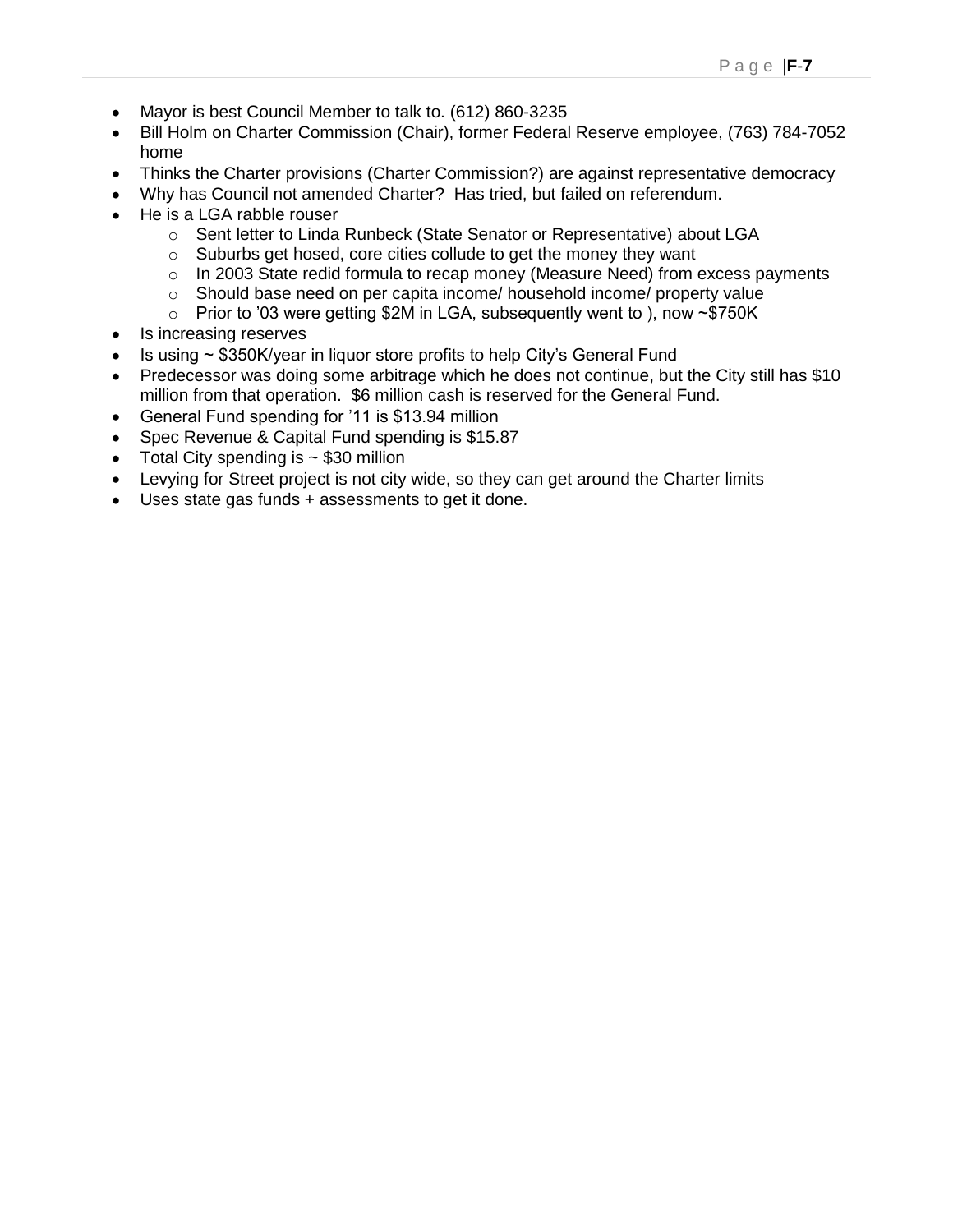- Mayor is best Council Member to talk to. (612) 860-3235
- Bill Holm on Charter Commission (Chair), former Federal Reserve employee, (763) 784-7052 home
- Thinks the Charter provisions (Charter Commission?) are against representative democracy
- Why has Council not amended Charter? Has tried, but failed on referendum.
- He is a LGA rabble rouser
	- o Sent letter to Linda Runbeck (State Senator or Representative) about LGA
	- o Suburbs get hosed, core cities collude to get the money they want
	- o In 2003 State redid formula to recap money (Measure Need) from excess payments
	- $\circ$  Should base need on per capita income/ household income/ property value
	- $\circ$  Prior to '03 were getting \$2M in LGA, subsequently went to ), now  $\sim$  \$750K
- Is increasing reserves
- Is using ~ \$350K/year in liquor store profits to help City"s General Fund  $\bullet$
- Predecessor was doing some arbitrage which he does not continue, but the City still has \$10 million from that operation. \$6 million cash is reserved for the General Fund.
- General Fund spending for '11 is \$13.94 million
- Spec Revenue & Capital Fund spending is \$15.87
- Total City spending is  $\sim$  \$30 million
- Levying for Street project is not city wide, so they can get around the Charter limits
- Uses state gas funds + assessments to get it done.  $\bullet$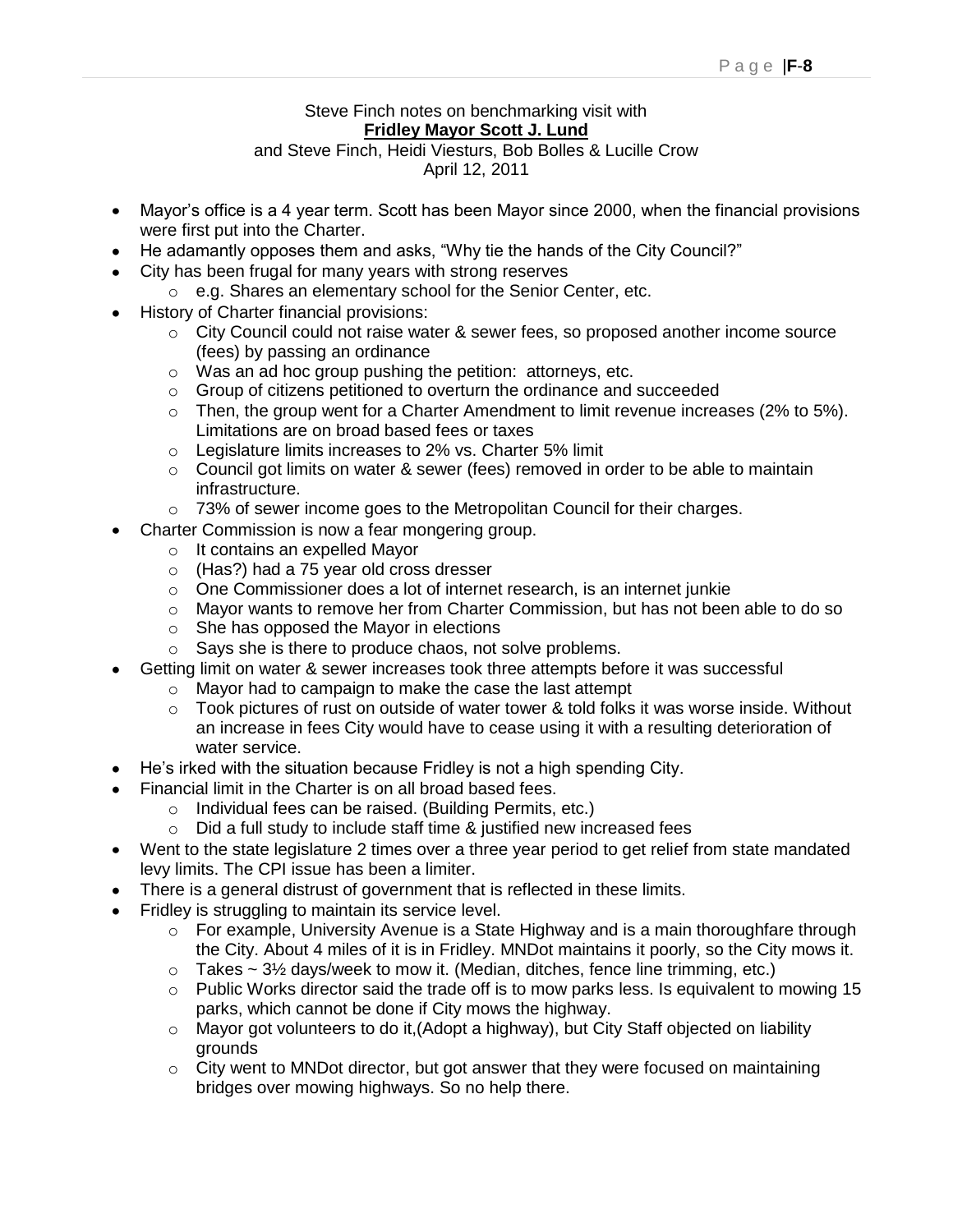#### Steve Finch notes on benchmarking visit with **Fridley Mayor Scott J. Lund**

#### and Steve Finch, Heidi Viesturs, Bob Bolles & Lucille Crow April 12, 2011

- Mayor's office is a 4 year term. Scott has been Mayor since 2000, when the financial provisions were first put into the Charter.
- He adamantly opposes them and asks, "Why tie the hands of the City Council?"
- City has been frugal for many years with strong reserves
	- o e.g. Shares an elementary school for the Senior Center, etc.
- History of Charter financial provisions:
	- o City Council could not raise water & sewer fees, so proposed another income source (fees) by passing an ordinance
	- o Was an ad hoc group pushing the petition: attorneys, etc.
	- o Group of citizens petitioned to overturn the ordinance and succeeded
	- o Then, the group went for a Charter Amendment to limit revenue increases (2% to 5%). Limitations are on broad based fees or taxes
	- o Legislature limits increases to 2% vs. Charter 5% limit
	- o Council got limits on water & sewer (fees) removed in order to be able to maintain infrastructure.
	- $\circ$  73% of sewer income goes to the Metropolitan Council for their charges.
- Charter Commission is now a fear mongering group.
	- o It contains an expelled Mayor
	- o (Has?) had a 75 year old cross dresser
	- o One Commissioner does a lot of internet research, is an internet junkie
	- $\circ$  Mayor wants to remove her from Charter Commission, but has not been able to do so
	- o She has opposed the Mayor in elections
	- o Says she is there to produce chaos, not solve problems.
- Getting limit on water & sewer increases took three attempts before it was successful
	- o Mayor had to campaign to make the case the last attempt
	- o Took pictures of rust on outside of water tower & told folks it was worse inside. Without an increase in fees City would have to cease using it with a resulting deterioration of water service.
- He's irked with the situation because Fridley is not a high spending City.
- Financial limit in the Charter is on all broad based fees.
	- o Individual fees can be raised. (Building Permits, etc.)
		- $\circ$  Did a full study to include staff time & justified new increased fees
- Went to the state legislature 2 times over a three year period to get relief from state mandated levy limits. The CPI issue has been a limiter.
- There is a general distrust of government that is reflected in these limits.
- Fridley is struggling to maintain its service level.
	- o For example, University Avenue is a State Highway and is a main thoroughfare through the City. About 4 miles of it is in Fridley. MNDot maintains it poorly, so the City mows it.
	- $\circ$  Takes ~ 3½ days/week to mow it. (Median, ditches, fence line trimming, etc.)
	- $\circ$  Public Works director said the trade off is to mow parks less. Is equivalent to mowing 15 parks, which cannot be done if City mows the highway.
	- o Mayor got volunteers to do it,(Adopt a highway), but City Staff objected on liability grounds
	- $\circ$  City went to MND ot director, but got answer that they were focused on maintaining bridges over mowing highways. So no help there.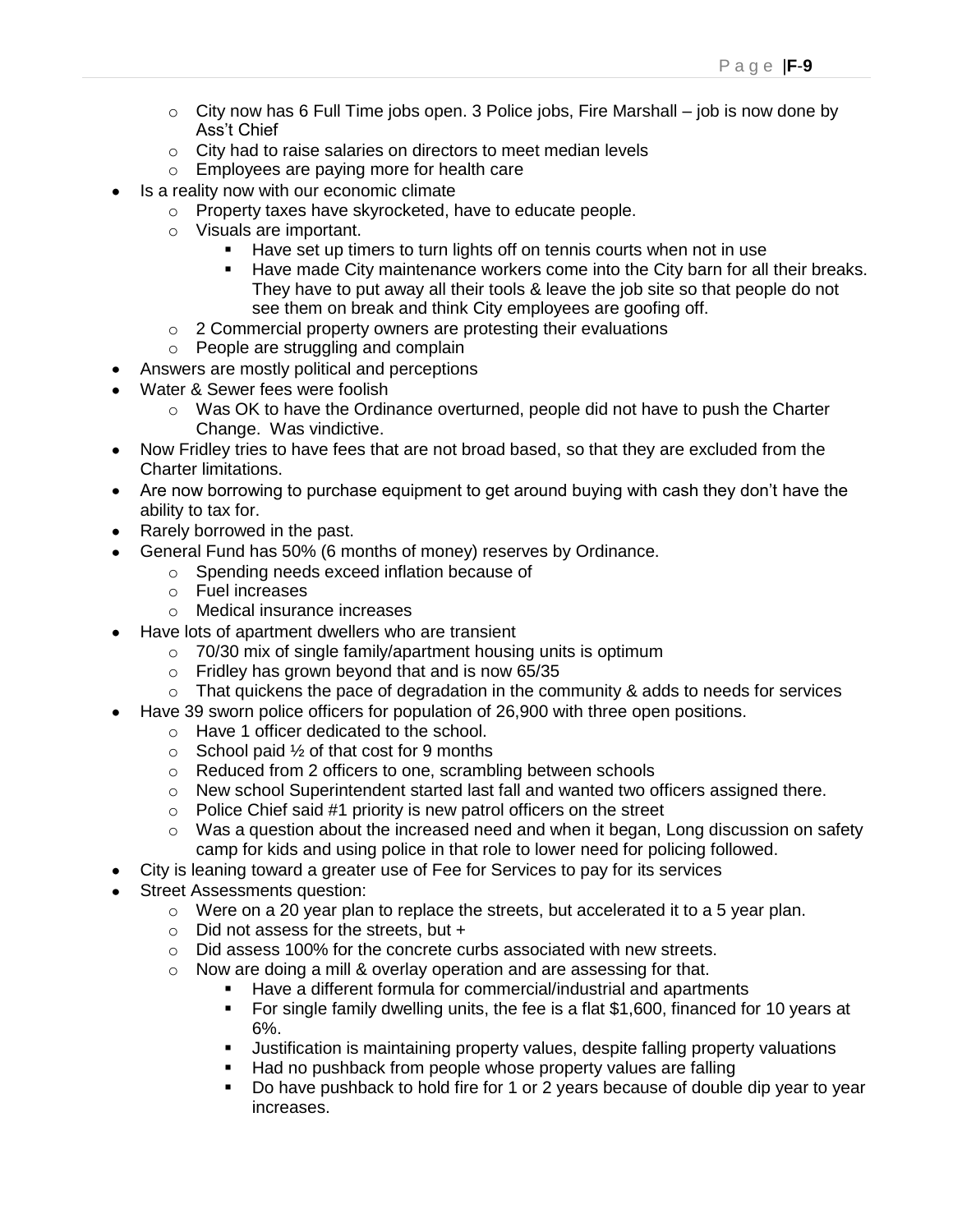- $\circ$  City now has 6 Full Time jobs open. 3 Police jobs, Fire Marshall job is now done by Ass"t Chief
- o City had to raise salaries on directors to meet median levels
- o Employees are paying more for health care
- Is a reality now with our economic climate
	- o Property taxes have skyrocketed, have to educate people.
	- o Visuals are important.
		- **Have set up timers to turn lights off on tennis courts when not in use**
		- Have made City maintenance workers come into the City barn for all their breaks. They have to put away all their tools & leave the job site so that people do not see them on break and think City employees are goofing off.
	- o 2 Commercial property owners are protesting their evaluations
	- o People are struggling and complain
- Answers are mostly political and perceptions
- Water & Sewer fees were foolish
	- $\circ$  Was OK to have the Ordinance overturned, people did not have to push the Charter Change. Was vindictive.
- Now Fridley tries to have fees that are not broad based, so that they are excluded from the Charter limitations.
- Are now borrowing to purchase equipment to get around buying with cash they don"t have the ability to tax for.
- Rarely borrowed in the past.
- General Fund has 50% (6 months of money) reserves by Ordinance.
	- o Spending needs exceed inflation because of
	- o Fuel increases
	- o Medical insurance increases
- Have lots of apartment dwellers who are transient
	- o 70/30 mix of single family/apartment housing units is optimum
	- $\circ$  Fridley has grown beyond that and is now 65/35
	- $\circ$  That quickens the pace of degradation in the community & adds to needs for services
- Have 39 sworn police officers for population of 26,900 with three open positions.
	- o Have 1 officer dedicated to the school.
	- $\circ$  School paid  $\frac{1}{2}$  of that cost for 9 months
	- o Reduced from 2 officers to one, scrambling between schools
	- o New school Superintendent started last fall and wanted two officers assigned there.
	- $\circ$  Police Chief said #1 priority is new patrol officers on the street
	- $\circ$  Was a question about the increased need and when it began, Long discussion on safety camp for kids and using police in that role to lower need for policing followed.
- City is leaning toward a greater use of Fee for Services to pay for its services
- Street Assessments question:
	- $\circ$  Were on a 20 year plan to replace the streets, but accelerated it to a 5 year plan.
	- $\circ$  Did not assess for the streets, but +
	- o Did assess 100% for the concrete curbs associated with new streets.
	- o Now are doing a mill & overlay operation and are assessing for that.
		- Have a different formula for commercial/industrial and apartments
			- For single family dwelling units, the fee is a flat \$1,600, financed for 10 years at 6%.
			- Justification is maintaining property values, despite falling property valuations
			- Had no pushback from people whose property values are falling
			- Do have pushback to hold fire for 1 or 2 years because of double dip year to year increases.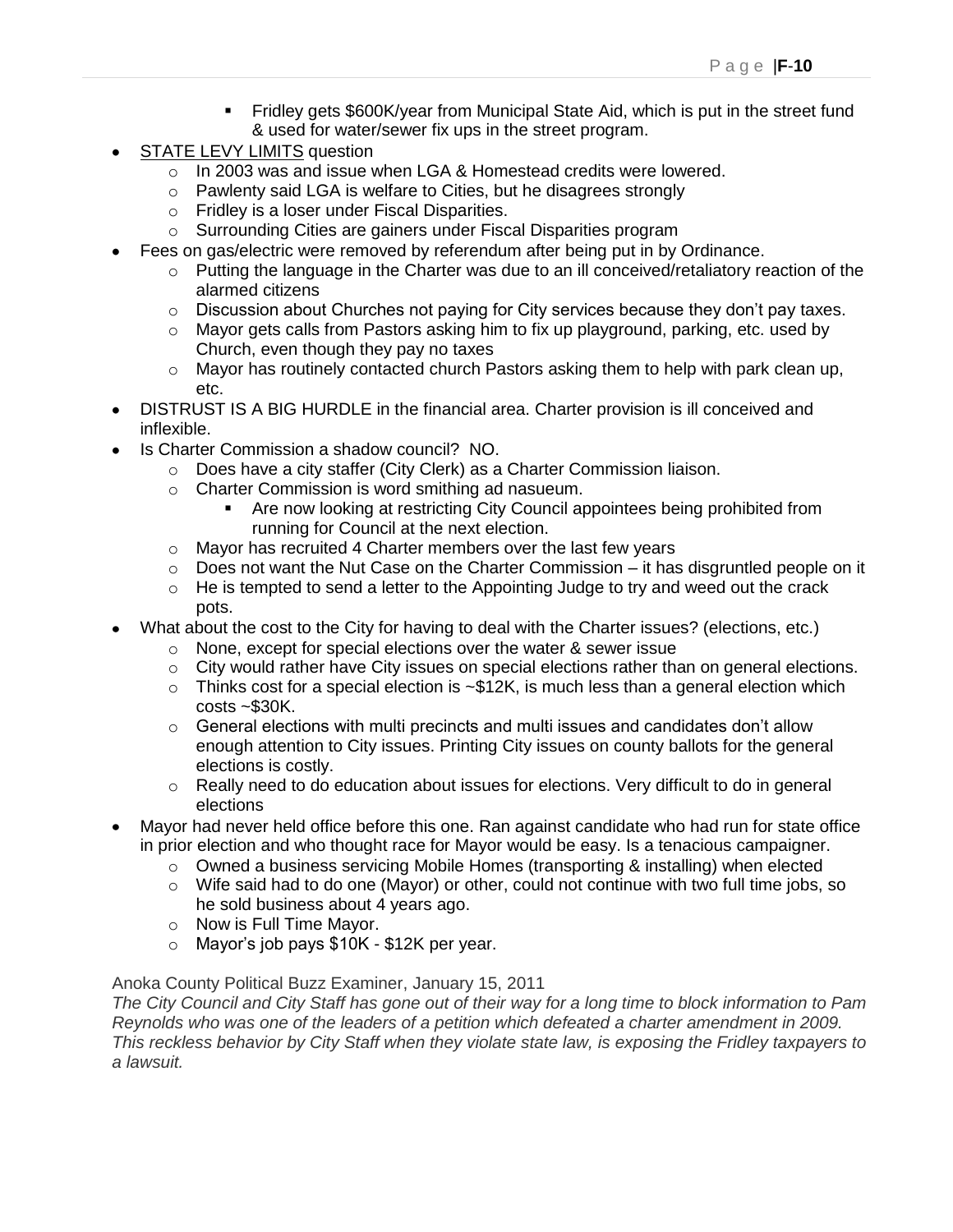- Fridley gets \$600K/year from Municipal State Aid, which is put in the street fund & used for water/sewer fix ups in the street program.
- STATE LEVY LIMITS question
	- o In 2003 was and issue when LGA & Homestead credits were lowered.
	- o Pawlenty said LGA is welfare to Cities, but he disagrees strongly
	- o Fridley is a loser under Fiscal Disparities.
	- o Surrounding Cities are gainers under Fiscal Disparities program
	- Fees on gas/electric were removed by referendum after being put in by Ordinance.
		- $\circ$  Putting the language in the Charter was due to an ill conceived/retaliatory reaction of the alarmed citizens
		- $\circ$  Discussion about Churches not paying for City services because they don't pay taxes.
		- $\circ$  Mayor gets calls from Pastors asking him to fix up playground, parking, etc. used by Church, even though they pay no taxes
		- $\circ$  Mayor has routinely contacted church Pastors asking them to help with park clean up, etc.
- DISTRUST IS A BIG HURDLE in the financial area. Charter provision is ill conceived and inflexible.
- Is Charter Commission a shadow council? NO.
	- o Does have a city staffer (City Clerk) as a Charter Commission liaison.
	- o Charter Commission is word smithing ad nasueum.
		- Are now looking at restricting City Council appointees being prohibited from running for Council at the next election.
	- o Mayor has recruited 4 Charter members over the last few years
	- $\circ$  Does not want the Nut Case on the Charter Commission it has disgruntled people on it
	- $\circ$  He is tempted to send a letter to the Appointing Judge to try and weed out the crack pots.
- What about the cost to the City for having to deal with the Charter issues? (elections, etc.)
	- o None, except for special elections over the water & sewer issue
	- o City would rather have City issues on special elections rather than on general elections.
	- $\circ$  Thinks cost for a special election is  $\sim$  \$12K, is much less than a general election which  $costs$  ~\$30K.
	- $\circ$  General elections with multi precincts and multi issues and candidates don't allow enough attention to City issues. Printing City issues on county ballots for the general elections is costly.
	- $\circ$  Really need to do education about issues for elections. Very difficult to do in general elections
- Mayor had never held office before this one. Ran against candidate who had run for state office in prior election and who thought race for Mayor would be easy. Is a tenacious campaigner.
	- o Owned a business servicing Mobile Homes (transporting & installing) when elected
	- $\circ$  Wife said had to do one (Mayor) or other, could not continue with two full time jobs, so he sold business about 4 years ago.
	- o Now is Full Time Mayor.
	- o Mayor"s job pays \$10K \$12K per year.

#### Anoka County Political Buzz Examiner, January 15, 2011

*The City Council and City Staff has gone out of their way for a long time to block information to Pam Reynolds who was one of the leaders of a petition which defeated a charter amendment in 2009. This reckless behavior by City Staff when they violate state law, is exposing the Fridley taxpayers to a lawsuit.*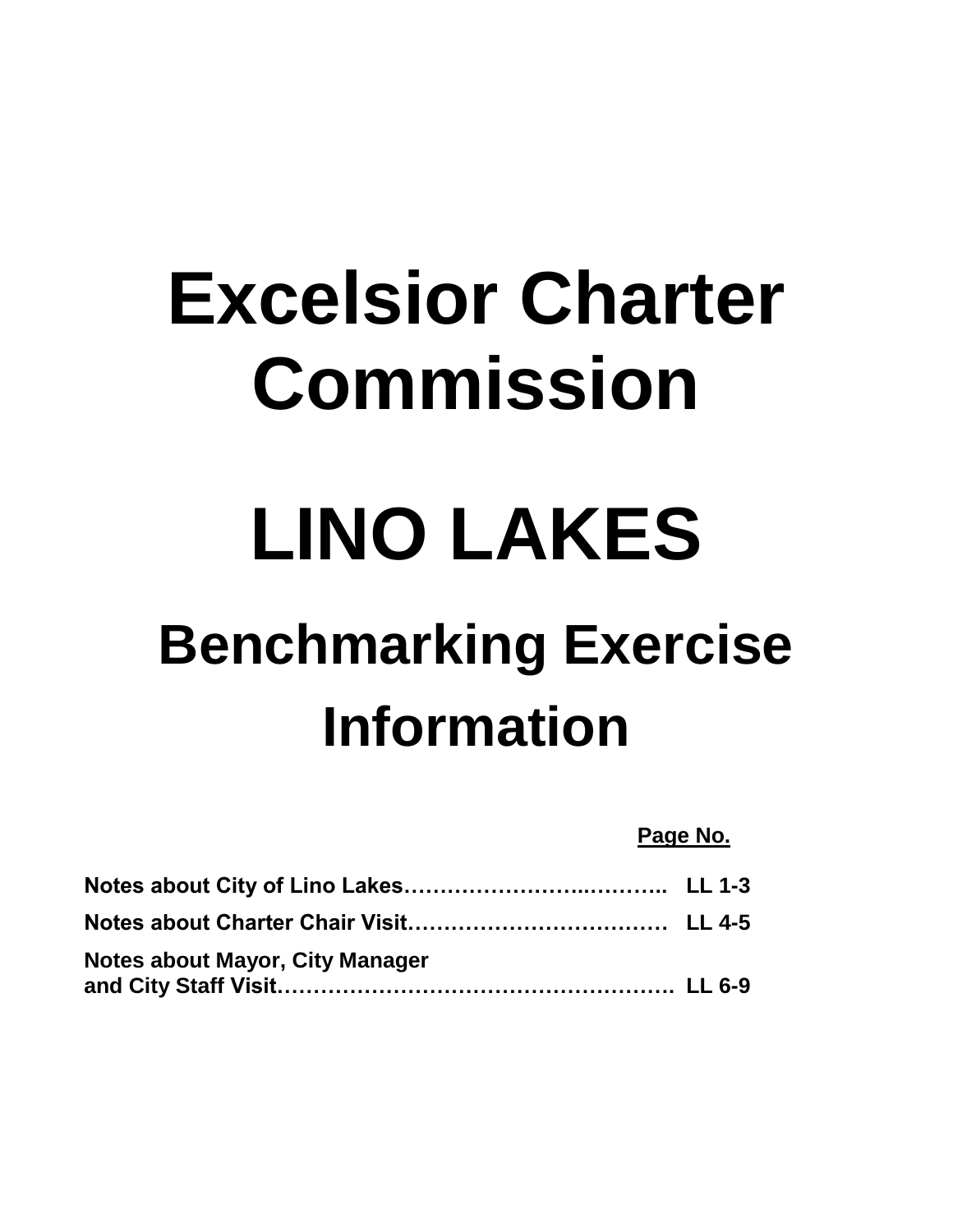# **Excelsior Charter Commission**

# **LINO LAKES**

## **Benchmarking Exercise Information**

#### **Page No.**

| Notes about Mayor, City Manager |  |
|---------------------------------|--|
|                                 |  |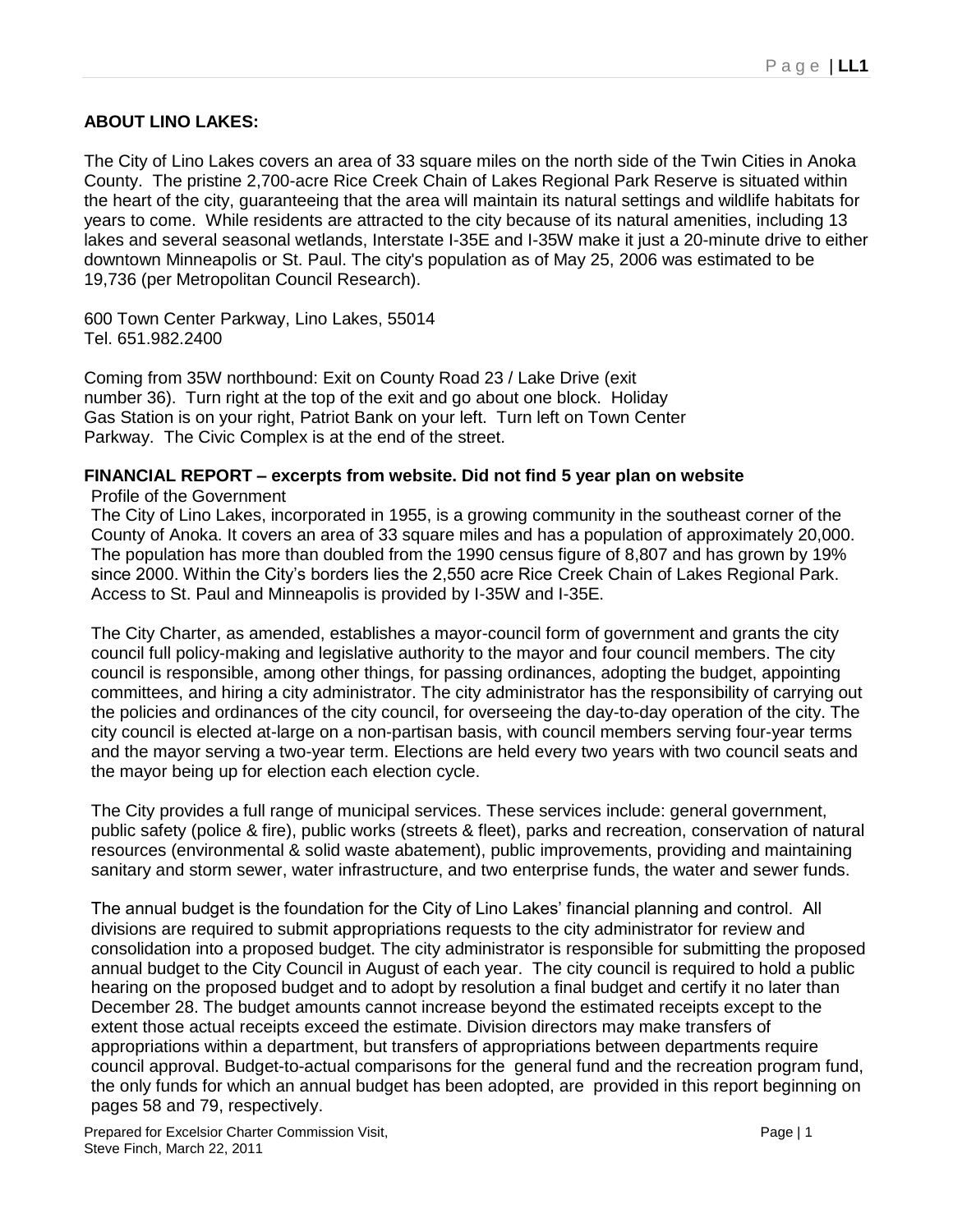#### **ABOUT LINO LAKES:**

The City of Lino Lakes covers an area of 33 square miles on the north side of the Twin Cities in Anoka County. The pristine 2,700-acre Rice Creek Chain of Lakes Regional Park Reserve is situated within the heart of the city, guaranteeing that the area will maintain its natural settings and wildlife habitats for years to come. While residents are attracted to the city because of its natural amenities, including 13 lakes and several seasonal wetlands, Interstate I-35E and I-35W make it just a 20-minute drive to either downtown Minneapolis or St. Paul. The city's population as of May 25, 2006 was estimated to be 19,736 (per Metropolitan Council Research).

600 Town Center Parkway, Lino Lakes, 55014 Tel. 651.982.2400

Coming from 35W northbound: Exit on County Road 23 / Lake Drive (exit number 36). Turn right at the top of the exit and go about one block. Holiday Gas Station is on your right, Patriot Bank on your left. Turn left on Town Center Parkway. The Civic Complex is at the end of the street.

#### **FINANCIAL REPORT – excerpts from website. Did not find 5 year plan on website**

Profile of the Government

The City of Lino Lakes, incorporated in 1955, is a growing community in the southeast corner of the County of Anoka. It covers an area of 33 square miles and has a population of approximately 20,000. The population has more than doubled from the 1990 census figure of 8,807 and has grown by 19% since 2000. Within the City"s borders lies the 2,550 acre Rice Creek Chain of Lakes Regional Park. Access to St. Paul and Minneapolis is provided by I-35W and I-35E.

The City Charter, as amended, establishes a mayor-council form of government and grants the city council full policy-making and legislative authority to the mayor and four council members. The city council is responsible, among other things, for passing ordinances, adopting the budget, appointing committees, and hiring a city administrator. The city administrator has the responsibility of carrying out the policies and ordinances of the city council, for overseeing the day-to-day operation of the city. The city council is elected at-large on a non-partisan basis, with council members serving four-year terms and the mayor serving a two-year term. Elections are held every two years with two council seats and the mayor being up for election each election cycle.

The City provides a full range of municipal services. These services include: general government, public safety (police & fire), public works (streets & fleet), parks and recreation, conservation of natural resources (environmental & solid waste abatement), public improvements, providing and maintaining sanitary and storm sewer, water infrastructure, and two enterprise funds, the water and sewer funds.

The annual budget is the foundation for the City of Lino Lakes" financial planning and control. All divisions are required to submit appropriations requests to the city administrator for review and consolidation into a proposed budget. The city administrator is responsible for submitting the proposed annual budget to the City Council in August of each year. The city council is required to hold a public hearing on the proposed budget and to adopt by resolution a final budget and certify it no later than December 28. The budget amounts cannot increase beyond the estimated receipts except to the extent those actual receipts exceed the estimate. Division directors may make transfers of appropriations within a department, but transfers of appropriations between departments require council approval. Budget-to-actual comparisons for the general fund and the recreation program fund, the only funds for which an annual budget has been adopted, are provided in this report beginning on pages 58 and 79, respectively.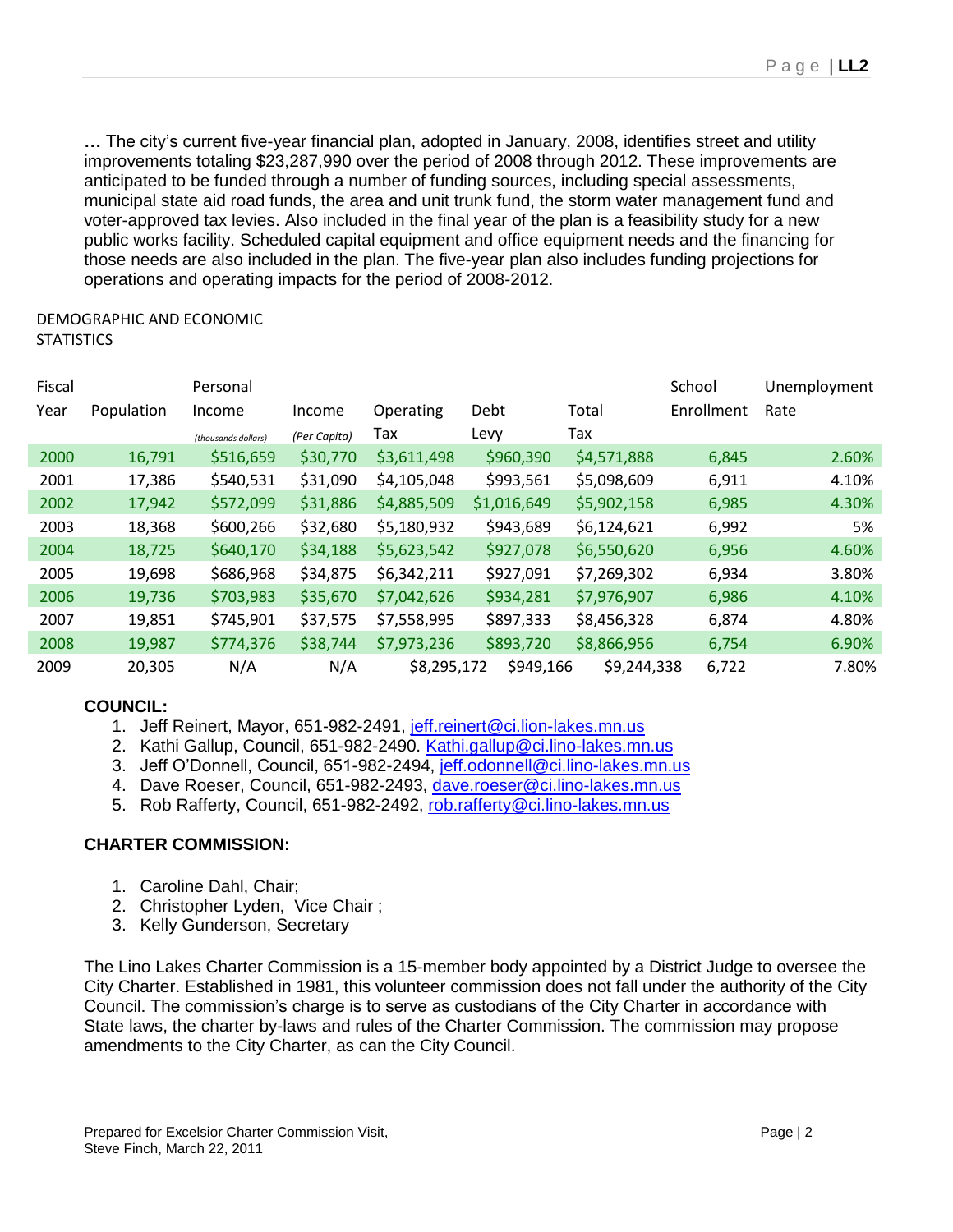**…** The city"s current five-year financial plan, adopted in January, 2008, identifies street and utility improvements totaling \$23,287,990 over the period of 2008 through 2012. These improvements are anticipated to be funded through a number of funding sources, including special assessments, municipal state aid road funds, the area and unit trunk fund, the storm water management fund and voter-approved tax levies. Also included in the final year of the plan is a feasibility study for a new public works facility. Scheduled capital equipment and office equipment needs and the financing for those needs are also included in the plan. The five-year plan also includes funding projections for operations and operating impacts for the period of 2008-2012.

#### DEMOGRAPHIC AND ECONOMIC **STATISTICS**

| Fiscal |            | Personal            |              |             |             |             | School     | Unemployment |
|--------|------------|---------------------|--------------|-------------|-------------|-------------|------------|--------------|
| Year   | Population | Income              | Income       | Operating   | Debt        | Total       | Enrollment | Rate         |
|        |            | (thousands dollars) | (Per Capita) | Тах         | Levy        | Tax         |            |              |
| 2000   | 16,791     | \$516,659           | \$30,770     | \$3,611,498 | \$960,390   | \$4,571,888 | 6,845      | 2.60%        |
| 2001   | 17,386     | \$540,531           | \$31,090     | \$4,105,048 | \$993,561   | \$5,098,609 | 6,911      | 4.10%        |
| 2002   | 17,942     | \$572,099           | \$31,886     | \$4,885,509 | \$1,016,649 | \$5,902,158 | 6,985      | 4.30%        |
| 2003   | 18,368     | \$600,266           | \$32,680     | \$5,180,932 | \$943,689   | \$6,124,621 | 6,992      | 5%           |
| 2004   | 18,725     | \$640,170           | \$34,188     | \$5,623,542 | \$927,078   | \$6,550,620 | 6,956      | 4.60%        |
| 2005   | 19,698     | \$686,968           | \$34,875     | \$6,342,211 | \$927,091   | \$7,269,302 | 6,934      | 3.80%        |
| 2006   | 19,736     | \$703,983           | \$35,670     | \$7,042,626 | \$934,281   | \$7,976,907 | 6,986      | 4.10%        |
| 2007   | 19,851     | \$745,901           | \$37,575     | \$7,558,995 | \$897,333   | \$8,456,328 | 6,874      | 4.80%        |
| 2008   | 19,987     | \$774,376           | \$38,744     | \$7,973,236 | \$893,720   | \$8,866,956 | 6,754      | 6.90%        |
| 2009   | 20,305     | N/A                 | N/A          | \$8,295,172 | \$949,166   | \$9,244,338 | 6,722      | 7.80%        |

#### **COUNCIL:**

- 1. Jeff Reinert, Mayor, 651-982-2491, [jeff.reinert@ci.lion-lakes.mn.us](mailto:jeff.reinert@ci.lion-lakes.mn.us)
- 2. Kathi Gallup, Council, 651-982-2490. [Kathi.gallup@ci.lino-lakes.mn.us](mailto:Kathi.gallup@ci.lino-lakes.mn.us)
- 3. Jeff O"Donnell, Council, 651-982-2494, [jeff.odonnell@ci.lino-lakes.mn.us](mailto:jeff.odonnell@ci.lino-lakes.mn.us)
- 4. Dave Roeser, Council, 651-982-2493, [dave.roeser@ci.lino-lakes.mn.us](mailto:dave.roeser@ci.lino-lakes.mn.us)
- 5. Rob Rafferty, Council, 651-982-2492, [rob.rafferty@ci.lino-lakes.mn.us](mailto:rob.rafferty@ci.lino-lakes.mn.us)

#### **CHARTER COMMISSION:**

- 1. Caroline Dahl, Chair;
- 2. Christopher Lyden, Vice Chair ;
- 3. Kelly Gunderson, Secretary

The Lino Lakes Charter Commission is a 15-member body appointed by a District Judge to oversee the City Charter. Established in 1981, this volunteer commission does not fall under the authority of the City Council. The commission"s charge is to serve as custodians of the City Charter in accordance with State laws, the charter by-laws and rules of the Charter Commission. The commission may propose amendments to the City Charter, as can the City Council.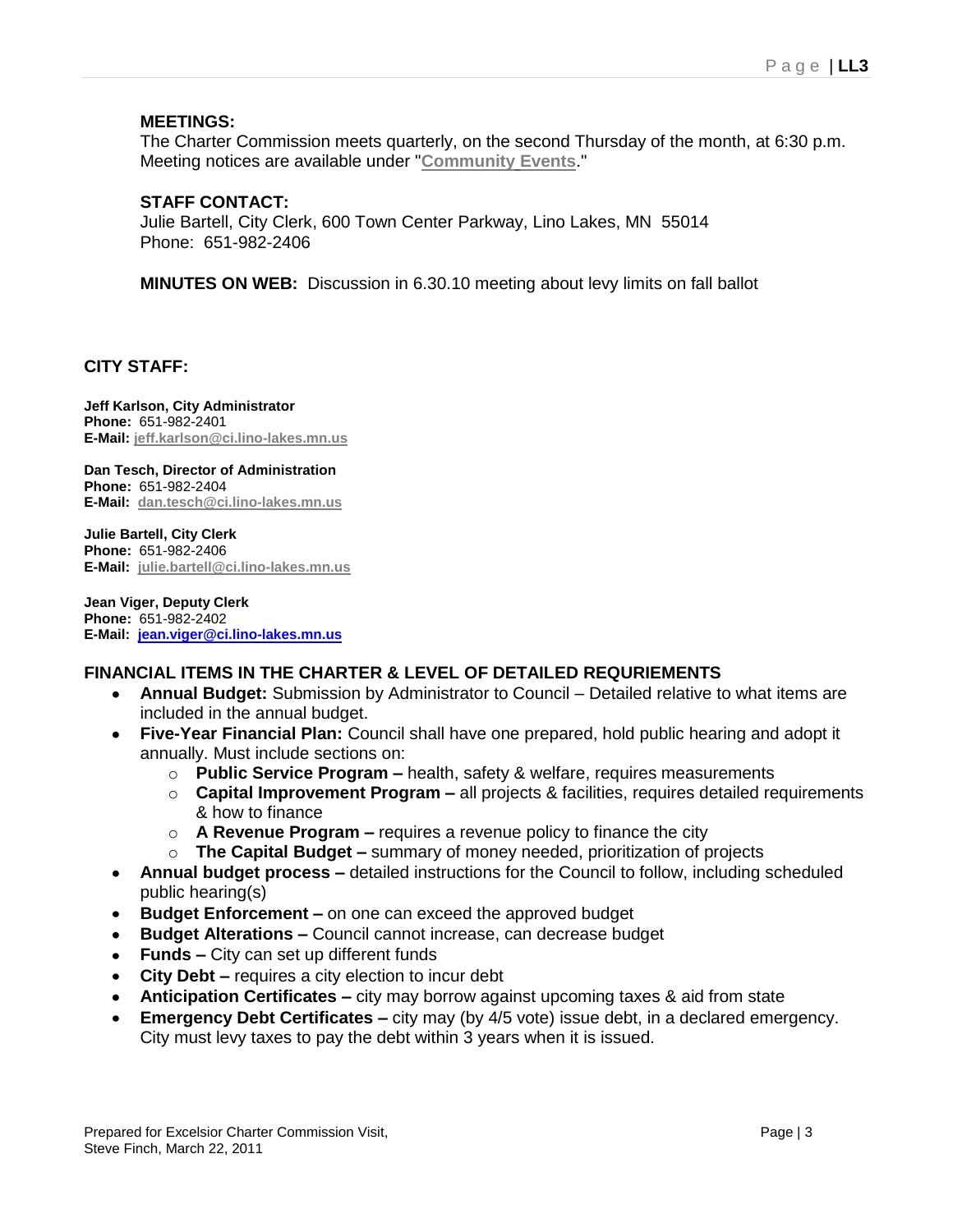#### **MEETINGS:**

The Charter Commission meets quarterly, on the second Thursday of the month, at 6:30 p.m. Meeting notices are available under "**[Community](http://www.ci.lino-lakes.mn.us/index.asp?Type=B_EV&SEC=%7b7C1F86E0-7D0B-463C-B5FC-8CC73B271462%7d) Events**."

#### **STAFF CONTACT:**

Julie Bartell, City Clerk, 600 Town Center Parkway, Lino Lakes, MN 55014 Phone: 651-982-2406

**MINUTES ON WEB:** Discussion in 6.30.10 meeting about levy limits on fall ballot

#### **CITY STAFF:**

**Jeff Karlson, City Administrator Phone:** 651-982-2401 **E-Mail: [jeff.karlson@ci.lino-lakes.mn.us](mailto:jeff.karlson@ci.lino-lakes.mn.us)**

**Dan Tesch, Director of Administration Phone:** 651-982-2404 **E-Mail: [dan.tesch@ci.lino-lakes.mn.us](mailto:dan.tesch@ci.lino-lakes.mn.us)**

**Julie Bartell, City Clerk Phone:** 651-982-2406 **E-Mail: [julie.bartell@ci.lino-lakes.mn.us](mailto:julie.bartell@ci.lino-lakes.mn.us)**

**Jean Viger, Deputy Clerk Phone:** 651-982-2402 **E-Mail: [jean.viger@ci.lino-lakes.mn.us](mailto:jean.viger@ci.lino-lakes.mn.us)**

#### **FINANCIAL ITEMS IN THE CHARTER & LEVEL OF DETAILED REQURIEMENTS**

- **Annual Budget:** Submission by Administrator to Council Detailed relative to what items are included in the annual budget.
- **Five-Year Financial Plan:** Council shall have one prepared, hold public hearing and adopt it annually. Must include sections on:
	- o **Public Service Program –** health, safety & welfare, requires measurements
	- o **Capital Improvement Program –** all projects & facilities, requires detailed requirements & how to finance
	- o **A Revenue Program –** requires a revenue policy to finance the city
	- o **The Capital Budget –** summary of money needed, prioritization of projects
- **Annual budget process –** detailed instructions for the Council to follow, including scheduled  $\bullet$ public hearing(s)
- **Budget Enforcement –** on one can exceed the approved budget
- **Budget Alterations –** Council cannot increase, can decrease budget
- **Funds –** City can set up different funds
- **City Debt –** requires a city election to incur debt
- **Anticipation Certificates –** city may borrow against upcoming taxes & aid from state
- **Emergency Debt Certificates –** city may (by 4/5 vote) issue debt, in a declared emergency. City must levy taxes to pay the debt within 3 years when it is issued.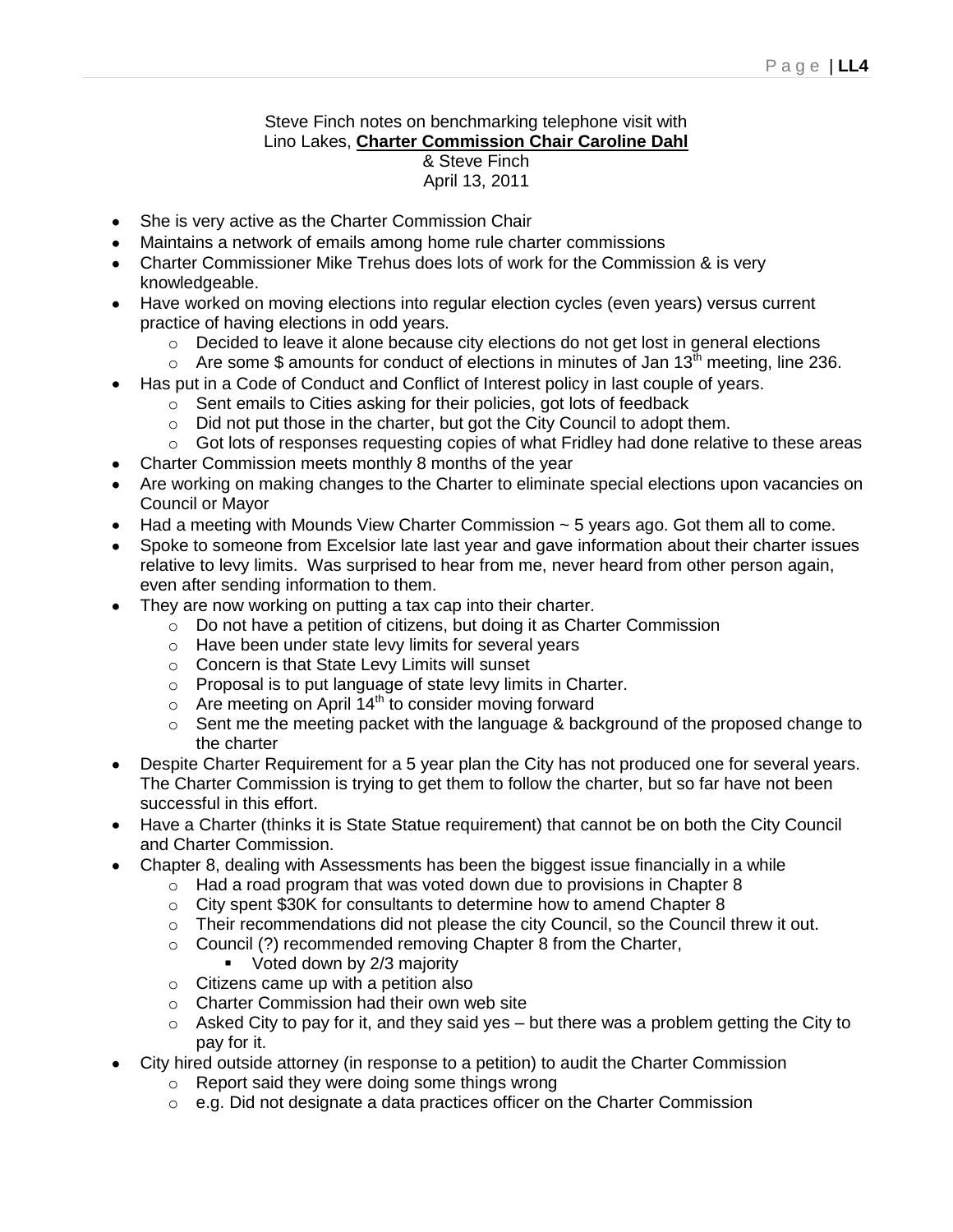#### Steve Finch notes on benchmarking telephone visit with Lino Lakes, **Charter Commission Chair Caroline Dahl** & Steve Finch April 13, 2011

- She is very active as the Charter Commission Chair
- Maintains a network of emails among home rule charter commissions
- Charter Commissioner Mike Trehus does lots of work for the Commission & is very knowledgeable.
- Have worked on moving elections into regular election cycles (even years) versus current practice of having elections in odd years.
	- o Decided to leave it alone because city elections do not get lost in general elections
	- $\circ$  Are some \$ amounts for conduct of elections in minutes of Jan 13<sup>th</sup> meeting, line 236.
- Has put in a Code of Conduct and Conflict of Interest policy in last couple of years.
	- o Sent emails to Cities asking for their policies, got lots of feedback
	- o Did not put those in the charter, but got the City Council to adopt them.
	- o Got lots of responses requesting copies of what Fridley had done relative to these areas
- Charter Commission meets monthly 8 months of the year
- Are working on making changes to the Charter to eliminate special elections upon vacancies on Council or Mayor
- $\bullet$  Had a meeting with Mounds View Charter Commission  $\sim$  5 years ago. Got them all to come.
- Spoke to someone from Excelsior late last year and gave information about their charter issues relative to levy limits. Was surprised to hear from me, never heard from other person again, even after sending information to them.
- They are now working on putting a tax cap into their charter.
	- o Do not have a petition of citizens, but doing it as Charter Commission
	- o Have been under state levy limits for several years
	- o Concern is that State Levy Limits will sunset
	- o Proposal is to put language of state levy limits in Charter.
	- $\circ$  Are meeting on April 14<sup>th</sup> to consider moving forward
	- $\circ$  Sent me the meeting packet with the language & background of the proposed change to the charter
- Despite Charter Requirement for a 5 year plan the City has not produced one for several years. The Charter Commission is trying to get them to follow the charter, but so far have not been successful in this effort.
- Have a Charter (thinks it is State Statue requirement) that cannot be on both the City Council and Charter Commission.
- Chapter 8, dealing with Assessments has been the biggest issue financially in a while
	- $\circ$  Had a road program that was voted down due to provisions in Chapter 8
	- o City spent \$30K for consultants to determine how to amend Chapter 8
	- $\circ$  Their recommendations did not please the city Council, so the Council threw it out.
	- o Council (?) recommended removing Chapter 8 from the Charter,
		- **Voted down by 2/3 majority**
	- o Citizens came up with a petition also
	- o Charter Commission had their own web site
	- $\circ$  Asked City to pay for it, and they said yes but there was a problem getting the City to pay for it.
- City hired outside attorney (in response to a petition) to audit the Charter Commission
	- o Report said they were doing some things wrong
	- o e.g. Did not designate a data practices officer on the Charter Commission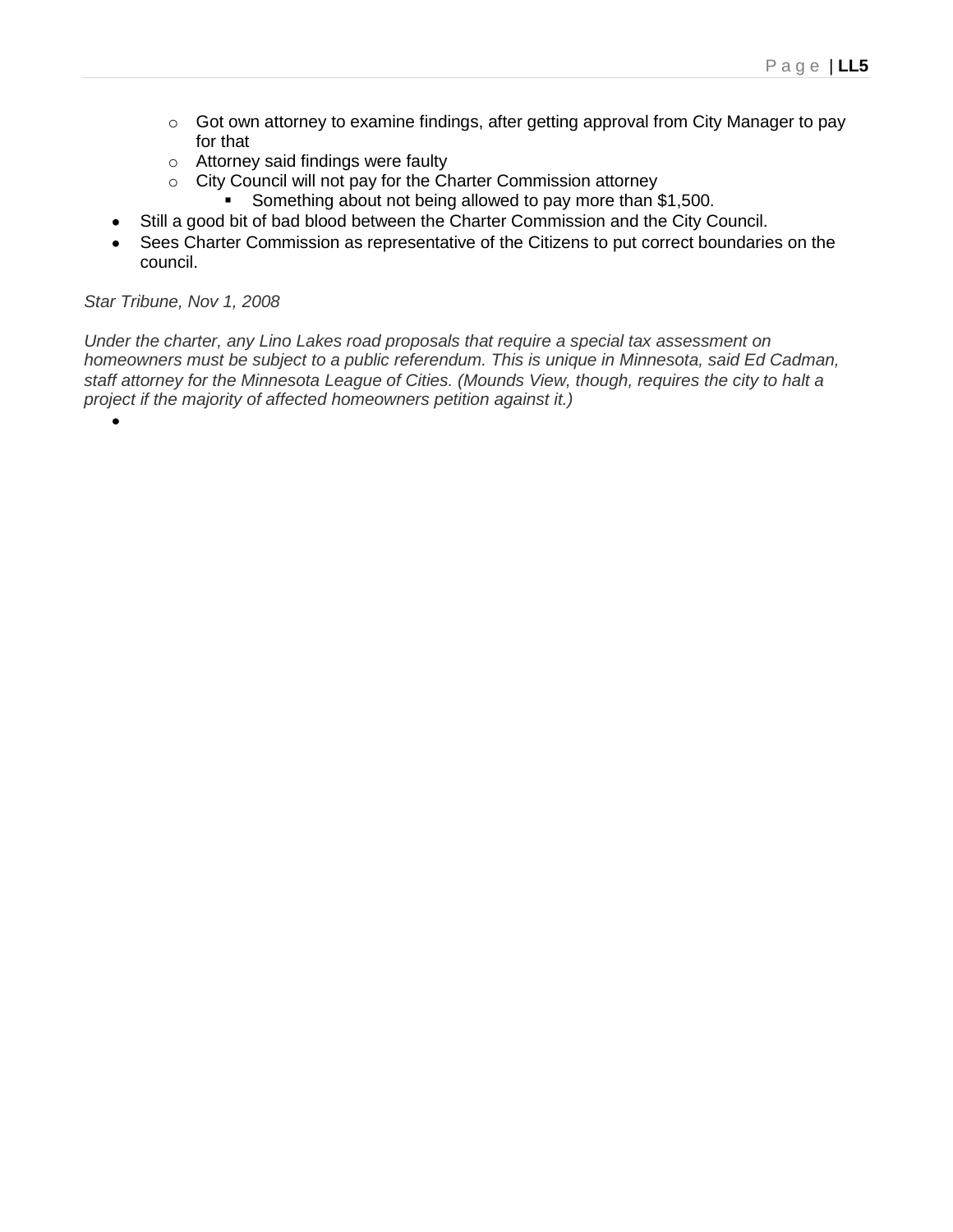- o Got own attorney to examine findings, after getting approval from City Manager to pay for that
- o Attorney said findings were faulty
- o City Council will not pay for the Charter Commission attorney
	- Something about not being allowed to pay more than \$1,500.
- Still a good bit of bad blood between the Charter Commission and the City Council.
- Sees Charter Commission as representative of the Citizens to put correct boundaries on the council.

#### *Star Tribune, Nov 1, 2008*

*Under the charter, any Lino Lakes road proposals that require a special tax assessment on homeowners must be subject to a public referendum. This is unique in Minnesota, said Ed Cadman, staff attorney for the Minnesota League of Cities. (Mounds View, though, requires the city to halt a project if the majority of affected homeowners petition against it.)*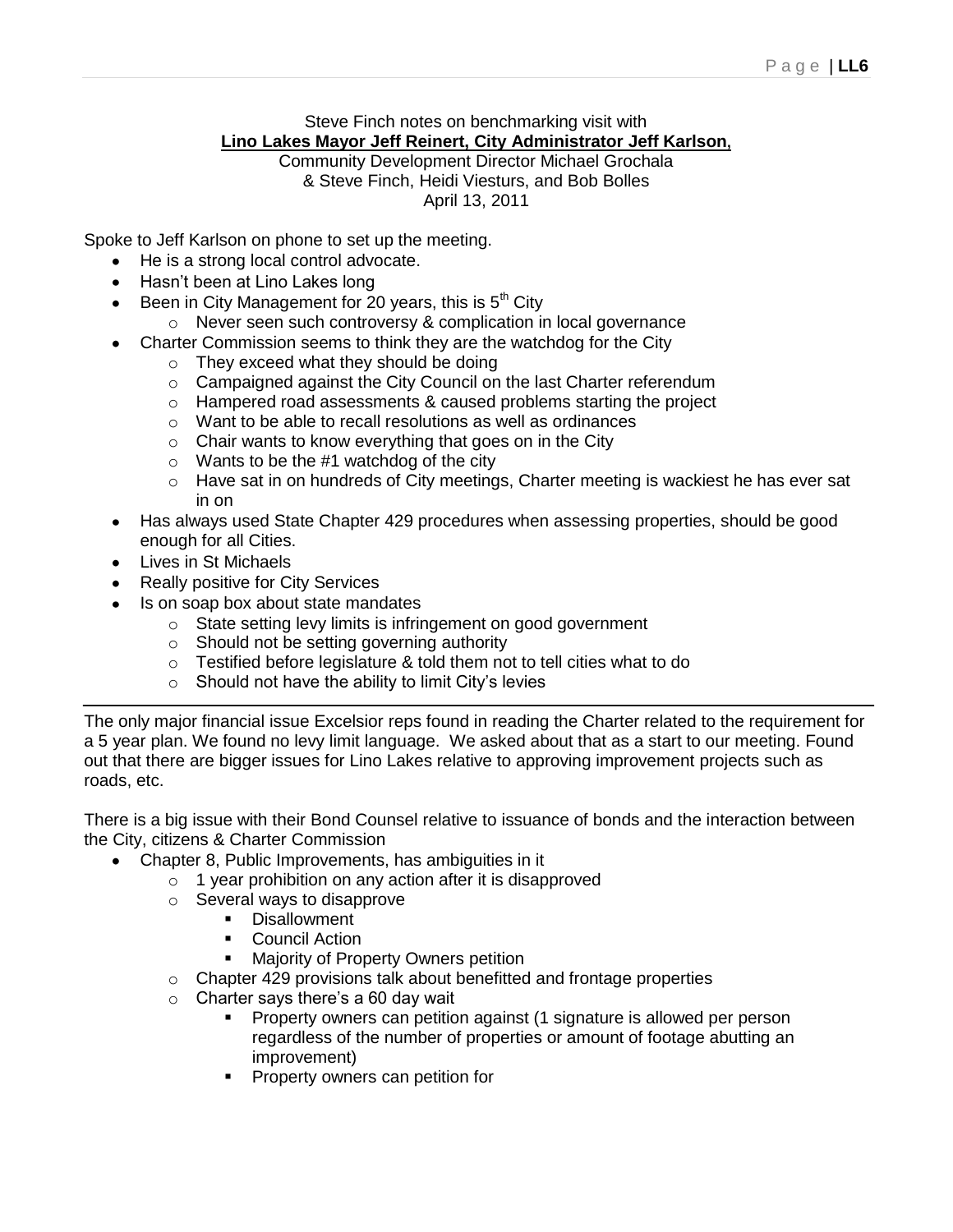#### Steve Finch notes on benchmarking visit with **Lino Lakes Mayor Jeff Reinert, City Administrator Jeff Karlson,**

Community Development Director Michael Grochala & Steve Finch, Heidi Viesturs, and Bob Bolles April 13, 2011

Spoke to Jeff Karlson on phone to set up the meeting.

- He is a strong local control advocate.
- Hasn't been at Lino Lakes long
- Been in City Management for 20 years, this is  $5<sup>th</sup>$  City
	- $\circ$  Never seen such controversy & complication in local governance
- Charter Commission seems to think they are the watchdog for the City
	- o They exceed what they should be doing
	- o Campaigned against the City Council on the last Charter referendum
	- o Hampered road assessments & caused problems starting the project
	- o Want to be able to recall resolutions as well as ordinances
	- $\circ$  Chair wants to know everything that goes on in the City
	- $\circ$  Wants to be the #1 watchdog of the city
	- o Have sat in on hundreds of City meetings, Charter meeting is wackiest he has ever sat in on
- Has always used State Chapter 429 procedures when assessing properties, should be good enough for all Cities.
- Lives in St Michaels
- Really positive for City Services
- Is on soap box about state mandates
	- o State setting levy limits is infringement on good government
	- o Should not be setting governing authority
	- o Testified before legislature & told them not to tell cities what to do
	- $\circ$  Should not have the ability to limit City's levies

The only major financial issue Excelsior reps found in reading the Charter related to the requirement for a 5 year plan. We found no levy limit language. We asked about that as a start to our meeting. Found out that there are bigger issues for Lino Lakes relative to approving improvement projects such as roads, etc.

There is a big issue with their Bond Counsel relative to issuance of bonds and the interaction between the City, citizens & Charter Commission

- Chapter 8, Public Improvements, has ambiguities in it
	- $\circ$  1 year prohibition on any action after it is disapproved
	- o Several ways to disapprove
		- **Disallowment** 
			- Council Action
			- Majority of Property Owners petition
	- o Chapter 429 provisions talk about benefitted and frontage properties
	- $\circ$  Charter says there's a 60 day wait
		- Property owners can petition against (1 signature is allowed per person regardless of the number of properties or amount of footage abutting an improvement)
		- Property owners can petition for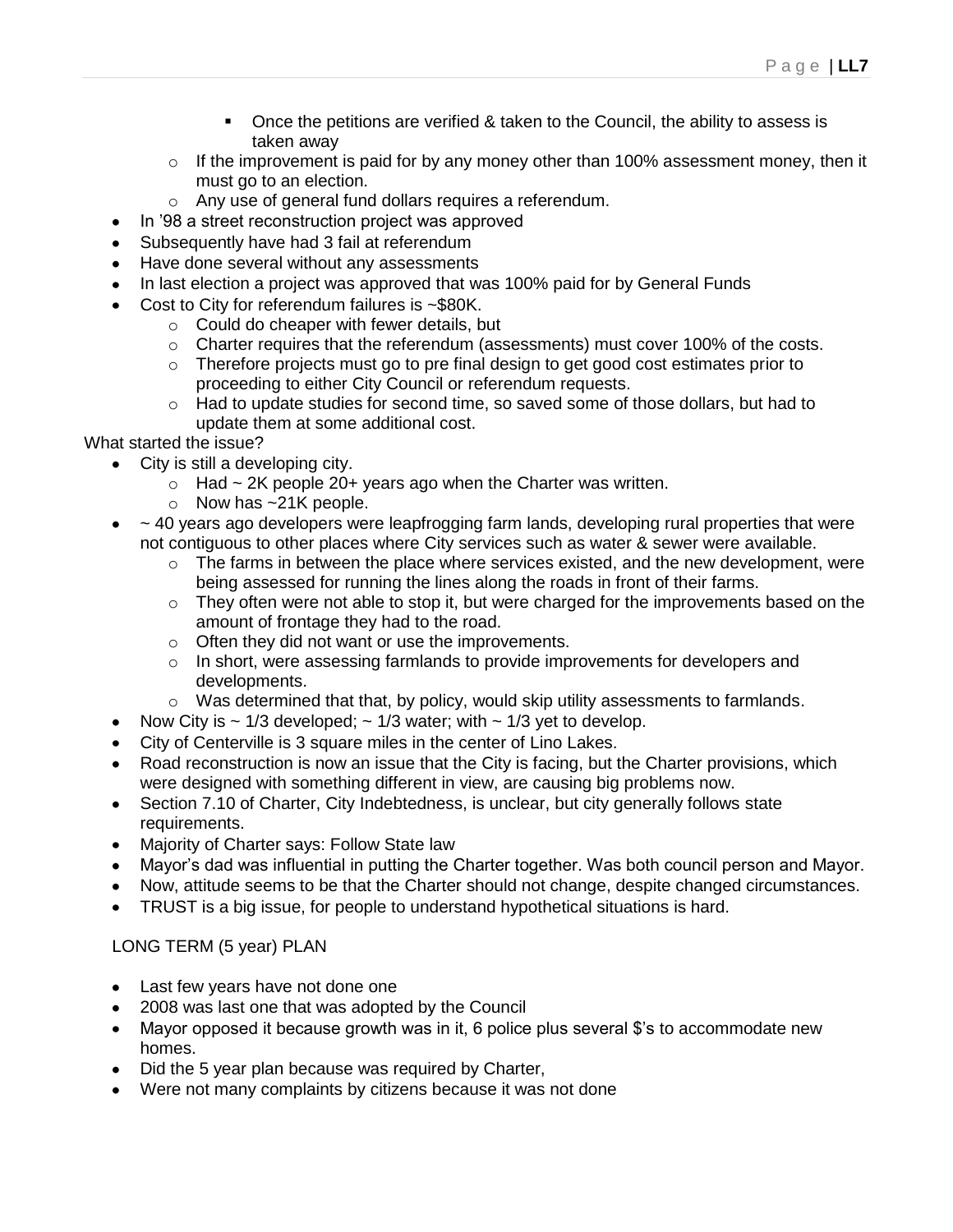- Once the petitions are verified & taken to the Council, the ability to assess is taken away
- $\circ$  If the improvement is paid for by any money other than 100% assessment money, then it must go to an election.
- o Any use of general fund dollars requires a referendum.
- In "98 a street reconstruction project was approved
- Subsequently have had 3 fail at referendum
- Have done several without any assessments
- In last election a project was approved that was 100% paid for by General Funds
- Cost to City for referendum failures is ~\$80K.
	- o Could do cheaper with fewer details, but
	- o Charter requires that the referendum (assessments) must cover 100% of the costs.
	- $\circ$  Therefore projects must go to pre final design to get good cost estimates prior to proceeding to either City Council or referendum requests.
	- $\circ$  Had to update studies for second time, so saved some of those dollars, but had to update them at some additional cost.

What started the issue?

 $\bullet$ 

- City is still a developing city.
	- $\circ$  Had ~ 2K people 20+ years ago when the Charter was written.
	- $\circ$  Now has  $\sim$ 21K people.
- $\bullet$  ~ 40 years ago developers were leapfrogging farm lands, developing rural properties that were not contiguous to other places where City services such as water & sewer were available.
	- $\circ$  The farms in between the place where services existed, and the new development, were being assessed for running the lines along the roads in front of their farms.
	- $\circ$  They often were not able to stop it, but were charged for the improvements based on the amount of frontage they had to the road.
	- o Often they did not want or use the improvements.
	- $\circ$  In short, were assessing farmlands to provide improvements for developers and developments.
	- $\circ$  Was determined that that, by policy, would skip utility assessments to farmlands.
- Now City is  $\sim$  1/3 developed;  $\sim$  1/3 water; with  $\sim$  1/3 yet to develop.
- City of Centerville is 3 square miles in the center of Lino Lakes.
- Road reconstruction is now an issue that the City is facing, but the Charter provisions, which were designed with something different in view, are causing big problems now.
- Section 7.10 of Charter, City Indebtedness, is unclear, but city generally follows state requirements.
- Majority of Charter says: Follow State law
- Mayor"s dad was influential in putting the Charter together. Was both council person and Mayor.
- Now, attitude seems to be that the Charter should not change, despite changed circumstances.
- TRUST is a big issue, for people to understand hypothetical situations is hard.

#### LONG TERM (5 year) PLAN

- Last few years have not done one
- 2008 was last one that was adopted by the Council
- Mayor opposed it because growth was in it, 6 police plus several \$'s to accommodate new homes.
- Did the 5 year plan because was required by Charter,
- Were not many complaints by citizens because it was not done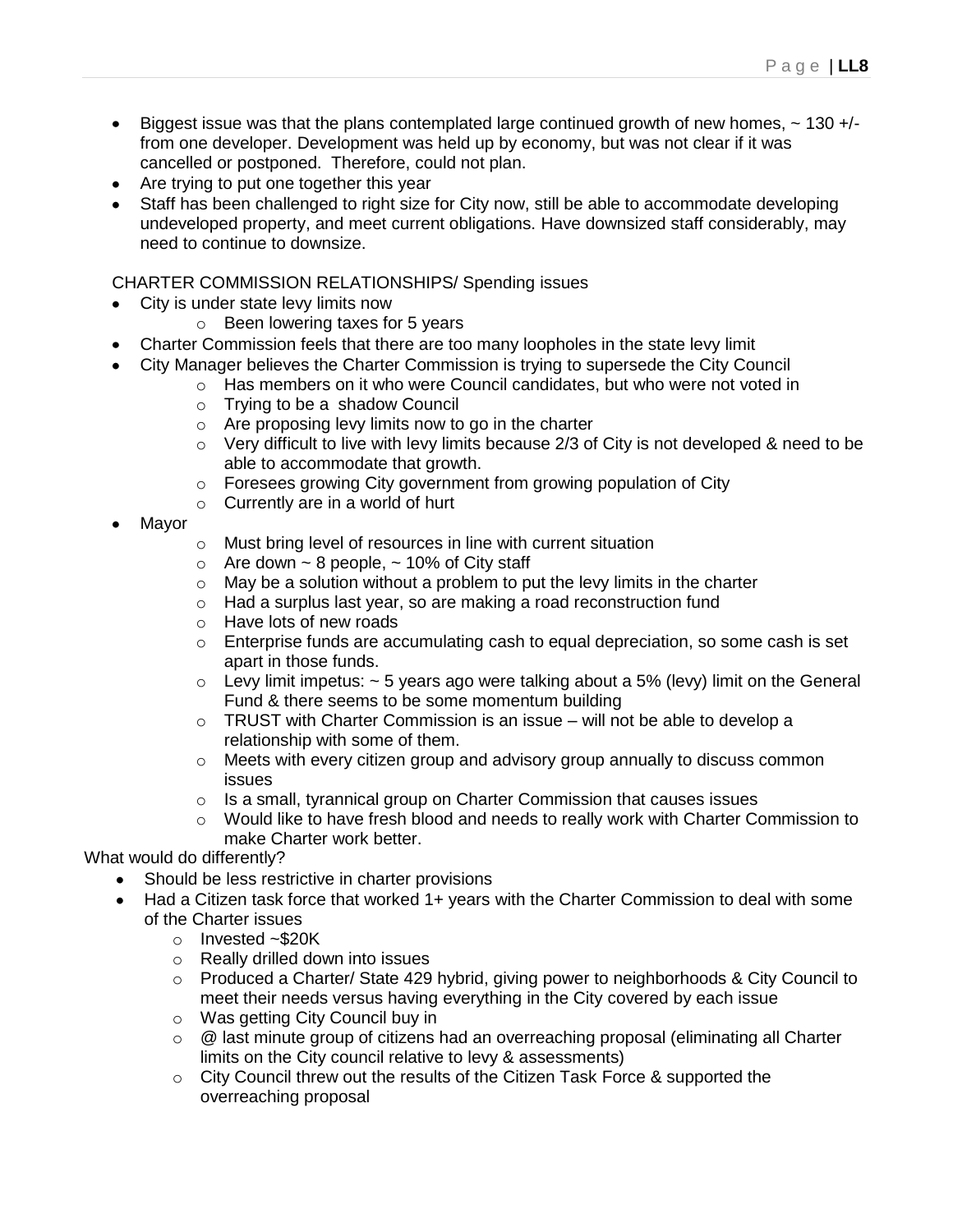- $\bullet$  Biggest issue was that the plans contemplated large continued growth of new homes,  $\sim$  130 +/from one developer. Development was held up by economy, but was not clear if it was cancelled or postponed. Therefore, could not plan.
- Are trying to put one together this year
- Staff has been challenged to right size for City now, still be able to accommodate developing undeveloped property, and meet current obligations. Have downsized staff considerably, may need to continue to downsize.

CHARTER COMMISSION RELATIONSHIPS/ Spending issues

- City is under state levy limits now
	- o Been lowering taxes for 5 years
- Charter Commission feels that there are too many loopholes in the state levy limit
- City Manager believes the Charter Commission is trying to supersede the City Council
	- o Has members on it who were Council candidates, but who were not voted in
	- o Trying to be a shadow Council
	- o Are proposing levy limits now to go in the charter
	- o Very difficult to live with levy limits because 2/3 of City is not developed & need to be able to accommodate that growth.
	- o Foresees growing City government from growing population of City
	- $\circ$  Currently are in a world of hurt
- Mayor
- o Must bring level of resources in line with current situation
- $\circ$  Are down  $\sim$  8 people,  $\sim$  10% of City staff
- $\circ$  May be a solution without a problem to put the levy limits in the charter
- o Had a surplus last year, so are making a road reconstruction fund
- o Have lots of new roads
- o Enterprise funds are accumulating cash to equal depreciation, so some cash is set apart in those funds.
- $\circ$  Levy limit impetus:  $\sim$  5 years ago were talking about a 5% (levy) limit on the General Fund & there seems to be some momentum building
- $\circ$  TRUST with Charter Commission is an issue will not be able to develop a relationship with some of them.
- $\circ$  Meets with every citizen group and advisory group annually to discuss common issues
- o Is a small, tyrannical group on Charter Commission that causes issues
- $\circ$  Would like to have fresh blood and needs to really work with Charter Commission to make Charter work better.

What would do differently?

- Should be less restrictive in charter provisions
- Had a Citizen task force that worked 1+ years with the Charter Commission to deal with some of the Charter issues
	- o Invested ~\$20K
	- o Really drilled down into issues
	- o Produced a Charter/ State 429 hybrid, giving power to neighborhoods & City Council to meet their needs versus having everything in the City covered by each issue
	- o Was getting City Council buy in
	- $\circ$  @ last minute group of citizens had an overreaching proposal (eliminating all Charter limits on the City council relative to levy & assessments)
	- $\circ$  City Council threw out the results of the Citizen Task Force & supported the overreaching proposal